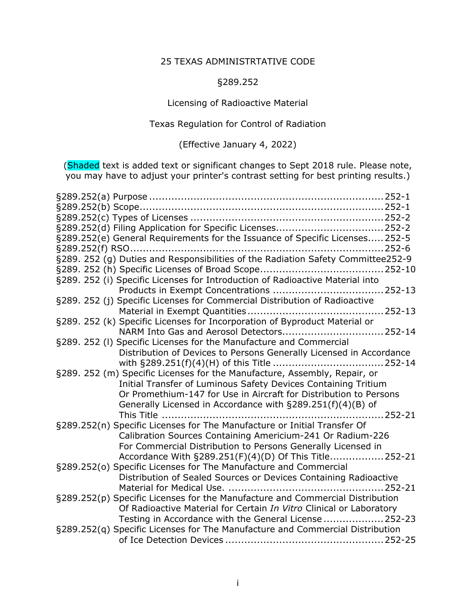## 25 TEXAS ADMINISTRTATIVE CODE

## §289.252

Licensing of Radioactive Material

Texas Regulation for Control of Radiation

(Effective January 4, 2022)

(Shaded text is added text or significant changes to Sept 2018 rule. Please note, you may have to adjust your printer's contrast setting for best printing results.)

| §289.252(e) General Requirements for the Issuance of Specific Licenses 252-5  |                |
|-------------------------------------------------------------------------------|----------------|
|                                                                               |                |
|                                                                               |                |
|                                                                               |                |
| §289. 252 (i) Specific Licenses for Introduction of Radioactive Material into |                |
|                                                                               |                |
| §289. 252 (j) Specific Licenses for Commercial Distribution of Radioactive    |                |
|                                                                               |                |
| §289. 252 (k) Specific Licenses for Incorporation of Byproduct Material or    |                |
| NARM Into Gas and Aerosol Detectors 252-14                                    |                |
| §289. 252 (I) Specific Licenses for the Manufacture and Commercial            |                |
| Distribution of Devices to Persons Generally Licensed in Accordance           |                |
|                                                                               |                |
| §289. 252 (m) Specific Licenses for the Manufacture, Assembly, Repair, or     |                |
| Initial Transfer of Luminous Safety Devices Containing Tritium                |                |
| Or Promethium-147 for Use in Aircraft for Distribution to Persons             |                |
| Generally Licensed in Accordance with §289.251(f)(4)(B) of                    |                |
| This Title                                                                    | $\dots$ 252-21 |
| §289.252(n) Specific Licenses for The Manufacture or Initial Transfer Of      |                |
| Calibration Sources Containing Americium-241 Or Radium-226                    |                |
| For Commercial Distribution to Persons Generally Licensed in                  |                |
| Accordance With §289.251(F)(4)(D) Of This Title 252-21                        |                |
| §289.252(o) Specific Licenses for The Manufacture and Commercial              |                |
| Distribution of Sealed Sources or Devices Containing Radioactive              |                |
| §289.252(p) Specific Licenses for the Manufacture and Commercial Distribution |                |
| Of Radioactive Material for Certain In Vitro Clinical or Laboratory           |                |
| Testing in Accordance with the General License  252-23                        |                |
| §289.252(q) Specific Licenses for The Manufacture and Commercial Distribution |                |
|                                                                               |                |
|                                                                               |                |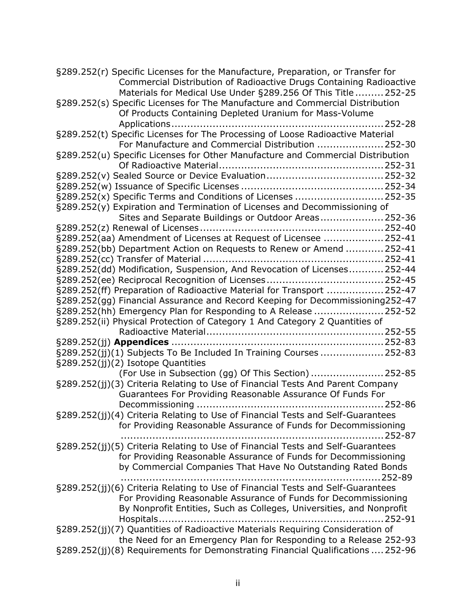| §289.252(r) Specific Licenses for the Manufacture, Preparation, or Transfer for                                                                      |
|------------------------------------------------------------------------------------------------------------------------------------------------------|
| Commercial Distribution of Radioactive Drugs Containing Radioactive                                                                                  |
| Materials for Medical Use Under §289.256 Of This Title  252-25                                                                                       |
| §289.252(s) Specific Licenses for The Manufacture and Commercial Distribution                                                                        |
| Of Products Containing Depleted Uranium for Mass-Volume                                                                                              |
|                                                                                                                                                      |
| §289.252(t) Specific Licenses for The Processing of Loose Radioactive Material                                                                       |
| For Manufacture and Commercial Distribution 252-30                                                                                                   |
| §289.252(u) Specific Licenses for Other Manufacture and Commercial Distribution                                                                      |
|                                                                                                                                                      |
|                                                                                                                                                      |
|                                                                                                                                                      |
|                                                                                                                                                      |
| §289.252(x) Specific Terms and Conditions of Licenses  252-35                                                                                        |
| §289.252(y) Expiration and Termination of Licenses and Decommissioning of                                                                            |
| Sites and Separate Buildings or Outdoor Areas 252-36                                                                                                 |
|                                                                                                                                                      |
| §289.252(aa) Amendment of Licenses at Request of Licensee  252-41                                                                                    |
| §289.252(bb) Department Action on Requests to Renew or Amend  252-41                                                                                 |
|                                                                                                                                                      |
| §289.252(dd) Modification, Suspension, And Revocation of Licenses 252-44                                                                             |
|                                                                                                                                                      |
| §289.252(ff) Preparation of Radioactive Material for Transport  252-47                                                                               |
| §289.252(gg) Financial Assurance and Record Keeping for Decommissioning252-47                                                                        |
| §289.252(hh) Emergency Plan for Responding to A Release 252-52                                                                                       |
| §289.252(ii) Physical Protection of Category 1 And Category 2 Quantities of                                                                          |
|                                                                                                                                                      |
|                                                                                                                                                      |
| §289.252(jj)(1) Subjects To Be Included In Training Courses  252-83                                                                                  |
| §289.252(jj)(2) Isotope Quantities                                                                                                                   |
| (For Use in Subsection (gg) Of This Section)  252-85                                                                                                 |
| §289.252(jj)(3) Criteria Relating to Use of Financial Tests And Parent Company                                                                       |
| Guarantees For Providing Reasonable Assurance Of Funds For                                                                                           |
|                                                                                                                                                      |
| §289.252(jj)(4) Criteria Relating to Use of Financial Tests and Self-Guarantees                                                                      |
| for Providing Reasonable Assurance of Funds for Decommissioning                                                                                      |
|                                                                                                                                                      |
| §289.252(jj)(5) Criteria Relating to Use of Financial Tests and Self-Guarantees                                                                      |
|                                                                                                                                                      |
|                                                                                                                                                      |
| for Providing Reasonable Assurance of Funds for Decommissioning                                                                                      |
| by Commercial Companies That Have No Outstanding Rated Bonds                                                                                         |
|                                                                                                                                                      |
| §289.252(jj)(6) Criteria Relating to Use of Financial Tests and Self-Guarantees                                                                      |
| For Providing Reasonable Assurance of Funds for Decommissioning                                                                                      |
| By Nonprofit Entities, Such as Colleges, Universities, and Nonprofit                                                                                 |
|                                                                                                                                                      |
| §289.252(jj)(7) Quantities of Radioactive Materials Requiring Consideration of                                                                       |
| the Need for an Emergency Plan for Responding to a Release 252-93<br>§289.252(jj)(8) Requirements for Demonstrating Financial Qualifications  252-96 |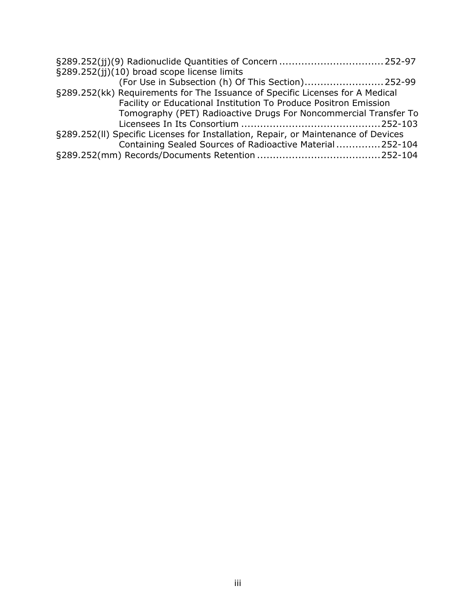| §289.252(jj)(10) broad scope license limits                                        |  |
|------------------------------------------------------------------------------------|--|
| (For Use in Subsection (h) Of This Section) 252-99                                 |  |
| §289.252(kk) Requirements for The Issuance of Specific Licenses for A Medical      |  |
| Facility or Educational Institution To Produce Positron Emission                   |  |
| Tomography (PET) Radioactive Drugs For Noncommercial Transfer To                   |  |
|                                                                                    |  |
| §289.252(II) Specific Licenses for Installation, Repair, or Maintenance of Devices |  |
| Containing Sealed Sources of Radioactive Material252-104                           |  |
|                                                                                    |  |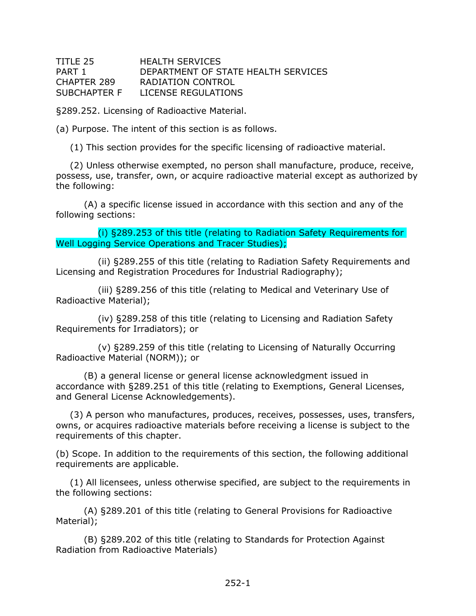<span id="page-3-0"></span>

| TITLE 25     | <b>HEALTH SERVICES</b>              |
|--------------|-------------------------------------|
| PART 1       | DEPARTMENT OF STATE HEALTH SERVICES |
| CHAPTER 289  | RADIATION CONTROL                   |
| SUBCHAPTER F | LICENSE REGULATIONS                 |

§289.252. Licensing of Radioactive Material.

(a) Purpose. The intent of this section is as follows.

(1) This section provides for the specific licensing of radioactive material.

(2) Unless otherwise exempted, no person shall manufacture, produce, receive, possess, use, transfer, own, or acquire radioactive material except as authorized by the following:

(A) a specific license issued in accordance with this section and any of the following sections:

(i) §289.253 of this title (relating to Radiation Safety Requirements for Well Logging Service Operations and Tracer Studies);

(ii) §289.255 of this title (relating to Radiation Safety Requirements and Licensing and Registration Procedures for Industrial Radiography);

(iii) §289.256 of this title (relating to Medical and Veterinary Use of Radioactive Material);

(iv) §289.258 of this title (relating to Licensing and Radiation Safety Requirements for Irradiators); or

(v) §289.259 of this title (relating to Licensing of Naturally Occurring Radioactive Material (NORM)); or

(B) a general license or general license acknowledgment issued in accordance with §289.251 of this title (relating to Exemptions, General Licenses, and General License Acknowledgements).

(3) A person who manufactures, produces, receives, possesses, uses, transfers, owns, or acquires radioactive materials before receiving a license is subject to the requirements of this chapter.

(b) Scope. In addition to the requirements of this section, the following additional requirements are applicable.

(1) All licensees, unless otherwise specified, are subject to the requirements in the following sections:

(A) §289.201 of this title (relating to General Provisions for Radioactive Material);

(B) §289.202 of this title (relating to Standards for Protection Against Radiation from Radioactive Materials)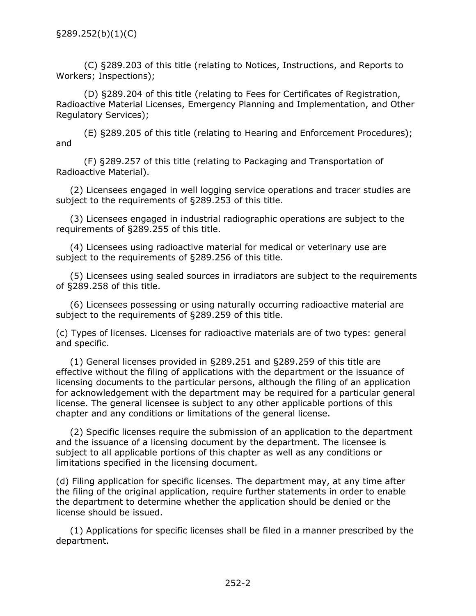<span id="page-4-0"></span>(C) §289.203 of this title (relating to Notices, Instructions, and Reports to Workers; Inspections);

(D) §289.204 of this title (relating to Fees for Certificates of Registration, Radioactive Material Licenses, Emergency Planning and Implementation, and Other Regulatory Services);

(E) §289.205 of this title (relating to Hearing and Enforcement Procedures); and

(F) §289.257 of this title (relating to Packaging and Transportation of Radioactive Material).

(2) Licensees engaged in well logging service operations and tracer studies are subject to the requirements of §289.253 of this title.

(3) Licensees engaged in industrial radiographic operations are subject to the requirements of §289.255 of this title.

(4) Licensees using radioactive material for medical or veterinary use are subject to the requirements of §289.256 of this title.

(5) Licensees using sealed sources in irradiators are subject to the requirements of §289.258 of this title.

(6) Licensees possessing or using naturally occurring radioactive material are subject to the requirements of §289.259 of this title.

(c) Types of licenses. Licenses for radioactive materials are of two types: general and specific.

(1) General licenses provided in §289.251 and §289.259 of this title are effective without the filing of applications with the department or the issuance of licensing documents to the particular persons, although the filing of an application for acknowledgement with the department may be required for a particular general license. The general licensee is subject to any other applicable portions of this chapter and any conditions or limitations of the general license.

(2) Specific licenses require the submission of an application to the department and the issuance of a licensing document by the department. The licensee is subject to all applicable portions of this chapter as well as any conditions or limitations specified in the licensing document.

(d) Filing application for specific licenses. The department may, at any time after the filing of the original application, require further statements in order to enable the department to determine whether the application should be denied or the license should be issued.

(1) Applications for specific licenses shall be filed in a manner prescribed by the department.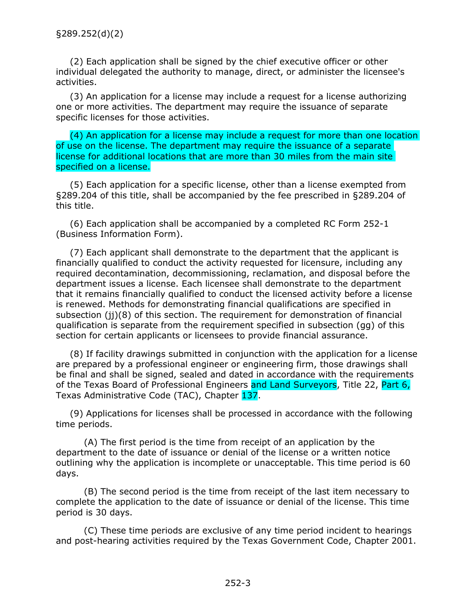(2) Each application shall be signed by the chief executive officer or other individual delegated the authority to manage, direct, or administer the licensee's activities.

(3) An application for a license may include a request for a license authorizing one or more activities. The department may require the issuance of separate specific licenses for those activities.

(4) An application for a license may include a request for more than one location of use on the license. The department may require the issuance of a separate license for additional locations that are more than 30 miles from the main site specified on a license.

(5) Each application for a specific license, other than a license exempted from §289.204 of this title, shall be accompanied by the fee prescribed in §289.204 of this title.

(6) Each application shall be accompanied by a completed RC Form 252-1 (Business Information Form).

(7) Each applicant shall demonstrate to the department that the applicant is financially qualified to conduct the activity requested for licensure, including any required decontamination, decommissioning, reclamation, and disposal before the department issues a license. Each licensee shall demonstrate to the department that it remains financially qualified to conduct the licensed activity before a license is renewed. Methods for demonstrating financial qualifications are specified in subsection (jj)(8) of this section. The requirement for demonstration of financial qualification is separate from the requirement specified in subsection (gg) of this section for certain applicants or licensees to provide financial assurance.

(8) If facility drawings submitted in conjunction with the application for a license are prepared by a professional engineer or engineering firm, those drawings shall be final and shall be signed, sealed and dated in accordance with the requirements of the Texas Board of Professional Engineers and Land Surveyors, Title 22, Part 6, Texas Administrative Code (TAC), Chapter 137.

(9) Applications for licenses shall be processed in accordance with the following time periods.

(A) The first period is the time from receipt of an application by the department to the date of issuance or denial of the license or a written notice outlining why the application is incomplete or unacceptable. This time period is 60 days.

(B) The second period is the time from receipt of the last item necessary to complete the application to the date of issuance or denial of the license. This time period is 30 days.

(C) These time periods are exclusive of any time period incident to hearings and post-hearing activities required by the Texas Government Code, Chapter 2001.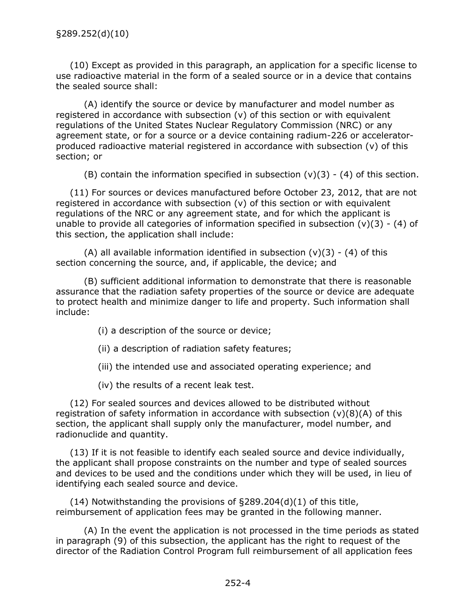(10) Except as provided in this paragraph, an application for a specific license to use radioactive material in the form of a sealed source or in a device that contains the sealed source shall:

(A) identify the source or device by manufacturer and model number as registered in accordance with subsection (v) of this section or with equivalent regulations of the United States Nuclear Regulatory Commission (NRC) or any agreement state, or for a source or a device containing radium-226 or acceleratorproduced radioactive material registered in accordance with subsection (v) of this section; or

(B) contain the information specified in subsection  $(v)(3) - (4)$  of this section.

(11) For sources or devices manufactured before October 23, 2012, that are not registered in accordance with subsection (v) of this section or with equivalent regulations of the NRC or any agreement state, and for which the applicant is unable to provide all categories of information specified in subsection  $(v)(3) - (4)$  of this section, the application shall include:

(A) all available information identified in subsection  $(v)(3) - (4)$  of this section concerning the source, and, if applicable, the device; and

(B) sufficient additional information to demonstrate that there is reasonable assurance that the radiation safety properties of the source or device are adequate to protect health and minimize danger to life and property. Such information shall include:

(i) a description of the source or device;

(ii) a description of radiation safety features;

(iii) the intended use and associated operating experience; and

(iv) the results of a recent leak test.

(12) For sealed sources and devices allowed to be distributed without registration of safety information in accordance with subsection  $(v)(8)(A)$  of this section, the applicant shall supply only the manufacturer, model number, and radionuclide and quantity.

(13) If it is not feasible to identify each sealed source and device individually, the applicant shall propose constraints on the number and type of sealed sources and devices to be used and the conditions under which they will be used, in lieu of identifying each sealed source and device.

(14) Notwithstanding the provisions of §289.204(d)(1) of this title, reimbursement of application fees may be granted in the following manner.

(A) In the event the application is not processed in the time periods as stated in paragraph (9) of this subsection, the applicant has the right to request of the director of the Radiation Control Program full reimbursement of all application fees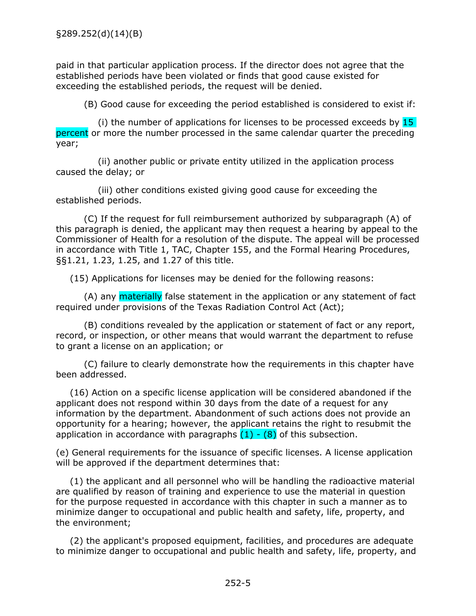<span id="page-7-0"></span>paid in that particular application process. If the director does not agree that the established periods have been violated or finds that good cause existed for exceeding the established periods, the request will be denied.

(B) Good cause for exceeding the period established is considered to exist if:

(i) the number of applications for licenses to be processed exceeds by  $15$ percent or more the number processed in the same calendar quarter the preceding year;

(ii) another public or private entity utilized in the application process caused the delay; or

(iii) other conditions existed giving good cause for exceeding the established periods.

(C) If the request for full reimbursement authorized by subparagraph (A) of this paragraph is denied, the applicant may then request a hearing by appeal to the Commissioner of Health for a resolution of the dispute. The appeal will be processed in accordance with Title 1, TAC, Chapter 155, and the Formal Hearing Procedures, §§1.21, 1.23, 1.25, and 1.27 of this title.

(15) Applications for licenses may be denied for the following reasons:

(A) any materially false statement in the application or any statement of fact required under provisions of the Texas Radiation Control Act (Act);

(B) conditions revealed by the application or statement of fact or any report, record, or inspection, or other means that would warrant the department to refuse to grant a license on an application; or

(C) failure to clearly demonstrate how the requirements in this chapter have been addressed.

(16) Action on a specific license application will be considered abandoned if the applicant does not respond within 30 days from the date of a request for any information by the department. Abandonment of such actions does not provide an opportunity for a hearing; however, the applicant retains the right to resubmit the application in accordance with paragraphs  $(1) - (8)$  of this subsection.

(e) General requirements for the issuance of specific licenses. A license application will be approved if the department determines that:

(1) the applicant and all personnel who will be handling the radioactive material are qualified by reason of training and experience to use the material in question for the purpose requested in accordance with this chapter in such a manner as to minimize danger to occupational and public health and safety, life, property, and the environment;

(2) the applicant's proposed equipment, facilities, and procedures are adequate to minimize danger to occupational and public health and safety, life, property, and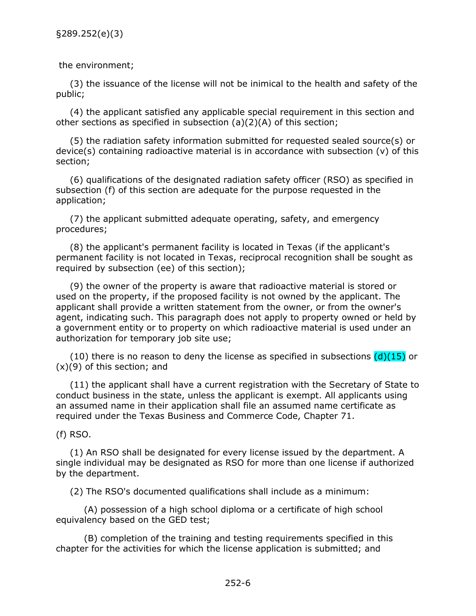<span id="page-8-0"></span>the environment;

(3) the issuance of the license will not be inimical to the health and safety of the public;

(4) the applicant satisfied any applicable special requirement in this section and other sections as specified in subsection (a)(2)(A) of this section;

(5) the radiation safety information submitted for requested sealed source(s) or device(s) containing radioactive material is in accordance with subsection  $(v)$  of this section;

(6) qualifications of the designated radiation safety officer (RSO) as specified in subsection (f) of this section are adequate for the purpose requested in the application;

(7) the applicant submitted adequate operating, safety, and emergency procedures;

(8) the applicant's permanent facility is located in Texas (if the applicant's permanent facility is not located in Texas, reciprocal recognition shall be sought as required by subsection (ee) of this section);

(9) the owner of the property is aware that radioactive material is stored or used on the property, if the proposed facility is not owned by the applicant. The applicant shall provide a written statement from the owner, or from the owner's agent, indicating such. This paragraph does not apply to property owned or held by a government entity or to property on which radioactive material is used under an authorization for temporary job site use;

(10) there is no reason to deny the license as specified in subsections  $(d)(15)$  or  $(x)(9)$  of this section; and

(11) the applicant shall have a current registration with the Secretary of State to conduct business in the state, unless the applicant is exempt. All applicants using an assumed name in their application shall file an assumed name certificate as required under the Texas Business and Commerce Code, Chapter 71.

(f) RSO.

(1) An RSO shall be designated for every license issued by the department. A single individual may be designated as RSO for more than one license if authorized by the department.

(2) The RSO's documented qualifications shall include as a minimum:

(A) possession of a high school diploma or a certificate of high school equivalency based on the GED test;

(B) completion of the training and testing requirements specified in this chapter for the activities for which the license application is submitted; and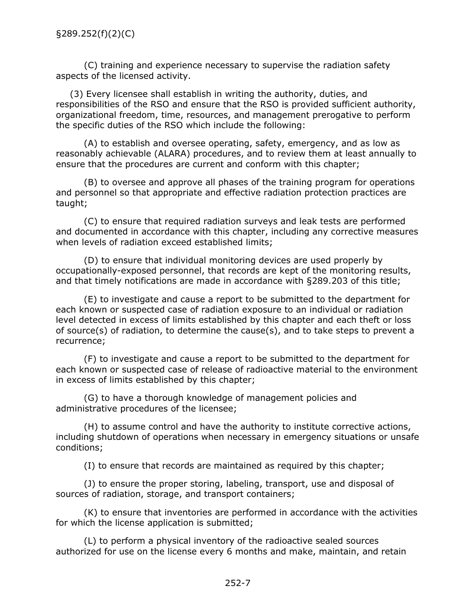(C) training and experience necessary to supervise the radiation safety aspects of the licensed activity.

(3) Every licensee shall establish in writing the authority, duties, and responsibilities of the RSO and ensure that the RSO is provided sufficient authority, organizational freedom, time, resources, and management prerogative to perform the specific duties of the RSO which include the following:

(A) to establish and oversee operating, safety, emergency, and as low as reasonably achievable (ALARA) procedures, and to review them at least annually to ensure that the procedures are current and conform with this chapter;

(B) to oversee and approve all phases of the training program for operations and personnel so that appropriate and effective radiation protection practices are taught;

(C) to ensure that required radiation surveys and leak tests are performed and documented in accordance with this chapter, including any corrective measures when levels of radiation exceed established limits;

(D) to ensure that individual monitoring devices are used properly by occupationally-exposed personnel, that records are kept of the monitoring results, and that timely notifications are made in accordance with §289.203 of this title;

(E) to investigate and cause a report to be submitted to the department for each known or suspected case of radiation exposure to an individual or radiation level detected in excess of limits established by this chapter and each theft or loss of source(s) of radiation, to determine the cause(s), and to take steps to prevent a recurrence;

(F) to investigate and cause a report to be submitted to the department for each known or suspected case of release of radioactive material to the environment in excess of limits established by this chapter;

(G) to have a thorough knowledge of management policies and administrative procedures of the licensee;

(H) to assume control and have the authority to institute corrective actions, including shutdown of operations when necessary in emergency situations or unsafe conditions;

(I) to ensure that records are maintained as required by this chapter;

(J) to ensure the proper storing, labeling, transport, use and disposal of sources of radiation, storage, and transport containers;

(K) to ensure that inventories are performed in accordance with the activities for which the license application is submitted;

(L) to perform a physical inventory of the radioactive sealed sources authorized for use on the license every 6 months and make, maintain, and retain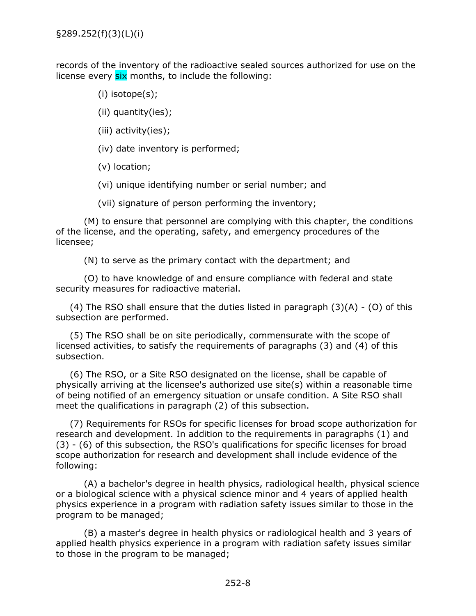records of the inventory of the radioactive sealed sources authorized for use on the license every six months, to include the following:

- (i) isotope(s);
- (ii) quantity(ies);
- (iii) activity(ies);
- (iv) date inventory is performed;
- (v) location;

(vi) unique identifying number or serial number; and

(vii) signature of person performing the inventory;

(M) to ensure that personnel are complying with this chapter, the conditions of the license, and the operating, safety, and emergency procedures of the licensee;

(N) to serve as the primary contact with the department; and

(O) to have knowledge of and ensure compliance with federal and state security measures for radioactive material.

(4) The RSO shall ensure that the duties listed in paragraph  $(3)(A) - (O)$  of this subsection are performed.

(5) The RSO shall be on site periodically, commensurate with the scope of licensed activities, to satisfy the requirements of paragraphs (3) and (4) of this subsection.

(6) The RSO, or a Site RSO designated on the license, shall be capable of physically arriving at the licensee's authorized use site(s) within a reasonable time of being notified of an emergency situation or unsafe condition. A Site RSO shall meet the qualifications in paragraph (2) of this subsection.

(7) Requirements for RSOs for specific licenses for broad scope authorization for research and development. In addition to the requirements in paragraphs (1) and (3) - (6) of this subsection, the RSO's qualifications for specific licenses for broad scope authorization for research and development shall include evidence of the following:

(A) a bachelor's degree in health physics, radiological health, physical science or a biological science with a physical science minor and 4 years of applied health physics experience in a program with radiation safety issues similar to those in the program to be managed;

(B) a master's degree in health physics or radiological health and 3 years of applied health physics experience in a program with radiation safety issues similar to those in the program to be managed;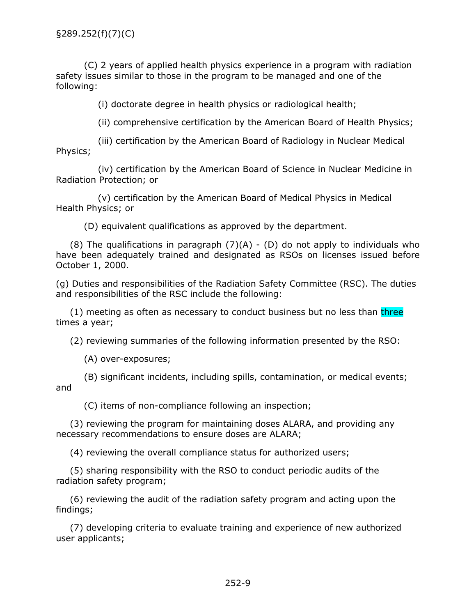<span id="page-11-0"></span>(C) 2 years of applied health physics experience in a program with radiation safety issues similar to those in the program to be managed and one of the following:

(i) doctorate degree in health physics or radiological health;

(ii) comprehensive certification by the American Board of Health Physics;

(iii) certification by the American Board of Radiology in Nuclear Medical Physics;

(iv) certification by the American Board of Science in Nuclear Medicine in Radiation Protection; or

(v) certification by the American Board of Medical Physics in Medical Health Physics; or

(D) equivalent qualifications as approved by the department.

 $(8)$  The qualifications in paragraph  $(7)(A)$  -  $(D)$  do not apply to individuals who have been adequately trained and designated as RSOs on licenses issued before October 1, 2000.

(g) Duties and responsibilities of the Radiation Safety Committee (RSC). The duties and responsibilities of the RSC include the following:

(1) meeting as often as necessary to conduct business but no less than three times a year;

(2) reviewing summaries of the following information presented by the RSO:

(A) over-exposures;

(B) significant incidents, including spills, contamination, or medical events; and

(C) items of non-compliance following an inspection;

(3) reviewing the program for maintaining doses ALARA, and providing any necessary recommendations to ensure doses are ALARA;

(4) reviewing the overall compliance status for authorized users;

(5) sharing responsibility with the RSO to conduct periodic audits of the radiation safety program;

(6) reviewing the audit of the radiation safety program and acting upon the findings;

(7) developing criteria to evaluate training and experience of new authorized user applicants;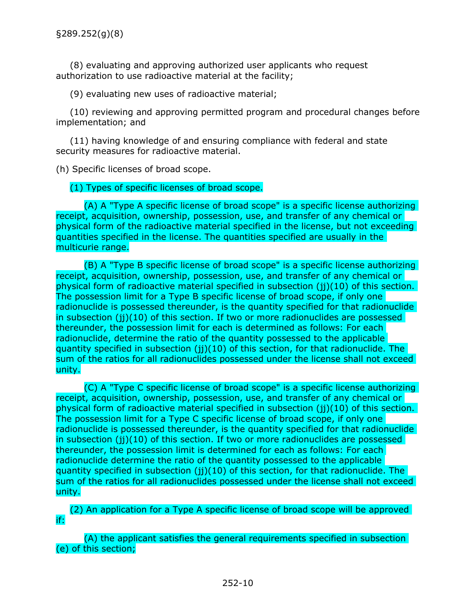<span id="page-12-0"></span>(8) evaluating and approving authorized user applicants who request authorization to use radioactive material at the facility;

(9) evaluating new uses of radioactive material;

(10) reviewing and approving permitted program and procedural changes before implementation; and

(11) having knowledge of and ensuring compliance with federal and state security measures for radioactive material.

(h) Specific licenses of broad scope.

(1) Types of specific licenses of broad scope.

(A) A "Type A specific license of broad scope" is a specific license authorizing receipt, acquisition, ownership, possession, use, and transfer of any chemical or physical form of the radioactive material specified in the license, but not exceeding quantities specified in the license. The quantities specified are usually in the multicurie range.

(B) A "Type B specific license of broad scope" is a specific license authorizing receipt, acquisition, ownership, possession, use, and transfer of any chemical or physical form of radioactive material specified in subsection (jj)(10) of this section. The possession limit for a Type B specific license of broad scope, if only one radionuclide is possessed thereunder, is the quantity specified for that radionuclide in subsection (ji)(10) of this section. If two or more radionuclides are possessed thereunder, the possession limit for each is determined as follows: For each radionuclide, determine the ratio of the quantity possessed to the applicable quantity specified in subsection (ji)(10) of this section, for that radionuclide. The sum of the ratios for all radionuclides possessed under the license shall not exceed unity.

(C) A "Type C specific license of broad scope" is a specific license authorizing receipt, acquisition, ownership, possession, use, and transfer of any chemical or physical form of radioactive material specified in subsection (jj)(10) of this section. The possession limit for a Type C specific license of broad scope, if only one radionuclide is possessed thereunder, is the quantity specified for that radionuclide in subsection (jj)(10) of this section. If two or more radionuclides are possessed thereunder, the possession limit is determined for each as follows: For each radionuclide determine the ratio of the quantity possessed to the applicable quantity specified in subsection (jj)(10) of this section, for that radionuclide. The sum of the ratios for all radionuclides possessed under the license shall not exceed unity.

(2) An application for a Type A specific license of broad scope will be approved if:

(A) the applicant satisfies the general requirements specified in subsection (e) of this section;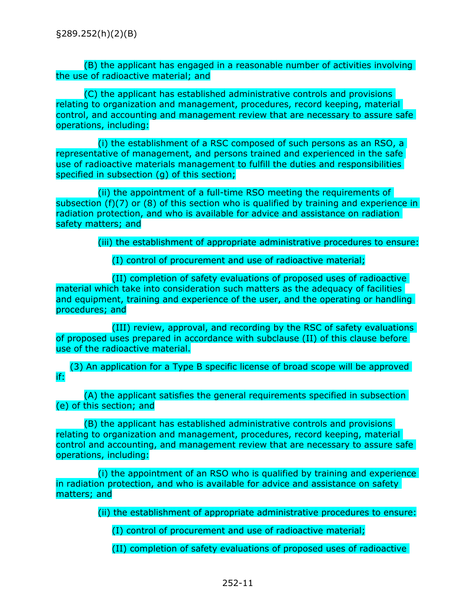(B) the applicant has engaged in a reasonable number of activities involving the use of radioactive material; and

(C) the applicant has established administrative controls and provisions relating to organization and management, procedures, record keeping, material control, and accounting and management review that are necessary to assure safe operations, including:

(i) the establishment of a RSC composed of such persons as an RSO, a representative of management, and persons trained and experienced in the safe use of radioactive materials management to fulfill the duties and responsibilities specified in subsection (g) of this section;

(ii) the appointment of a full-time RSO meeting the requirements of subsection (f)(7) or (8) of this section who is qualified by training and experience in radiation protection, and who is available for advice and assistance on radiation safety matters; and

(iii) the establishment of appropriate administrative procedures to ensure:

(I) control of procurement and use of radioactive material;

(II) completion of safety evaluations of proposed uses of radioactive material which take into consideration such matters as the adequacy of facilities and equipment, training and experience of the user, and the operating or handling procedures; and

(III) review, approval, and recording by the RSC of safety evaluations of proposed uses prepared in accordance with subclause (II) of this clause before use of the radioactive material.

(3) An application for a Type B specific license of broad scope will be approved if:

(A) the applicant satisfies the general requirements specified in subsection (e) of this section; and

(B) the applicant has established administrative controls and provisions relating to organization and management, procedures, record keeping, material control and accounting, and management review that are necessary to assure safe operations, including:

(i) the appointment of an RSO who is qualified by training and experience in radiation protection, and who is available for advice and assistance on safety matters; and

(ii) the establishment of appropriate administrative procedures to ensure:

(I) control of procurement and use of radioactive material;

(II) completion of safety evaluations of proposed uses of radioactive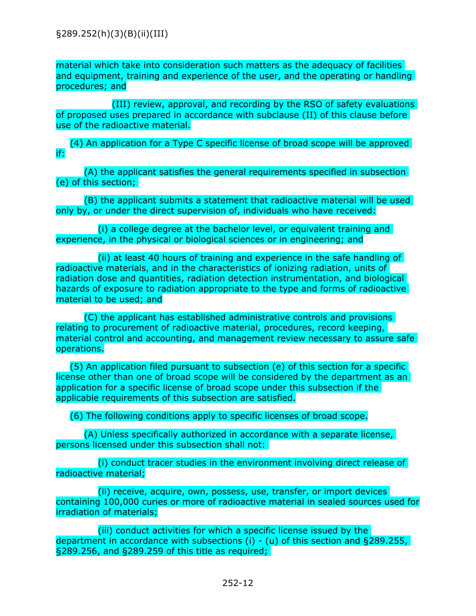material which take into consideration such matters as the adequacy of facilities and equipment, training and experience of the user, and the operating or handling procedures; and

(III) review, approval, and recording by the RSO of safety evaluations of proposed uses prepared in accordance with subclause (II) of this clause before use of the radioactive material.

(4) An application for a Type C specific license of broad scope will be approved if:

(A) the applicant satisfies the general requirements specified in subsection (e) of this section;

(B) the applicant submits a statement that radioactive material will be used only by, or under the direct supervision of, individuals who have received:

(i) a college degree at the bachelor level, or equivalent training and experience, in the physical or biological sciences or in engineering; and

(ii) at least 40 hours of training and experience in the safe handling of radioactive materials, and in the characteristics of ionizing radiation, units of radiation dose and quantities, radiation detection instrumentation, and biological hazards of exposure to radiation appropriate to the type and forms of radioactive material to be used; and

(C) the applicant has established administrative controls and provisions relating to procurement of radioactive material, procedures, record keeping, material control and accounting, and management review necessary to assure safe operations.

(5) An application filed pursuant to subsection (e) of this section for a specific license other than one of broad scope will be considered by the department as an application for a specific license of broad scope under this subsection if the applicable requirements of this subsection are satisfied.

(6) The following conditions apply to specific licenses of broad scope.

(A) Unless specifically authorized in accordance with a separate license, persons licensed under this subsection shall not:

(i) conduct tracer studies in the environment involving direct release of radioactive material;

(ii) receive, acquire, own, possess, use, transfer, or import devices containing 100,000 curies or more of radioactive material in sealed sources used for irradiation of materials;

(iii) conduct activities for which a specific license issued by the department in accordance with subsections (i) - (u) of this section and §289.255, §289.256, and §289.259 of this title as required;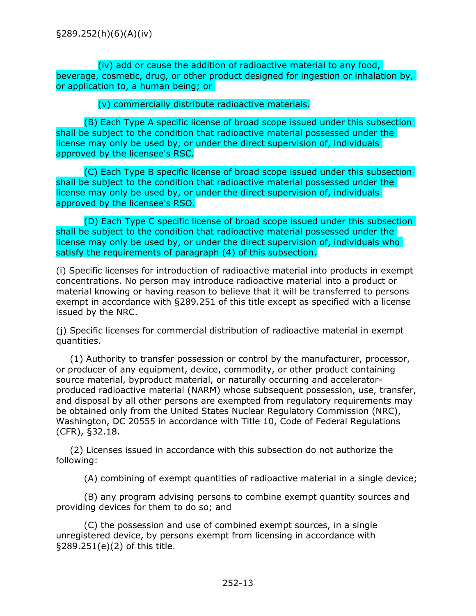<span id="page-15-0"></span>(iv) add or cause the addition of radioactive material to any food, beverage, cosmetic, drug, or other product designed for ingestion or inhalation by, or application to, a human being; or

(v) commercially distribute radioactive materials.

(B) Each Type A specific license of broad scope issued under this subsection shall be subject to the condition that radioactive material possessed under the license may only be used by, or under the direct supervision of, individuals approved by the licensee's RSC.

(C) Each Type B specific license of broad scope issued under this subsection shall be subject to the condition that radioactive material possessed under the license may only be used by, or under the direct supervision of, individuals approved by the licensee's RSO.

(D) Each Type C specific license of broad scope issued under this subsection shall be subject to the condition that radioactive material possessed under the license may only be used by, or under the direct supervision of, individuals who satisfy the requirements of paragraph (4) of this subsection.

(i) Specific licenses for introduction of radioactive material into products in exempt concentrations. No person may introduce radioactive material into a product or material knowing or having reason to believe that it will be transferred to persons exempt in accordance with §289.251 of this title except as specified with a license issued by the NRC.

(j) Specific licenses for commercial distribution of radioactive material in exempt quantities.

(1) Authority to transfer possession or control by the manufacturer, processor, or producer of any equipment, device, commodity, or other product containing source material, byproduct material, or naturally occurring and acceleratorproduced radioactive material (NARM) whose subsequent possession, use, transfer, and disposal by all other persons are exempted from regulatory requirements may be obtained only from the United States Nuclear Regulatory Commission (NRC), Washington, DC 20555 in accordance with Title 10, Code of Federal Regulations (CFR), §32.18.

(2) Licenses issued in accordance with this subsection do not authorize the following:

(A) combining of exempt quantities of radioactive material in a single device;

(B) any program advising persons to combine exempt quantity sources and providing devices for them to do so; and

(C) the possession and use of combined exempt sources, in a single unregistered device, by persons exempt from licensing in accordance with §289.251(e)(2) of this title.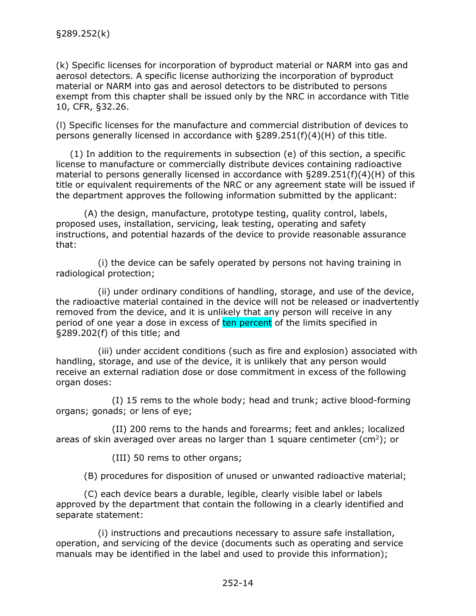<span id="page-16-0"></span>(k) Specific licenses for incorporation of byproduct material or NARM into gas and aerosol detectors. A specific license authorizing the incorporation of byproduct material or NARM into gas and aerosol detectors to be distributed to persons exempt from this chapter shall be issued only by the NRC in accordance with Title 10, CFR, §32.26.

(l) Specific licenses for the manufacture and commercial distribution of devices to persons generally licensed in accordance with §289.251(f)(4)(H) of this title.

(1) In addition to the requirements in subsection (e) of this section, a specific license to manufacture or commercially distribute devices containing radioactive material to persons generally licensed in accordance with §289.251(f)(4)(H) of this title or equivalent requirements of the NRC or any agreement state will be issued if the department approves the following information submitted by the applicant:

(A) the design, manufacture, prototype testing, quality control, labels, proposed uses, installation, servicing, leak testing, operating and safety instructions, and potential hazards of the device to provide reasonable assurance that:

(i) the device can be safely operated by persons not having training in radiological protection;

(ii) under ordinary conditions of handling, storage, and use of the device, the radioactive material contained in the device will not be released or inadvertently removed from the device, and it is unlikely that any person will receive in any period of one year a dose in excess of ten percent of the limits specified in §289.202(f) of this title; and

(iii) under accident conditions (such as fire and explosion) associated with handling, storage, and use of the device, it is unlikely that any person would receive an external radiation dose or dose commitment in excess of the following organ doses:

(I) 15 rems to the whole body; head and trunk; active blood-forming organs; gonads; or lens of eye;

(II) 200 rems to the hands and forearms; feet and ankles; localized areas of skin averaged over areas no larger than 1 square centimeter (cm<sup>2</sup>); or

(III) 50 rems to other organs;

(B) procedures for disposition of unused or unwanted radioactive material;

(C) each device bears a durable, legible, clearly visible label or labels approved by the department that contain the following in a clearly identified and separate statement:

(i) instructions and precautions necessary to assure safe installation, operation, and servicing of the device (documents such as operating and service manuals may be identified in the label and used to provide this information);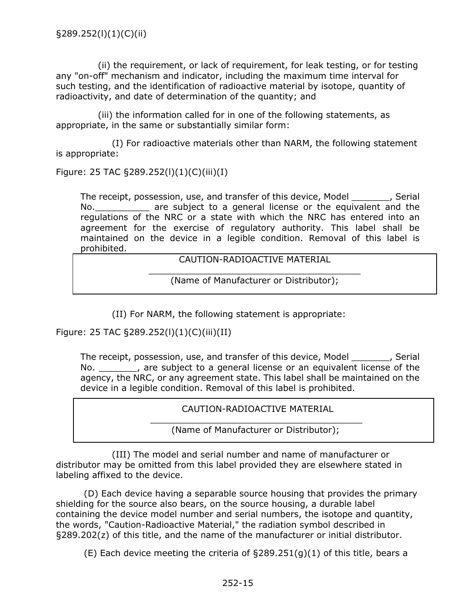(ii) the requirement, or lack of requirement, for leak testing, or for testing any "on-off" mechanism and indicator, including the maximum time interval for such testing, and the identification of radioactive material by isotope, quantity of radioactivity, and date of determination of the quantity; and

(iii) the information called for in one of the following statements, as appropriate, in the same or substantially similar form:

(I) For radioactive materials other than NARM, the following statement is appropriate:

Figure: 25 TAC §289.252(l)(1)(C)(iii)(I)

The receipt, possession, use, and transfer of this device, Model \_\_\_\_\_\_\_, Serial No. The subject to a general license or the equivalent and the regulations of the NRC or a state with which the NRC has entered into an agreement for the exercise of regulatory authority. This label shall be maintained on the device in a legible condition. Removal of this label is prohibited.

CAUTION-RADIOACTIVE MATERIAL

\_\_\_\_\_\_\_\_\_\_\_\_\_\_\_\_\_\_\_\_\_\_\_\_\_\_\_\_\_\_\_\_\_\_\_\_\_\_\_ (Name of Manufacturer or Distributor);

(II) For NARM, the following statement is appropriate:

Figure: 25 TAC §289.252(l)(1)(C)(iii)(II)

The receipt, possession, use, and transfer of this device, Model \_\_\_\_\_\_\_, Serial No. \_\_\_\_\_\_\_, are subject to a general license or an equivalent license of the agency, the NRC, or any agreement state. This label shall be maintained on the device in a legible condition. Removal of this label is prohibited.

CAUTION-RADIOACTIVE MATERIAL

\_\_\_\_\_\_\_\_\_\_\_\_\_\_\_\_\_\_\_\_\_\_\_\_\_\_\_\_\_\_\_\_\_\_\_\_\_\_\_ (Name of Manufacturer or Distributor);

(III) The model and serial number and name of manufacturer or distributor may be omitted from this label provided they are elsewhere stated in labeling affixed to the device.

(D) Each device having a separable source housing that provides the primary shielding for the source also bears, on the source housing, a durable label containing the device model number and serial numbers, the isotope and quantity, the words, "Caution-Radioactive Material," the radiation symbol described in §289.202(z) of this title, and the name of the manufacturer or initial distributor.

(E) Each device meeting the criteria of  $\S 289.251(q)(1)$  of this title, bears a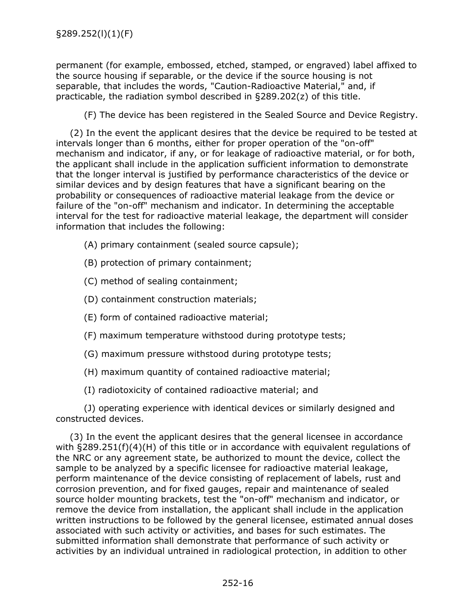permanent (for example, embossed, etched, stamped, or engraved) label affixed to the source housing if separable, or the device if the source housing is not separable, that includes the words, "Caution-Radioactive Material," and, if practicable, the radiation symbol described in §289.202(z) of this title.

(F) The device has been registered in the Sealed Source and Device Registry.

(2) In the event the applicant desires that the device be required to be tested at intervals longer than 6 months, either for proper operation of the "on-off" mechanism and indicator, if any, or for leakage of radioactive material, or for both, the applicant shall include in the application sufficient information to demonstrate that the longer interval is justified by performance characteristics of the device or similar devices and by design features that have a significant bearing on the probability or consequences of radioactive material leakage from the device or failure of the "on-off" mechanism and indicator. In determining the acceptable interval for the test for radioactive material leakage, the department will consider information that includes the following:

(A) primary containment (sealed source capsule);

(B) protection of primary containment;

(C) method of sealing containment;

(D) containment construction materials;

- (E) form of contained radioactive material;
- (F) maximum temperature withstood during prototype tests;
- (G) maximum pressure withstood during prototype tests;

(H) maximum quantity of contained radioactive material;

(I) radiotoxicity of contained radioactive material; and

(J) operating experience with identical devices or similarly designed and constructed devices.

(3) In the event the applicant desires that the general licensee in accordance with  $\S 289.251(f)(4)(H)$  of this title or in accordance with equivalent regulations of the NRC or any agreement state, be authorized to mount the device, collect the sample to be analyzed by a specific licensee for radioactive material leakage, perform maintenance of the device consisting of replacement of labels, rust and corrosion prevention, and for fixed gauges, repair and maintenance of sealed source holder mounting brackets, test the "on-off" mechanism and indicator, or remove the device from installation, the applicant shall include in the application written instructions to be followed by the general licensee, estimated annual doses associated with such activity or activities, and bases for such estimates. The submitted information shall demonstrate that performance of such activity or activities by an individual untrained in radiological protection, in addition to other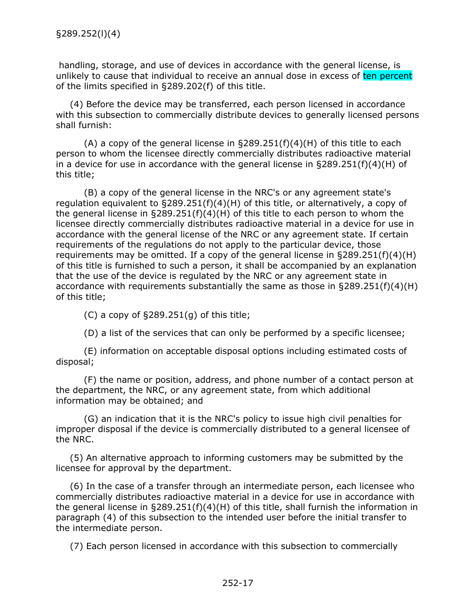handling, storage, and use of devices in accordance with the general license, is unlikely to cause that individual to receive an annual dose in excess of ten percent of the limits specified in §289.202(f) of this title.

(4) Before the device may be transferred, each person licensed in accordance with this subsection to commercially distribute devices to generally licensed persons shall furnish:

(A) a copy of the general license in  $\Sigma$ 89.251(f)(4)(H) of this title to each person to whom the licensee directly commercially distributes radioactive material in a device for use in accordance with the general license in §289.251(f)(4)(H) of this title;

(B) a copy of the general license in the NRC's or any agreement state's regulation equivalent to §289.251(f)(4)(H) of this title, or alternatively, a copy of the general license in  $\S 289.251(f)(4)(H)$  of this title to each person to whom the licensee directly commercially distributes radioactive material in a device for use in accordance with the general license of the NRC or any agreement state. If certain requirements of the regulations do not apply to the particular device, those requirements may be omitted. If a copy of the general license in  $\S 289.251(f)(4)(H)$ of this title is furnished to such a person, it shall be accompanied by an explanation that the use of the device is regulated by the NRC or any agreement state in accordance with requirements substantially the same as those in §289.251(f)(4)(H) of this title;

 $(C)$  a copy of §289.251 $(g)$  of this title;

(D) a list of the services that can only be performed by a specific licensee;

(E) information on acceptable disposal options including estimated costs of disposal;

(F) the name or position, address, and phone number of a contact person at the department, the NRC, or any agreement state, from which additional information may be obtained; and

(G) an indication that it is the NRC's policy to issue high civil penalties for improper disposal if the device is commercially distributed to a general licensee of the NRC.

(5) An alternative approach to informing customers may be submitted by the licensee for approval by the department.

(6) In the case of a transfer through an intermediate person, each licensee who commercially distributes radioactive material in a device for use in accordance with the general license in  $\S 289.251(f)(4)(H)$  of this title, shall furnish the information in paragraph (4) of this subsection to the intended user before the initial transfer to the intermediate person.

(7) Each person licensed in accordance with this subsection to commercially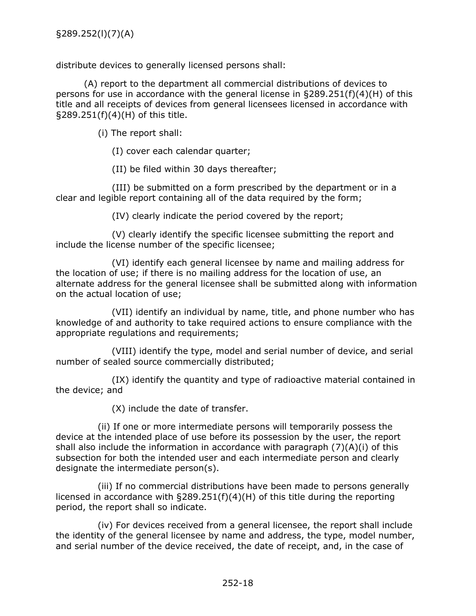distribute devices to generally licensed persons shall:

(A) report to the department all commercial distributions of devices to persons for use in accordance with the general license in §289.251(f)(4)(H) of this title and all receipts of devices from general licensees licensed in accordance with §289.251(f)(4)(H) of this title.

(i) The report shall:

(I) cover each calendar quarter;

(II) be filed within 30 days thereafter;

(III) be submitted on a form prescribed by the department or in a clear and legible report containing all of the data required by the form;

(IV) clearly indicate the period covered by the report;

(V) clearly identify the specific licensee submitting the report and include the license number of the specific licensee;

(VI) identify each general licensee by name and mailing address for the location of use; if there is no mailing address for the location of use, an alternate address for the general licensee shall be submitted along with information on the actual location of use;

(VII) identify an individual by name, title, and phone number who has knowledge of and authority to take required actions to ensure compliance with the appropriate regulations and requirements;

(VIII) identify the type, model and serial number of device, and serial number of sealed source commercially distributed;

(IX) identify the quantity and type of radioactive material contained in the device; and

(X) include the date of transfer.

(ii) If one or more intermediate persons will temporarily possess the device at the intended place of use before its possession by the user, the report shall also include the information in accordance with paragraph (7)(A)(i) of this subsection for both the intended user and each intermediate person and clearly designate the intermediate person(s).

(iii) If no commercial distributions have been made to persons generally licensed in accordance with §289.251(f)(4)(H) of this title during the reporting period, the report shall so indicate.

(iv) For devices received from a general licensee, the report shall include the identity of the general licensee by name and address, the type, model number, and serial number of the device received, the date of receipt, and, in the case of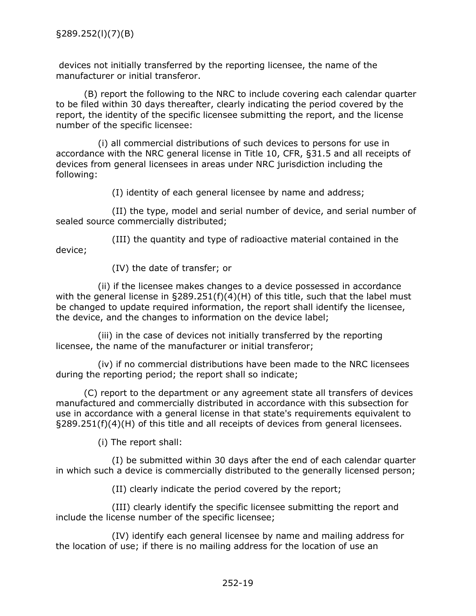devices not initially transferred by the reporting licensee, the name of the manufacturer or initial transferor.

(B) report the following to the NRC to include covering each calendar quarter to be filed within 30 days thereafter, clearly indicating the period covered by the report, the identity of the specific licensee submitting the report, and the license number of the specific licensee:

(i) all commercial distributions of such devices to persons for use in accordance with the NRC general license in Title 10, CFR, §31.5 and all receipts of devices from general licensees in areas under NRC jurisdiction including the following:

(I) identity of each general licensee by name and address;

(II) the type, model and serial number of device, and serial number of sealed source commercially distributed;

(III) the quantity and type of radioactive material contained in the device;

(IV) the date of transfer; or

(ii) if the licensee makes changes to a device possessed in accordance with the general license in §289.251(f)(4)(H) of this title, such that the label must be changed to update required information, the report shall identify the licensee, the device, and the changes to information on the device label;

(iii) in the case of devices not initially transferred by the reporting licensee, the name of the manufacturer or initial transferor;

(iv) if no commercial distributions have been made to the NRC licensees during the reporting period; the report shall so indicate;

(C) report to the department or any agreement state all transfers of devices manufactured and commercially distributed in accordance with this subsection for use in accordance with a general license in that state's requirements equivalent to §289.251(f)(4)(H) of this title and all receipts of devices from general licensees.

(i) The report shall:

(I) be submitted within 30 days after the end of each calendar quarter in which such a device is commercially distributed to the generally licensed person;

(II) clearly indicate the period covered by the report;

(III) clearly identify the specific licensee submitting the report and include the license number of the specific licensee;

(IV) identify each general licensee by name and mailing address for the location of use; if there is no mailing address for the location of use an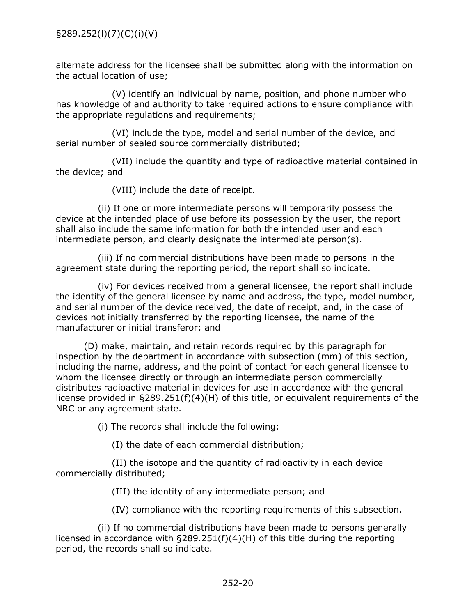alternate address for the licensee shall be submitted along with the information on the actual location of use;

(V) identify an individual by name, position, and phone number who has knowledge of and authority to take required actions to ensure compliance with the appropriate regulations and requirements;

(VI) include the type, model and serial number of the device, and serial number of sealed source commercially distributed;

(VII) include the quantity and type of radioactive material contained in the device; and

(VIII) include the date of receipt.

(ii) If one or more intermediate persons will temporarily possess the device at the intended place of use before its possession by the user, the report shall also include the same information for both the intended user and each intermediate person, and clearly designate the intermediate person(s).

(iii) If no commercial distributions have been made to persons in the agreement state during the reporting period, the report shall so indicate.

(iv) For devices received from a general licensee, the report shall include the identity of the general licensee by name and address, the type, model number, and serial number of the device received, the date of receipt, and, in the case of devices not initially transferred by the reporting licensee, the name of the manufacturer or initial transferor; and

(D) make, maintain, and retain records required by this paragraph for inspection by the department in accordance with subsection (mm) of this section, including the name, address, and the point of contact for each general licensee to whom the licensee directly or through an intermediate person commercially distributes radioactive material in devices for use in accordance with the general license provided in §289.251(f)(4)(H) of this title, or equivalent requirements of the NRC or any agreement state.

(i) The records shall include the following:

(I) the date of each commercial distribution;

(II) the isotope and the quantity of radioactivity in each device commercially distributed;

(III) the identity of any intermediate person; and

(IV) compliance with the reporting requirements of this subsection.

(ii) If no commercial distributions have been made to persons generally licensed in accordance with §289.251(f)(4)(H) of this title during the reporting period, the records shall so indicate.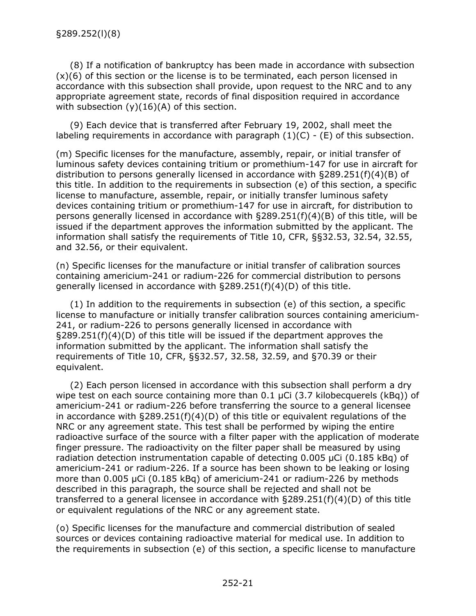<span id="page-23-0"></span>(8) If a notification of bankruptcy has been made in accordance with subsection  $(x)(6)$  of this section or the license is to be terminated, each person licensed in accordance with this subsection shall provide, upon request to the NRC and to any appropriate agreement state, records of final disposition required in accordance with subsection  $(y)(16)(A)$  of this section.

(9) Each device that is transferred after February 19, 2002, shall meet the labeling requirements in accordance with paragraph  $(1)(C)$  -  $(E)$  of this subsection.

(m) Specific licenses for the manufacture, assembly, repair, or initial transfer of luminous safety devices containing tritium or promethium-147 for use in aircraft for distribution to persons generally licensed in accordance with  $\S 289.251(f)(4)(B)$  of this title. In addition to the requirements in subsection (e) of this section, a specific license to manufacture, assemble, repair, or initially transfer luminous safety devices containing tritium or promethium-147 for use in aircraft, for distribution to persons generally licensed in accordance with  $\S 289.251(f)(4)(B)$  of this title, will be issued if the department approves the information submitted by the applicant. The information shall satisfy the requirements of Title 10, CFR, §§32.53, 32.54, 32.55, and 32.56, or their equivalent.

(n) Specific licenses for the manufacture or initial transfer of calibration sources containing americium-241 or radium-226 for commercial distribution to persons generally licensed in accordance with §289.251(f)(4)(D) of this title.

(1) In addition to the requirements in subsection (e) of this section, a specific license to manufacture or initially transfer calibration sources containing americium-241, or radium-226 to persons generally licensed in accordance with §289.251(f)(4)(D) of this title will be issued if the department approves the information submitted by the applicant. The information shall satisfy the requirements of Title 10, CFR, §§32.57, 32.58, 32.59, and §70.39 or their equivalent.

(2) Each person licensed in accordance with this subsection shall perform a dry wipe test on each source containing more than 0.1 µCi (3.7 kilobecquerels (kBq)) of americium-241 or radium-226 before transferring the source to a general licensee in accordance with  $\S 289.251(f)(4)(D)$  of this title or equivalent regulations of the NRC or any agreement state. This test shall be performed by wiping the entire radioactive surface of the source with a filter paper with the application of moderate finger pressure. The radioactivity on the filter paper shall be measured by using radiation detection instrumentation capable of detecting 0.005 µCi (0.185 kBq) of americium-241 or radium-226. If a source has been shown to be leaking or losing more than 0.005 µCi (0.185 kBq) of americium-241 or radium-226 by methods described in this paragraph, the source shall be rejected and shall not be transferred to a general licensee in accordance with  $\S 289.251(f)(4)(D)$  of this title or equivalent regulations of the NRC or any agreement state.

(o) Specific licenses for the manufacture and commercial distribution of sealed sources or devices containing radioactive material for medical use. In addition to the requirements in subsection (e) of this section, a specific license to manufacture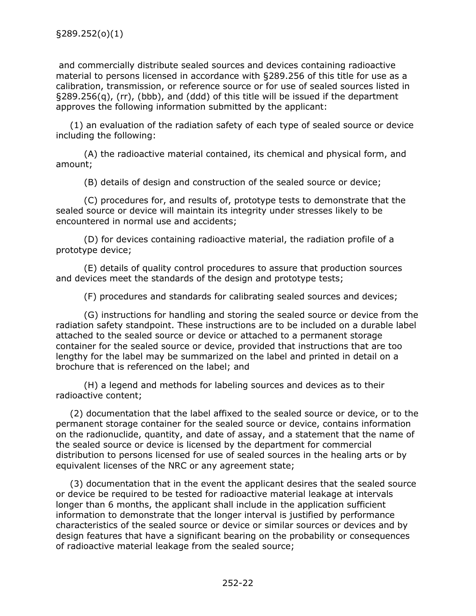and commercially distribute sealed sources and devices containing radioactive material to persons licensed in accordance with §289.256 of this title for use as a calibration, transmission, or reference source or for use of sealed sources listed in §289.256(q), (rr), (bbb), and (ddd) of this title will be issued if the department approves the following information submitted by the applicant:

(1) an evaluation of the radiation safety of each type of sealed source or device including the following:

(A) the radioactive material contained, its chemical and physical form, and amount;

(B) details of design and construction of the sealed source or device;

(C) procedures for, and results of, prototype tests to demonstrate that the sealed source or device will maintain its integrity under stresses likely to be encountered in normal use and accidents;

(D) for devices containing radioactive material, the radiation profile of a prototype device;

(E) details of quality control procedures to assure that production sources and devices meet the standards of the design and prototype tests;

(F) procedures and standards for calibrating sealed sources and devices;

(G) instructions for handling and storing the sealed source or device from the radiation safety standpoint. These instructions are to be included on a durable label attached to the sealed source or device or attached to a permanent storage container for the sealed source or device, provided that instructions that are too lengthy for the label may be summarized on the label and printed in detail on a brochure that is referenced on the label; and

(H) a legend and methods for labeling sources and devices as to their radioactive content;

(2) documentation that the label affixed to the sealed source or device, or to the permanent storage container for the sealed source or device, contains information on the radionuclide, quantity, and date of assay, and a statement that the name of the sealed source or device is licensed by the department for commercial distribution to persons licensed for use of sealed sources in the healing arts or by equivalent licenses of the NRC or any agreement state;

(3) documentation that in the event the applicant desires that the sealed source or device be required to be tested for radioactive material leakage at intervals longer than 6 months, the applicant shall include in the application sufficient information to demonstrate that the longer interval is justified by performance characteristics of the sealed source or device or similar sources or devices and by design features that have a significant bearing on the probability or consequences of radioactive material leakage from the sealed source;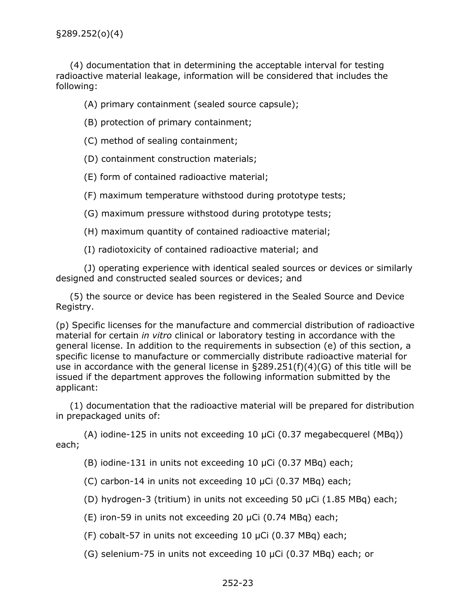§289.252(o)(4)

(4) documentation that in determining the acceptable interval for testing radioactive material leakage, information will be considered that includes the following:

(A) primary containment (sealed source capsule);

(B) protection of primary containment;

(C) method of sealing containment;

(D) containment construction materials;

(E) form of contained radioactive material;

(F) maximum temperature withstood during prototype tests;

(G) maximum pressure withstood during prototype tests;

(H) maximum quantity of contained radioactive material;

(I) radiotoxicity of contained radioactive material; and

(J) operating experience with identical sealed sources or devices or similarly designed and constructed sealed sources or devices; and

(5) the source or device has been registered in the Sealed Source and Device Registry.

(p) Specific licenses for the manufacture and commercial distribution of radioactive material for certain *in vitro* clinical or laboratory testing in accordance with the general license. In addition to the requirements in subsection (e) of this section, a specific license to manufacture or commercially distribute radioactive material for use in accordance with the general license in  $\S 289.251(f)(4)(G)$  of this title will be issued if the department approves the following information submitted by the applicant:

(1) documentation that the radioactive material will be prepared for distribution in prepackaged units of:

(A) iodine-125 in units not exceeding 10  $\mu$ Ci (0.37 megabecquerel (MBq)) each;

(B) iodine-131 in units not exceeding 10 µCi (0.37 MBq) each;

(C) carbon-14 in units not exceeding 10 µCi (0.37 MBq) each;

(D) hydrogen-3 (tritium) in units not exceeding 50 µCi (1.85 MBq) each;

(E) iron-59 in units not exceeding 20 µCi (0.74 MBq) each;

(F) cobalt-57 in units not exceeding 10 µCi (0.37 MBq) each;

(G) selenium-75 in units not exceeding 10 µCi (0.37 MBq) each; or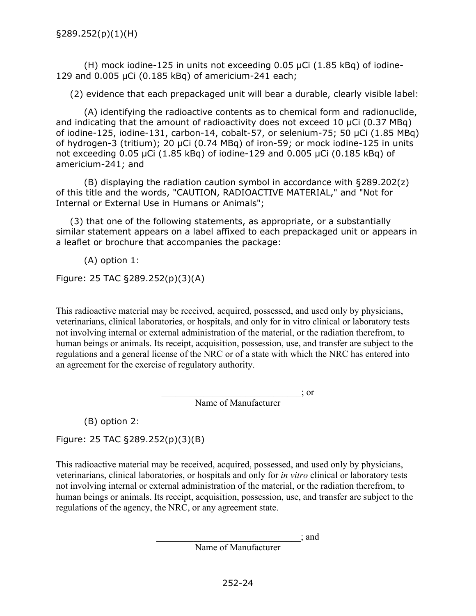(H) mock iodine-125 in units not exceeding 0.05 µCi (1.85 kBq) of iodine-129 and 0.005 µCi (0.185 kBq) of americium-241 each;

(2) evidence that each prepackaged unit will bear a durable, clearly visible label:

(A) identifying the radioactive contents as to chemical form and radionuclide, and indicating that the amount of radioactivity does not exceed 10 µCi (0.37 MBq) of iodine-125, iodine-131, carbon-14, cobalt-57, or selenium-75; 50 µCi (1.85 MBq) of hydrogen-3 (tritium); 20 µCi (0.74 MBq) of iron-59; or mock iodine-125 in units not exceeding 0.05 µCi (1.85 kBq) of iodine-129 and 0.005 µCi (0.185 kBq) of americium-241; and

(B) displaying the radiation caution symbol in accordance with §289.202(z) of this title and the words, "CAUTION, RADIOACTIVE MATERIAL," and "Not for Internal or External Use in Humans or Animals";

(3) that one of the following statements, as appropriate, or a substantially similar statement appears on a label affixed to each prepackaged unit or appears in a leaflet or brochure that accompanies the package:

(A) option 1:

Figure: 25 TAC §289.252(p)(3)(A)

This radioactive material may be received, acquired, possessed, and used only by physicians, veterinarians, clinical laboratories, or hospitals, and only for in vitro clinical or laboratory tests not involving internal or external administration of the material, or the radiation therefrom, to human beings or animals. Its receipt, acquisition, possession, use, and transfer are subject to the regulations and a general license of the NRC or of a state with which the NRC has entered into an agreement for the exercise of regulatory authority.

 $\therefore$  or

Name of Manufacturer

(B) option 2:

Figure: 25 TAC §289.252(p)(3)(B)

This radioactive material may be received, acquired, possessed, and used only by physicians, veterinarians, clinical laboratories, or hospitals and only for *in vitro* clinical or laboratory tests not involving internal or external administration of the material, or the radiation therefrom, to human beings or animals. Its receipt, acquisition, possession, use, and transfer are subject to the regulations of the agency, the NRC, or any agreement state.

> \_\_\_\_\_\_\_\_\_\_\_\_\_\_\_\_\_\_\_\_\_\_\_\_\_\_\_\_\_\_\_; and Name of Manufacturer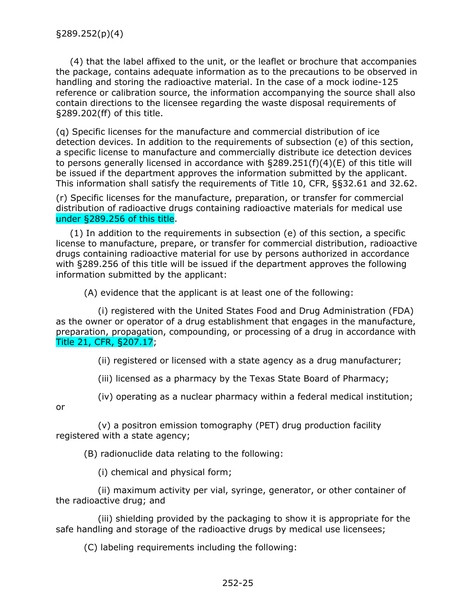<span id="page-27-0"></span>(4) that the label affixed to the unit, or the leaflet or brochure that accompanies the package, contains adequate information as to the precautions to be observed in handling and storing the radioactive material. In the case of a mock iodine-125 reference or calibration source, the information accompanying the source shall also contain directions to the licensee regarding the waste disposal requirements of §289.202(ff) of this title.

(q) Specific licenses for the manufacture and commercial distribution of ice detection devices. In addition to the requirements of subsection (e) of this section, a specific license to manufacture and commercially distribute ice detection devices to persons generally licensed in accordance with §289.251(f)(4)(E) of this title will be issued if the department approves the information submitted by the applicant. This information shall satisfy the requirements of Title 10, CFR, §§32.61 and 32.62.

(r) Specific licenses for the manufacture, preparation, or transfer for commercial distribution of radioactive drugs containing radioactive materials for medical use under §289.256 of this title.

(1) In addition to the requirements in subsection (e) of this section, a specific license to manufacture, prepare, or transfer for commercial distribution, radioactive drugs containing radioactive material for use by persons authorized in accordance with §289.256 of this title will be issued if the department approves the following information submitted by the applicant:

(A) evidence that the applicant is at least one of the following:

(i) registered with the United States Food and Drug Administration (FDA) as the owner or operator of a drug establishment that engages in the manufacture, preparation, propagation, compounding, or processing of a drug in accordance with Title 21, CFR, §207.17;

(ii) registered or licensed with a state agency as a drug manufacturer;

(iii) licensed as a pharmacy by the Texas State Board of Pharmacy;

(iv) operating as a nuclear pharmacy within a federal medical institution;

or

(v) a positron emission tomography (PET) drug production facility registered with a state agency;

(B) radionuclide data relating to the following:

(i) chemical and physical form;

(ii) maximum activity per vial, syringe, generator, or other container of the radioactive drug; and

(iii) shielding provided by the packaging to show it is appropriate for the safe handling and storage of the radioactive drugs by medical use licensees;

(C) labeling requirements including the following: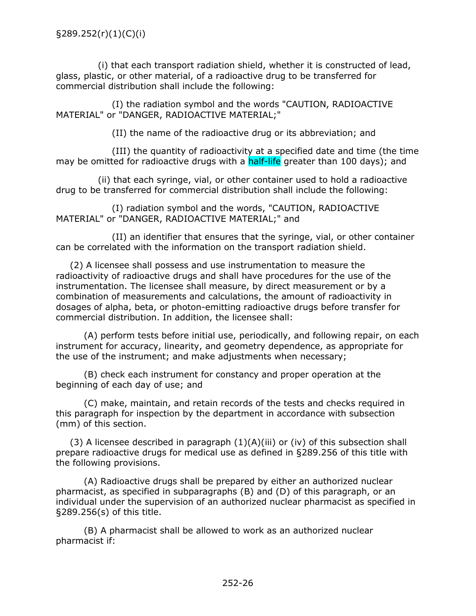(i) that each transport radiation shield, whether it is constructed of lead, glass, plastic, or other material, of a radioactive drug to be transferred for commercial distribution shall include the following:

(I) the radiation symbol and the words "CAUTION, RADIOACTIVE MATERIAL" or "DANGER, RADIOACTIVE MATERIAL;"

(II) the name of the radioactive drug or its abbreviation; and

(III) the quantity of radioactivity at a specified date and time (the time may be omitted for radioactive drugs with a half-life greater than 100 days); and

(ii) that each syringe, vial, or other container used to hold a radioactive drug to be transferred for commercial distribution shall include the following:

(I) radiation symbol and the words, "CAUTION, RADIOACTIVE MATERIAL" or "DANGER, RADIOACTIVE MATERIAL;" and

(II) an identifier that ensures that the syringe, vial, or other container can be correlated with the information on the transport radiation shield.

(2) A licensee shall possess and use instrumentation to measure the radioactivity of radioactive drugs and shall have procedures for the use of the instrumentation. The licensee shall measure, by direct measurement or by a combination of measurements and calculations, the amount of radioactivity in dosages of alpha, beta, or photon-emitting radioactive drugs before transfer for commercial distribution. In addition, the licensee shall:

(A) perform tests before initial use, periodically, and following repair, on each instrument for accuracy, linearity, and geometry dependence, as appropriate for the use of the instrument; and make adjustments when necessary;

(B) check each instrument for constancy and proper operation at the beginning of each day of use; and

(C) make, maintain, and retain records of the tests and checks required in this paragraph for inspection by the department in accordance with subsection (mm) of this section.

(3) A licensee described in paragraph  $(1)(A)(iii)$  or (iv) of this subsection shall prepare radioactive drugs for medical use as defined in §289.256 of this title with the following provisions.

(A) Radioactive drugs shall be prepared by either an authorized nuclear pharmacist, as specified in subparagraphs (B) and (D) of this paragraph, or an individual under the supervision of an authorized nuclear pharmacist as specified in §289.256(s) of this title.

(B) A pharmacist shall be allowed to work as an authorized nuclear pharmacist if: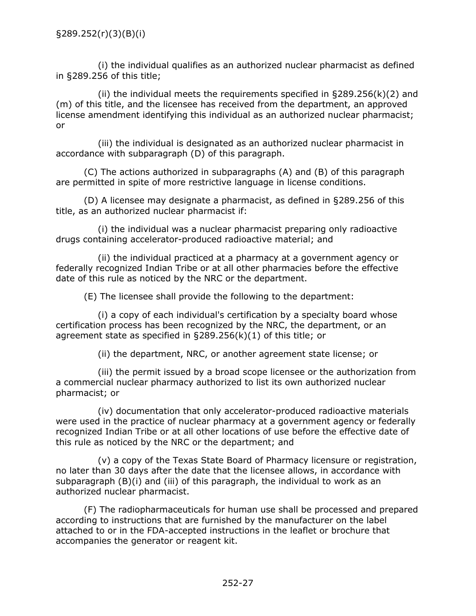(i) the individual qualifies as an authorized nuclear pharmacist as defined in §289.256 of this title;

(ii) the individual meets the requirements specified in  $\S 289.256(k)(2)$  and (m) of this title, and the licensee has received from the department, an approved license amendment identifying this individual as an authorized nuclear pharmacist; or

(iii) the individual is designated as an authorized nuclear pharmacist in accordance with subparagraph (D) of this paragraph.

(C) The actions authorized in subparagraphs (A) and (B) of this paragraph are permitted in spite of more restrictive language in license conditions.

(D) A licensee may designate a pharmacist, as defined in §289.256 of this title, as an authorized nuclear pharmacist if:

(i) the individual was a nuclear pharmacist preparing only radioactive drugs containing accelerator-produced radioactive material; and

(ii) the individual practiced at a pharmacy at a government agency or federally recognized Indian Tribe or at all other pharmacies before the effective date of this rule as noticed by the NRC or the department.

(E) The licensee shall provide the following to the department:

(i) a copy of each individual's certification by a specialty board whose certification process has been recognized by the NRC, the department, or an agreement state as specified in §289.256(k)(1) of this title; or

(ii) the department, NRC, or another agreement state license; or

(iii) the permit issued by a broad scope licensee or the authorization from a commercial nuclear pharmacy authorized to list its own authorized nuclear pharmacist; or

(iv) documentation that only accelerator-produced radioactive materials were used in the practice of nuclear pharmacy at a government agency or federally recognized Indian Tribe or at all other locations of use before the effective date of this rule as noticed by the NRC or the department; and

(v) a copy of the Texas State Board of Pharmacy licensure or registration, no later than 30 days after the date that the licensee allows, in accordance with subparagraph (B)(i) and (iii) of this paragraph, the individual to work as an authorized nuclear pharmacist.

(F) The radiopharmaceuticals for human use shall be processed and prepared according to instructions that are furnished by the manufacturer on the label attached to or in the FDA-accepted instructions in the leaflet or brochure that accompanies the generator or reagent kit.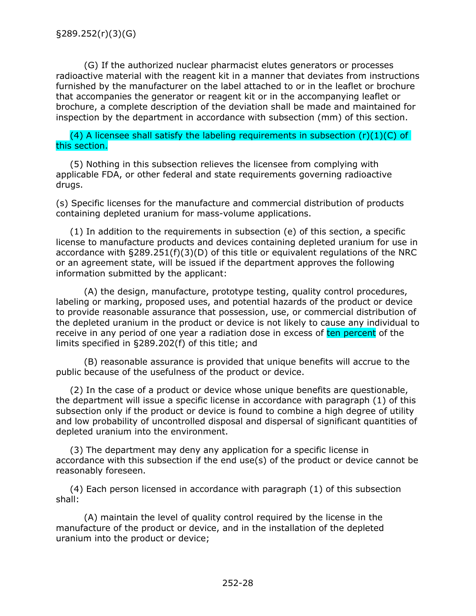<span id="page-30-0"></span>(G) If the authorized nuclear pharmacist elutes generators or processes radioactive material with the reagent kit in a manner that deviates from instructions furnished by the manufacturer on the label attached to or in the leaflet or brochure that accompanies the generator or reagent kit or in the accompanying leaflet or brochure, a complete description of the deviation shall be made and maintained for inspection by the department in accordance with subsection (mm) of this section.

(4) A licensee shall satisfy the labeling requirements in subsection  $(r)(1)(C)$  of this section.

(5) Nothing in this subsection relieves the licensee from complying with applicable FDA, or other federal and state requirements governing radioactive drugs.

(s) Specific licenses for the manufacture and commercial distribution of products containing depleted uranium for mass-volume applications.

(1) In addition to the requirements in subsection (e) of this section, a specific license to manufacture products and devices containing depleted uranium for use in accordance with §289.251(f)(3)(D) of this title or equivalent regulations of the NRC or an agreement state, will be issued if the department approves the following information submitted by the applicant:

(A) the design, manufacture, prototype testing, quality control procedures, labeling or marking, proposed uses, and potential hazards of the product or device to provide reasonable assurance that possession, use, or commercial distribution of the depleted uranium in the product or device is not likely to cause any individual to receive in any period of one year a radiation dose in excess of ten percent of the limits specified in §289.202(f) of this title; and

(B) reasonable assurance is provided that unique benefits will accrue to the public because of the usefulness of the product or device.

(2) In the case of a product or device whose unique benefits are questionable, the department will issue a specific license in accordance with paragraph (1) of this subsection only if the product or device is found to combine a high degree of utility and low probability of uncontrolled disposal and dispersal of significant quantities of depleted uranium into the environment.

(3) The department may deny any application for a specific license in accordance with this subsection if the end use(s) of the product or device cannot be reasonably foreseen.

(4) Each person licensed in accordance with paragraph (1) of this subsection shall:

(A) maintain the level of quality control required by the license in the manufacture of the product or device, and in the installation of the depleted uranium into the product or device;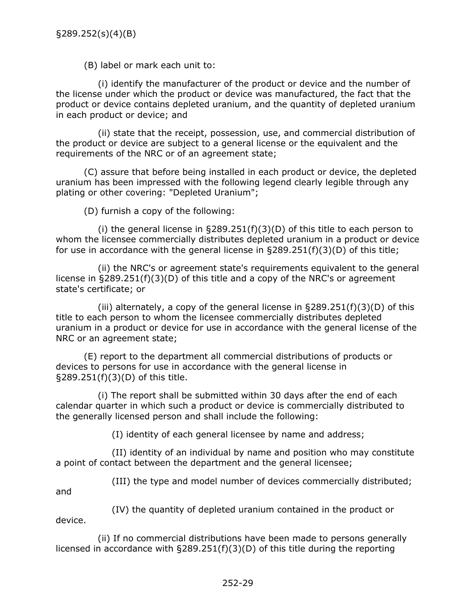(B) label or mark each unit to:

(i) identify the manufacturer of the product or device and the number of the license under which the product or device was manufactured, the fact that the product or device contains depleted uranium, and the quantity of depleted uranium in each product or device; and

(ii) state that the receipt, possession, use, and commercial distribution of the product or device are subject to a general license or the equivalent and the requirements of the NRC or of an agreement state;

(C) assure that before being installed in each product or device, the depleted uranium has been impressed with the following legend clearly legible through any plating or other covering: "Depleted Uranium";

(D) furnish a copy of the following:

(i) the general license in  $\S 289.251(f)(3)(D)$  of this title to each person to whom the licensee commercially distributes depleted uranium in a product or device for use in accordance with the general license in §289.251(f)(3)(D) of this title;

(ii) the NRC's or agreement state's requirements equivalent to the general license in §289.251(f)(3)(D) of this title and a copy of the NRC's or agreement state's certificate; or

(iii) alternately, a copy of the general license in  $\S 289.251(f)(3)(D)$  of this title to each person to whom the licensee commercially distributes depleted uranium in a product or device for use in accordance with the general license of the NRC or an agreement state;

(E) report to the department all commercial distributions of products or devices to persons for use in accordance with the general license in §289.251(f)(3)(D) of this title.

(i) The report shall be submitted within 30 days after the end of each calendar quarter in which such a product or device is commercially distributed to the generally licensed person and shall include the following:

(I) identity of each general licensee by name and address;

(II) identity of an individual by name and position who may constitute a point of contact between the department and the general licensee;

(III) the type and model number of devices commercially distributed;

and

(IV) the quantity of depleted uranium contained in the product or device.

(ii) If no commercial distributions have been made to persons generally licensed in accordance with §289.251(f)(3)(D) of this title during the reporting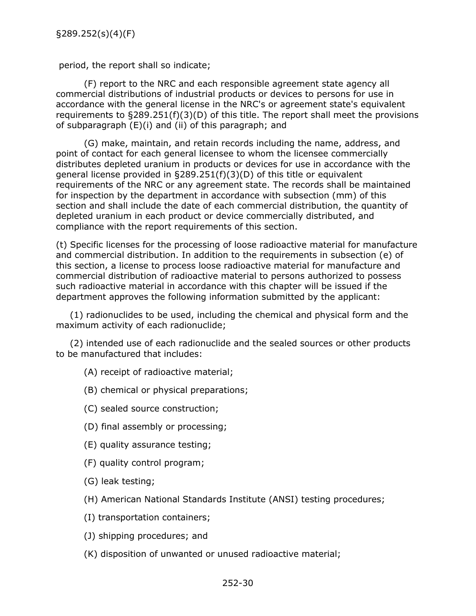<span id="page-32-0"></span>period, the report shall so indicate;

(F) report to the NRC and each responsible agreement state agency all commercial distributions of industrial products or devices to persons for use in accordance with the general license in the NRC's or agreement state's equivalent requirements to  $\S 289.251(f)(3)(D)$  of this title. The report shall meet the provisions of subparagraph (E)(i) and (ii) of this paragraph; and

(G) make, maintain, and retain records including the name, address, and point of contact for each general licensee to whom the licensee commercially distributes depleted uranium in products or devices for use in accordance with the general license provided in  $\S 289.251(f)(3)(D)$  of this title or equivalent requirements of the NRC or any agreement state. The records shall be maintained for inspection by the department in accordance with subsection (mm) of this section and shall include the date of each commercial distribution, the quantity of depleted uranium in each product or device commercially distributed, and compliance with the report requirements of this section.

(t) Specific licenses for the processing of loose radioactive material for manufacture and commercial distribution. In addition to the requirements in subsection (e) of this section, a license to process loose radioactive material for manufacture and commercial distribution of radioactive material to persons authorized to possess such radioactive material in accordance with this chapter will be issued if the department approves the following information submitted by the applicant:

(1) radionuclides to be used, including the chemical and physical form and the maximum activity of each radionuclide;

(2) intended use of each radionuclide and the sealed sources or other products to be manufactured that includes:

(A) receipt of radioactive material;

- (B) chemical or physical preparations;
- (C) sealed source construction;
- (D) final assembly or processing;
- (E) quality assurance testing;
- (F) quality control program;
- (G) leak testing;
- (H) American National Standards Institute (ANSI) testing procedures;
- (I) transportation containers;
- (J) shipping procedures; and
- (K) disposition of unwanted or unused radioactive material;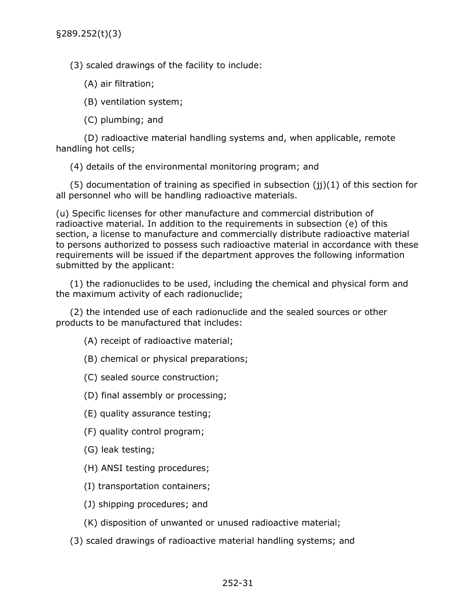<span id="page-33-0"></span>(3) scaled drawings of the facility to include:

(A) air filtration;

(B) ventilation system;

(C) plumbing; and

(D) radioactive material handling systems and, when applicable, remote handling hot cells;

(4) details of the environmental monitoring program; and

 $(5)$  documentation of training as specified in subsection  $(ii)(1)$  of this section for all personnel who will be handling radioactive materials.

(u) Specific licenses for other manufacture and commercial distribution of radioactive material. In addition to the requirements in subsection (e) of this section, a license to manufacture and commercially distribute radioactive material to persons authorized to possess such radioactive material in accordance with these requirements will be issued if the department approves the following information submitted by the applicant:

(1) the radionuclides to be used, including the chemical and physical form and the maximum activity of each radionuclide;

(2) the intended use of each radionuclide and the sealed sources or other products to be manufactured that includes:

(A) receipt of radioactive material;

- (B) chemical or physical preparations;
- (C) sealed source construction;
- (D) final assembly or processing;
- (E) quality assurance testing;
- (F) quality control program;
- (G) leak testing;
- (H) ANSI testing procedures;
- (I) transportation containers;
- (J) shipping procedures; and
- (K) disposition of unwanted or unused radioactive material;
- (3) scaled drawings of radioactive material handling systems; and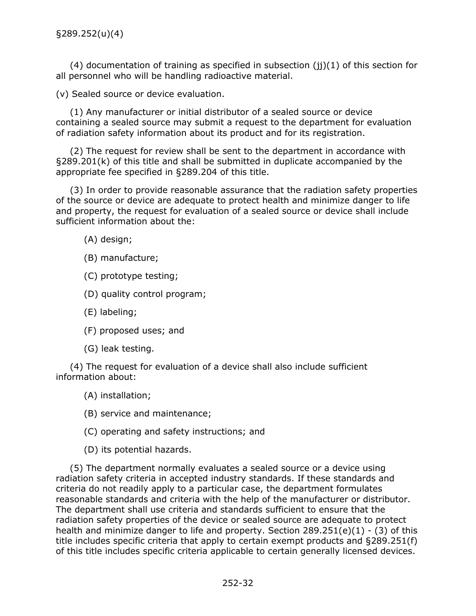<span id="page-34-0"></span> $(4)$  documentation of training as specified in subsection  $(ii)(1)$  of this section for all personnel who will be handling radioactive material.

(v) Sealed source or device evaluation.

(1) Any manufacturer or initial distributor of a sealed source or device containing a sealed source may submit a request to the department for evaluation of radiation safety information about its product and for its registration.

(2) The request for review shall be sent to the department in accordance with §289.201(k) of this title and shall be submitted in duplicate accompanied by the appropriate fee specified in §289.204 of this title.

(3) In order to provide reasonable assurance that the radiation safety properties of the source or device are adequate to protect health and minimize danger to life and property, the request for evaluation of a sealed source or device shall include sufficient information about the:

- (A) design;
- (B) manufacture;
- (C) prototype testing;
- (D) quality control program;
- (E) labeling;
- (F) proposed uses; and
- (G) leak testing.

(4) The request for evaluation of a device shall also include sufficient information about:

- (A) installation;
- (B) service and maintenance;
- (C) operating and safety instructions; and

(D) its potential hazards.

(5) The department normally evaluates a sealed source or a device using radiation safety criteria in accepted industry standards. If these standards and criteria do not readily apply to a particular case, the department formulates reasonable standards and criteria with the help of the manufacturer or distributor. The department shall use criteria and standards sufficient to ensure that the radiation safety properties of the device or sealed source are adequate to protect health and minimize danger to life and property. Section 289.251(e)(1) - (3) of this title includes specific criteria that apply to certain exempt products and §289.251(f) of this title includes specific criteria applicable to certain generally licensed devices.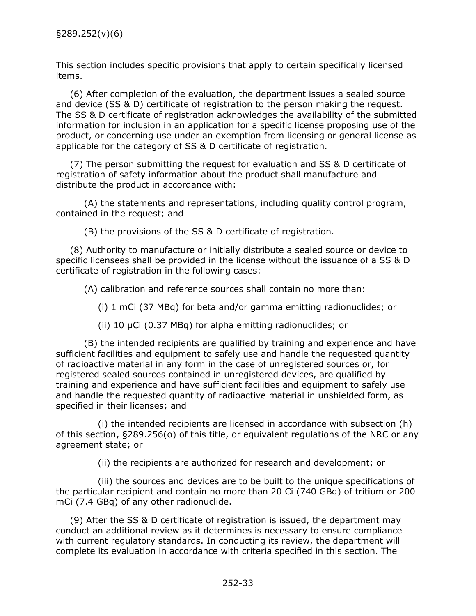This section includes specific provisions that apply to certain specifically licensed items.

(6) After completion of the evaluation, the department issues a sealed source and device (SS & D) certificate of registration to the person making the request. The SS & D certificate of registration acknowledges the availability of the submitted information for inclusion in an application for a specific license proposing use of the product, or concerning use under an exemption from licensing or general license as applicable for the category of SS & D certificate of registration.

(7) The person submitting the request for evaluation and SS & D certificate of registration of safety information about the product shall manufacture and distribute the product in accordance with:

(A) the statements and representations, including quality control program, contained in the request; and

(B) the provisions of the SS & D certificate of registration.

(8) Authority to manufacture or initially distribute a sealed source or device to specific licensees shall be provided in the license without the issuance of a SS & D certificate of registration in the following cases:

(A) calibration and reference sources shall contain no more than:

(i) 1 mCi (37 MBq) for beta and/or gamma emitting radionuclides; or

(ii) 10 µCi (0.37 MBq) for alpha emitting radionuclides; or

(B) the intended recipients are qualified by training and experience and have sufficient facilities and equipment to safely use and handle the requested quantity of radioactive material in any form in the case of unregistered sources or, for registered sealed sources contained in unregistered devices, are qualified by training and experience and have sufficient facilities and equipment to safely use and handle the requested quantity of radioactive material in unshielded form, as specified in their licenses; and

(i) the intended recipients are licensed in accordance with subsection (h) of this section, §289.256(o) of this title, or equivalent regulations of the NRC or any agreement state; or

(ii) the recipients are authorized for research and development; or

(iii) the sources and devices are to be built to the unique specifications of the particular recipient and contain no more than 20 Ci (740 GBq) of tritium or 200 mCi (7.4 GBq) of any other radionuclide.

(9) After the SS & D certificate of registration is issued, the department may conduct an additional review as it determines is necessary to ensure compliance with current regulatory standards. In conducting its review, the department will complete its evaluation in accordance with criteria specified in this section. The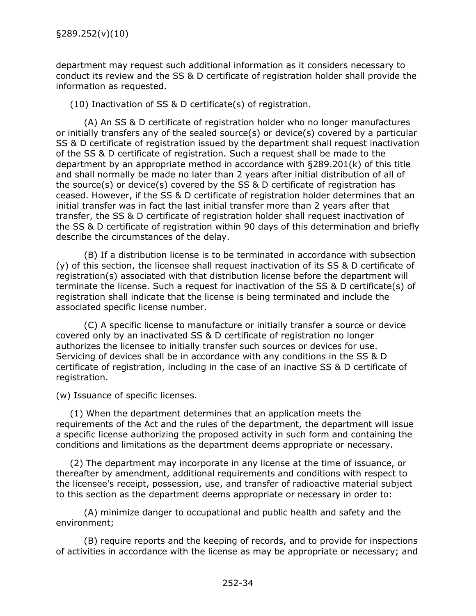department may request such additional information as it considers necessary to conduct its review and the SS & D certificate of registration holder shall provide the information as requested.

(10) Inactivation of SS & D certificate(s) of registration.

(A) An SS & D certificate of registration holder who no longer manufactures or initially transfers any of the sealed source(s) or device(s) covered by a particular SS & D certificate of registration issued by the department shall request inactivation of the SS & D certificate of registration. Such a request shall be made to the department by an appropriate method in accordance with §289.201(k) of this title and shall normally be made no later than 2 years after initial distribution of all of the source(s) or device(s) covered by the SS & D certificate of registration has ceased. However, if the SS & D certificate of registration holder determines that an initial transfer was in fact the last initial transfer more than 2 years after that transfer, the SS & D certificate of registration holder shall request inactivation of the SS & D certificate of registration within 90 days of this determination and briefly describe the circumstances of the delay.

(B) If a distribution license is to be terminated in accordance with subsection (y) of this section, the licensee shall request inactivation of its SS & D certificate of registration(s) associated with that distribution license before the department will terminate the license. Such a request for inactivation of the SS & D certificate(s) of registration shall indicate that the license is being terminated and include the associated specific license number.

(C) A specific license to manufacture or initially transfer a source or device covered only by an inactivated SS & D certificate of registration no longer authorizes the licensee to initially transfer such sources or devices for use. Servicing of devices shall be in accordance with any conditions in the SS & D certificate of registration, including in the case of an inactive SS & D certificate of registration.

(w) Issuance of specific licenses.

(1) When the department determines that an application meets the requirements of the Act and the rules of the department, the department will issue a specific license authorizing the proposed activity in such form and containing the conditions and limitations as the department deems appropriate or necessary.

(2) The department may incorporate in any license at the time of issuance, or thereafter by amendment, additional requirements and conditions with respect to the licensee's receipt, possession, use, and transfer of radioactive material subject to this section as the department deems appropriate or necessary in order to:

(A) minimize danger to occupational and public health and safety and the environment;

(B) require reports and the keeping of records, and to provide for inspections of activities in accordance with the license as may be appropriate or necessary; and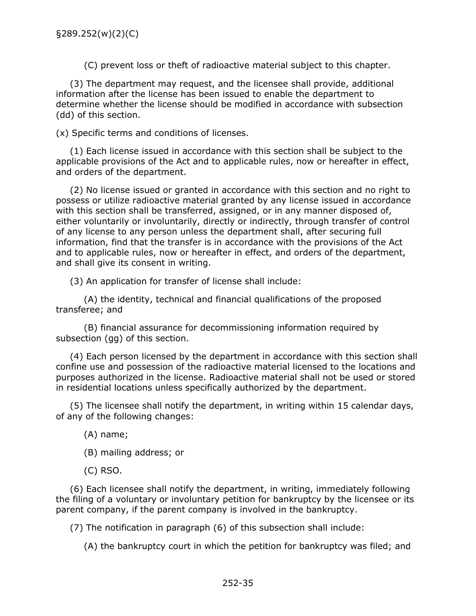(C) prevent loss or theft of radioactive material subject to this chapter.

(3) The department may request, and the licensee shall provide, additional information after the license has been issued to enable the department to determine whether the license should be modified in accordance with subsection (dd) of this section.

(x) Specific terms and conditions of licenses.

(1) Each license issued in accordance with this section shall be subject to the applicable provisions of the Act and to applicable rules, now or hereafter in effect, and orders of the department.

(2) No license issued or granted in accordance with this section and no right to possess or utilize radioactive material granted by any license issued in accordance with this section shall be transferred, assigned, or in any manner disposed of, either voluntarily or involuntarily, directly or indirectly, through transfer of control of any license to any person unless the department shall, after securing full information, find that the transfer is in accordance with the provisions of the Act and to applicable rules, now or hereafter in effect, and orders of the department, and shall give its consent in writing.

(3) An application for transfer of license shall include:

(A) the identity, technical and financial qualifications of the proposed transferee; and

(B) financial assurance for decommissioning information required by subsection (gg) of this section.

(4) Each person licensed by the department in accordance with this section shall confine use and possession of the radioactive material licensed to the locations and purposes authorized in the license. Radioactive material shall not be used or stored in residential locations unless specifically authorized by the department.

(5) The licensee shall notify the department, in writing within 15 calendar days, of any of the following changes:

(A) name;

- (B) mailing address; or
- (C) RSO.

(6) Each licensee shall notify the department, in writing, immediately following the filing of a voluntary or involuntary petition for bankruptcy by the licensee or its parent company, if the parent company is involved in the bankruptcy.

(7) The notification in paragraph (6) of this subsection shall include:

(A) the bankruptcy court in which the petition for bankruptcy was filed; and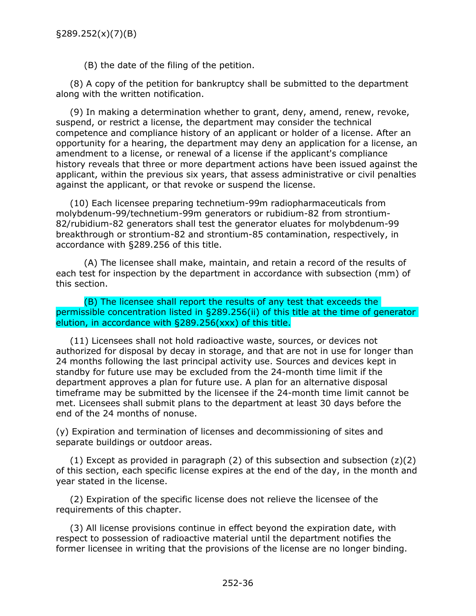(B) the date of the filing of the petition.

(8) A copy of the petition for bankruptcy shall be submitted to the department along with the written notification.

(9) In making a determination whether to grant, deny, amend, renew, revoke, suspend, or restrict a license, the department may consider the technical competence and compliance history of an applicant or holder of a license. After an opportunity for a hearing, the department may deny an application for a license, an amendment to a license, or renewal of a license if the applicant's compliance history reveals that three or more department actions have been issued against the applicant, within the previous six years, that assess administrative or civil penalties against the applicant, or that revoke or suspend the license.

(10) Each licensee preparing technetium-99m radiopharmaceuticals from molybdenum-99/technetium-99m generators or rubidium-82 from strontium-82/rubidium-82 generators shall test the generator eluates for molybdenum-99 breakthrough or strontium-82 and strontium-85 contamination, respectively, in accordance with §289.256 of this title.

(A) The licensee shall make, maintain, and retain a record of the results of each test for inspection by the department in accordance with subsection (mm) of this section.

(B) The licensee shall report the results of any test that exceeds the permissible concentration listed in §289.256(ii) of this title at the time of generator elution, in accordance with §289.256(xxx) of this title.

(11) Licensees shall not hold radioactive waste, sources, or devices not authorized for disposal by decay in storage, and that are not in use for longer than 24 months following the last principal activity use. Sources and devices kept in standby for future use may be excluded from the 24-month time limit if the department approves a plan for future use. A plan for an alternative disposal timeframe may be submitted by the licensee if the 24-month time limit cannot be met. Licensees shall submit plans to the department at least 30 days before the end of the 24 months of nonuse.

(y) Expiration and termination of licenses and decommissioning of sites and separate buildings or outdoor areas.

(1) Except as provided in paragraph (2) of this subsection and subsection  $(z)(2)$ of this section, each specific license expires at the end of the day, in the month and year stated in the license.

(2) Expiration of the specific license does not relieve the licensee of the requirements of this chapter.

(3) All license provisions continue in effect beyond the expiration date, with respect to possession of radioactive material until the department notifies the former licensee in writing that the provisions of the license are no longer binding.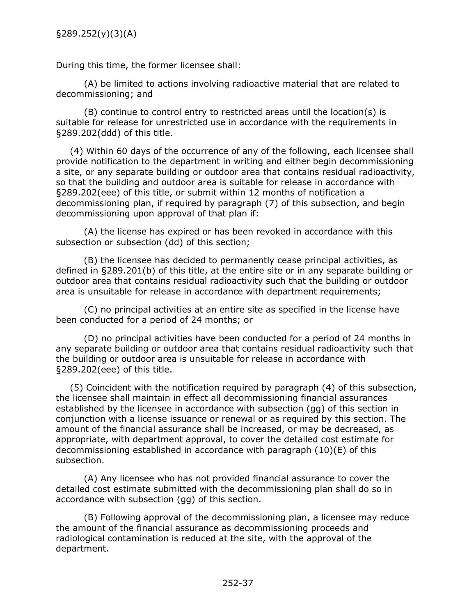During this time, the former licensee shall:

(A) be limited to actions involving radioactive material that are related to decommissioning; and

(B) continue to control entry to restricted areas until the location(s) is suitable for release for unrestricted use in accordance with the requirements in §289.202(ddd) of this title.

(4) Within 60 days of the occurrence of any of the following, each licensee shall provide notification to the department in writing and either begin decommissioning a site, or any separate building or outdoor area that contains residual radioactivity, so that the building and outdoor area is suitable for release in accordance with §289.202(eee) of this title, or submit within 12 months of notification a decommissioning plan, if required by paragraph (7) of this subsection, and begin decommissioning upon approval of that plan if:

(A) the license has expired or has been revoked in accordance with this subsection or subsection (dd) of this section;

(B) the licensee has decided to permanently cease principal activities, as defined in §289.201(b) of this title, at the entire site or in any separate building or outdoor area that contains residual radioactivity such that the building or outdoor area is unsuitable for release in accordance with department requirements;

(C) no principal activities at an entire site as specified in the license have been conducted for a period of 24 months; or

(D) no principal activities have been conducted for a period of 24 months in any separate building or outdoor area that contains residual radioactivity such that the building or outdoor area is unsuitable for release in accordance with §289.202(eee) of this title.

(5) Coincident with the notification required by paragraph (4) of this subsection, the licensee shall maintain in effect all decommissioning financial assurances established by the licensee in accordance with subsection (gg) of this section in conjunction with a license issuance or renewal or as required by this section. The amount of the financial assurance shall be increased, or may be decreased, as appropriate, with department approval, to cover the detailed cost estimate for decommissioning established in accordance with paragraph (10)(E) of this subsection.

(A) Any licensee who has not provided financial assurance to cover the detailed cost estimate submitted with the decommissioning plan shall do so in accordance with subsection (gg) of this section.

(B) Following approval of the decommissioning plan, a licensee may reduce the amount of the financial assurance as decommissioning proceeds and radiological contamination is reduced at the site, with the approval of the department.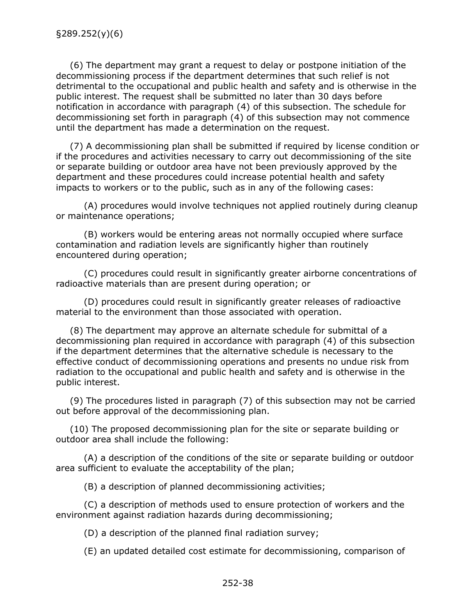(6) The department may grant a request to delay or postpone initiation of the decommissioning process if the department determines that such relief is not detrimental to the occupational and public health and safety and is otherwise in the public interest. The request shall be submitted no later than 30 days before notification in accordance with paragraph (4) of this subsection. The schedule for decommissioning set forth in paragraph (4) of this subsection may not commence until the department has made a determination on the request.

(7) A decommissioning plan shall be submitted if required by license condition or if the procedures and activities necessary to carry out decommissioning of the site or separate building or outdoor area have not been previously approved by the department and these procedures could increase potential health and safety impacts to workers or to the public, such as in any of the following cases:

(A) procedures would involve techniques not applied routinely during cleanup or maintenance operations;

(B) workers would be entering areas not normally occupied where surface contamination and radiation levels are significantly higher than routinely encountered during operation;

(C) procedures could result in significantly greater airborne concentrations of radioactive materials than are present during operation; or

(D) procedures could result in significantly greater releases of radioactive material to the environment than those associated with operation.

(8) The department may approve an alternate schedule for submittal of a decommissioning plan required in accordance with paragraph (4) of this subsection if the department determines that the alternative schedule is necessary to the effective conduct of decommissioning operations and presents no undue risk from radiation to the occupational and public health and safety and is otherwise in the public interest.

(9) The procedures listed in paragraph (7) of this subsection may not be carried out before approval of the decommissioning plan.

(10) The proposed decommissioning plan for the site or separate building or outdoor area shall include the following:

(A) a description of the conditions of the site or separate building or outdoor area sufficient to evaluate the acceptability of the plan;

(B) a description of planned decommissioning activities;

(C) a description of methods used to ensure protection of workers and the environment against radiation hazards during decommissioning;

(D) a description of the planned final radiation survey;

(E) an updated detailed cost estimate for decommissioning, comparison of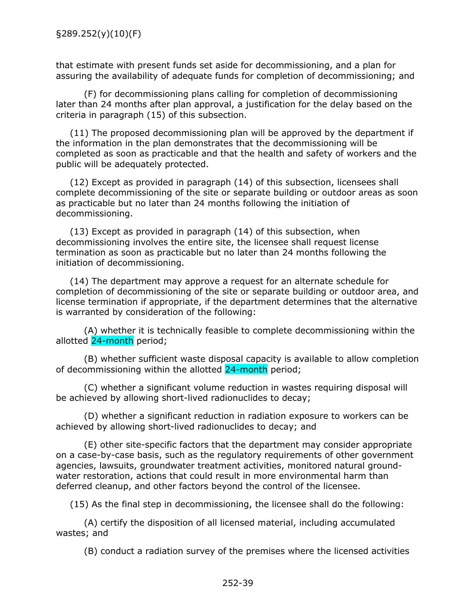that estimate with present funds set aside for decommissioning, and a plan for assuring the availability of adequate funds for completion of decommissioning; and

(F) for decommissioning plans calling for completion of decommissioning later than 24 months after plan approval, a justification for the delay based on the criteria in paragraph (15) of this subsection.

(11) The proposed decommissioning plan will be approved by the department if the information in the plan demonstrates that the decommissioning will be completed as soon as practicable and that the health and safety of workers and the public will be adequately protected.

(12) Except as provided in paragraph (14) of this subsection, licensees shall complete decommissioning of the site or separate building or outdoor areas as soon as practicable but no later than 24 months following the initiation of decommissioning.

(13) Except as provided in paragraph (14) of this subsection, when decommissioning involves the entire site, the licensee shall request license termination as soon as practicable but no later than 24 months following the initiation of decommissioning.

(14) The department may approve a request for an alternate schedule for completion of decommissioning of the site or separate building or outdoor area, and license termination if appropriate, if the department determines that the alternative is warranted by consideration of the following:

(A) whether it is technically feasible to complete decommissioning within the allotted 24-month period;

(B) whether sufficient waste disposal capacity is available to allow completion of decommissioning within the allotted 24-month period;

(C) whether a significant volume reduction in wastes requiring disposal will be achieved by allowing short-lived radionuclides to decay;

(D) whether a significant reduction in radiation exposure to workers can be achieved by allowing short-lived radionuclides to decay; and

(E) other site-specific factors that the department may consider appropriate on a case-by-case basis, such as the regulatory requirements of other government agencies, lawsuits, groundwater treatment activities, monitored natural groundwater restoration, actions that could result in more environmental harm than deferred cleanup, and other factors beyond the control of the licensee.

(15) As the final step in decommissioning, the licensee shall do the following:

(A) certify the disposition of all licensed material, including accumulated wastes; and

(B) conduct a radiation survey of the premises where the licensed activities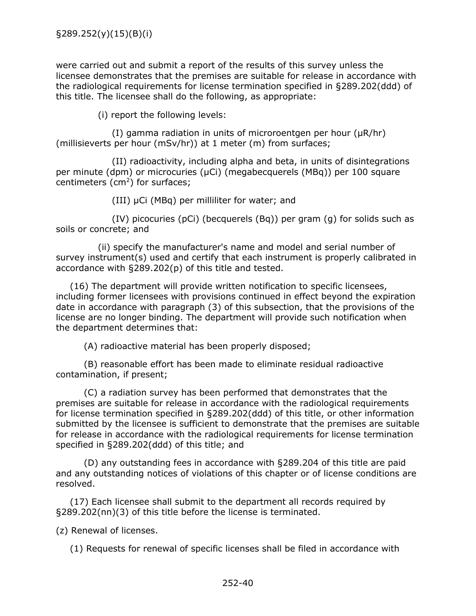were carried out and submit a report of the results of this survey unless the licensee demonstrates that the premises are suitable for release in accordance with the radiological requirements for license termination specified in §289.202(ddd) of this title. The licensee shall do the following, as appropriate:

(i) report the following levels:

(I) gamma radiation in units of microroentgen per hour (µR/hr) (millisieverts per hour (mSv/hr)) at 1 meter (m) from surfaces;

(II) radioactivity, including alpha and beta, in units of disintegrations per minute (dpm) or microcuries (µCi) (megabecquerels (MBq)) per 100 square centimeters  $(cm<sup>2</sup>)$  for surfaces;

(III) µCi (MBq) per milliliter for water; and

(IV) picocuries (pCi) (becquerels (Bq)) per gram (g) for solids such as soils or concrete; and

(ii) specify the manufacturer's name and model and serial number of survey instrument(s) used and certify that each instrument is properly calibrated in accordance with §289.202(p) of this title and tested.

(16) The department will provide written notification to specific licensees, including former licensees with provisions continued in effect beyond the expiration date in accordance with paragraph (3) of this subsection, that the provisions of the license are no longer binding. The department will provide such notification when the department determines that:

(A) radioactive material has been properly disposed;

(B) reasonable effort has been made to eliminate residual radioactive contamination, if present;

(C) a radiation survey has been performed that demonstrates that the premises are suitable for release in accordance with the radiological requirements for license termination specified in §289.202(ddd) of this title, or other information submitted by the licensee is sufficient to demonstrate that the premises are suitable for release in accordance with the radiological requirements for license termination specified in §289.202(ddd) of this title; and

(D) any outstanding fees in accordance with §289.204 of this title are paid and any outstanding notices of violations of this chapter or of license conditions are resolved.

(17) Each licensee shall submit to the department all records required by §289.202(nn)(3) of this title before the license is terminated.

(z) Renewal of licenses.

(1) Requests for renewal of specific licenses shall be filed in accordance with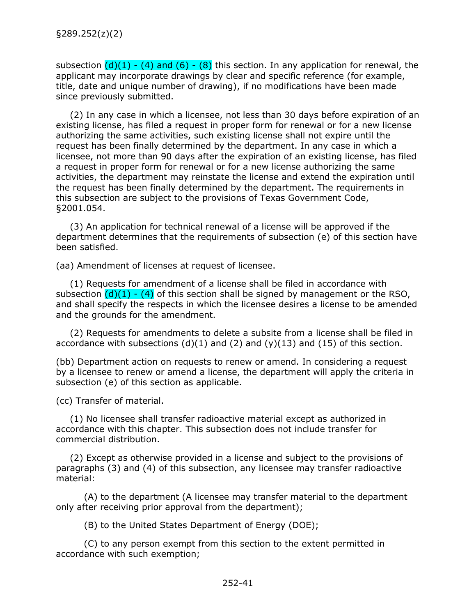subsection  $(d)(1) - (4)$  and  $(6) - (8)$  this section. In any application for renewal, the applicant may incorporate drawings by clear and specific reference (for example, title, date and unique number of drawing), if no modifications have been made since previously submitted.

(2) In any case in which a licensee, not less than 30 days before expiration of an existing license, has filed a request in proper form for renewal or for a new license authorizing the same activities, such existing license shall not expire until the request has been finally determined by the department. In any case in which a licensee, not more than 90 days after the expiration of an existing license, has filed a request in proper form for renewal or for a new license authorizing the same activities, the department may reinstate the license and extend the expiration until the request has been finally determined by the department. The requirements in this subsection are subject to the provisions of Texas Government Code, §2001.054.

(3) An application for technical renewal of a license will be approved if the department determines that the requirements of subsection (e) of this section have been satisfied.

(aa) Amendment of licenses at request of licensee.

(1) Requests for amendment of a license shall be filed in accordance with subsection  $(d)(1) - (4)$  of this section shall be signed by management or the RSO, and shall specify the respects in which the licensee desires a license to be amended and the grounds for the amendment.

(2) Requests for amendments to delete a subsite from a license shall be filed in accordance with subsections  $(d)(1)$  and  $(2)$  and  $(y)(13)$  and  $(15)$  of this section.

(bb) Department action on requests to renew or amend. In considering a request by a licensee to renew or amend a license, the department will apply the criteria in subsection (e) of this section as applicable.

(cc) Transfer of material.

(1) No licensee shall transfer radioactive material except as authorized in accordance with this chapter. This subsection does not include transfer for commercial distribution.

(2) Except as otherwise provided in a license and subject to the provisions of paragraphs (3) and (4) of this subsection, any licensee may transfer radioactive material:

(A) to the department (A licensee may transfer material to the department only after receiving prior approval from the department);

(B) to the United States Department of Energy (DOE);

(C) to any person exempt from this section to the extent permitted in accordance with such exemption;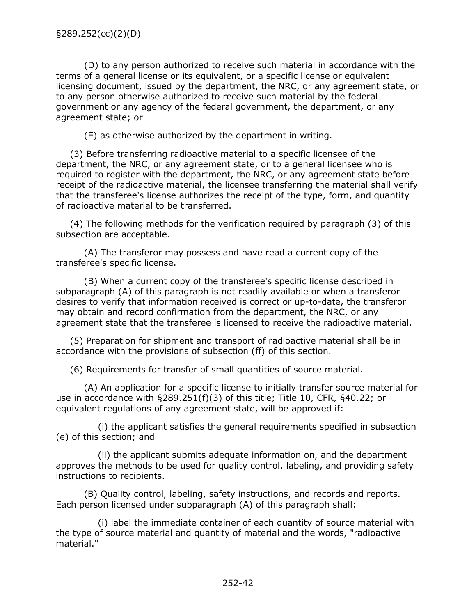(D) to any person authorized to receive such material in accordance with the terms of a general license or its equivalent, or a specific license or equivalent licensing document, issued by the department, the NRC, or any agreement state, or to any person otherwise authorized to receive such material by the federal government or any agency of the federal government, the department, or any agreement state; or

(E) as otherwise authorized by the department in writing.

(3) Before transferring radioactive material to a specific licensee of the department, the NRC, or any agreement state, or to a general licensee who is required to register with the department, the NRC, or any agreement state before receipt of the radioactive material, the licensee transferring the material shall verify that the transferee's license authorizes the receipt of the type, form, and quantity of radioactive material to be transferred.

(4) The following methods for the verification required by paragraph (3) of this subsection are acceptable.

(A) The transferor may possess and have read a current copy of the transferee's specific license.

(B) When a current copy of the transferee's specific license described in subparagraph (A) of this paragraph is not readily available or when a transferor desires to verify that information received is correct or up-to-date, the transferor may obtain and record confirmation from the department, the NRC, or any agreement state that the transferee is licensed to receive the radioactive material.

(5) Preparation for shipment and transport of radioactive material shall be in accordance with the provisions of subsection (ff) of this section.

(6) Requirements for transfer of small quantities of source material.

(A) An application for a specific license to initially transfer source material for use in accordance with §289.251(f)(3) of this title; Title 10, CFR, §40.22; or equivalent regulations of any agreement state, will be approved if:

(i) the applicant satisfies the general requirements specified in subsection (e) of this section; and

(ii) the applicant submits adequate information on, and the department approves the methods to be used for quality control, labeling, and providing safety instructions to recipients.

(B) Quality control, labeling, safety instructions, and records and reports. Each person licensed under subparagraph (A) of this paragraph shall:

(i) label the immediate container of each quantity of source material with the type of source material and quantity of material and the words, "radioactive material."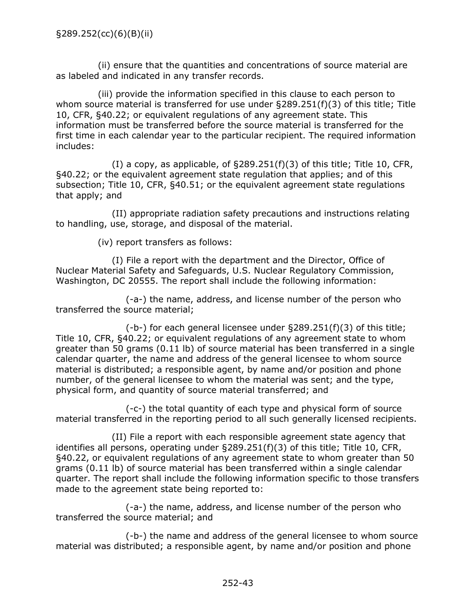(ii) ensure that the quantities and concentrations of source material are as labeled and indicated in any transfer records.

(iii) provide the information specified in this clause to each person to whom source material is transferred for use under §289.251(f)(3) of this title; Title 10, CFR, §40.22; or equivalent regulations of any agreement state. This information must be transferred before the source material is transferred for the first time in each calendar year to the particular recipient. The required information includes:

(I) a copy, as applicable, of §289.251(f)(3) of this title; Title 10, CFR, §40.22; or the equivalent agreement state regulation that applies; and of this subsection; Title 10, CFR, §40.51; or the equivalent agreement state regulations that apply; and

(II) appropriate radiation safety precautions and instructions relating to handling, use, storage, and disposal of the material.

(iv) report transfers as follows:

(I) File a report with the department and the Director, Office of Nuclear Material Safety and Safeguards, U.S. Nuclear Regulatory Commission, Washington, DC 20555. The report shall include the following information:

(-a-) the name, address, and license number of the person who transferred the source material;

(-b-) for each general licensee under §289.251(f)(3) of this title; Title 10, CFR, §40.22; or equivalent regulations of any agreement state to whom greater than 50 grams (0.11 lb) of source material has been transferred in a single calendar quarter, the name and address of the general licensee to whom source material is distributed; a responsible agent, by name and/or position and phone number, of the general licensee to whom the material was sent; and the type, physical form, and quantity of source material transferred; and

(-c-) the total quantity of each type and physical form of source material transferred in the reporting period to all such generally licensed recipients.

(II) File a report with each responsible agreement state agency that identifies all persons, operating under §289.251(f)(3) of this title; Title 10, CFR, §40.22, or equivalent regulations of any agreement state to whom greater than 50 grams (0.11 lb) of source material has been transferred within a single calendar quarter. The report shall include the following information specific to those transfers made to the agreement state being reported to:

(-a-) the name, address, and license number of the person who transferred the source material; and

(-b-) the name and address of the general licensee to whom source material was distributed; a responsible agent, by name and/or position and phone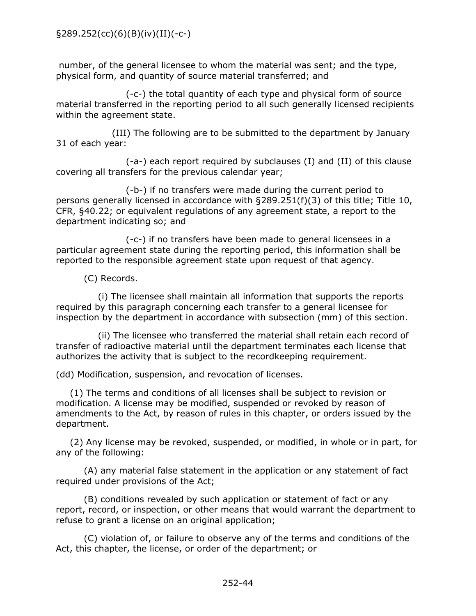number, of the general licensee to whom the material was sent; and the type, physical form, and quantity of source material transferred; and

(-c-) the total quantity of each type and physical form of source material transferred in the reporting period to all such generally licensed recipients within the agreement state.

(III) The following are to be submitted to the department by January 31 of each year:

(-a-) each report required by subclauses (I) and (II) of this clause covering all transfers for the previous calendar year;

(-b-) if no transfers were made during the current period to persons generally licensed in accordance with §289.251(f)(3) of this title; Title 10, CFR, §40.22; or equivalent regulations of any agreement state, a report to the department indicating so; and

(-c-) if no transfers have been made to general licensees in a particular agreement state during the reporting period, this information shall be reported to the responsible agreement state upon request of that agency.

(C) Records.

(i) The licensee shall maintain all information that supports the reports required by this paragraph concerning each transfer to a general licensee for inspection by the department in accordance with subsection (mm) of this section.

(ii) The licensee who transferred the material shall retain each record of transfer of radioactive material until the department terminates each license that authorizes the activity that is subject to the recordkeeping requirement.

(dd) Modification, suspension, and revocation of licenses.

(1) The terms and conditions of all licenses shall be subject to revision or modification. A license may be modified, suspended or revoked by reason of amendments to the Act, by reason of rules in this chapter, or orders issued by the department.

(2) Any license may be revoked, suspended, or modified, in whole or in part, for any of the following:

(A) any material false statement in the application or any statement of fact required under provisions of the Act;

(B) conditions revealed by such application or statement of fact or any report, record, or inspection, or other means that would warrant the department to refuse to grant a license on an original application;

(C) violation of, or failure to observe any of the terms and conditions of the Act, this chapter, the license, or order of the department; or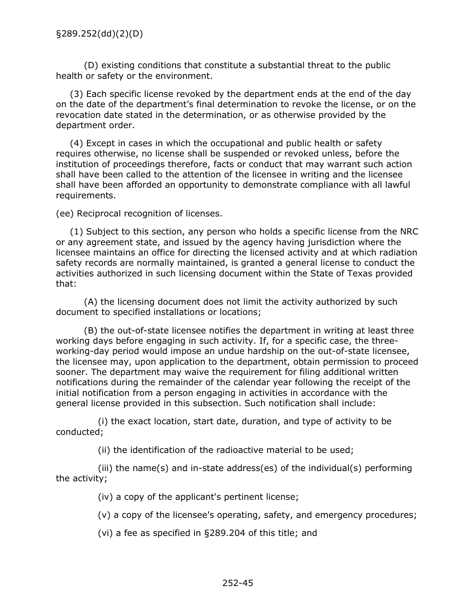(D) existing conditions that constitute a substantial threat to the public health or safety or the environment.

(3) Each specific license revoked by the department ends at the end of the day on the date of the department's final determination to revoke the license, or on the revocation date stated in the determination, or as otherwise provided by the department order.

(4) Except in cases in which the occupational and public health or safety requires otherwise, no license shall be suspended or revoked unless, before the institution of proceedings therefore, facts or conduct that may warrant such action shall have been called to the attention of the licensee in writing and the licensee shall have been afforded an opportunity to demonstrate compliance with all lawful requirements.

(ee) Reciprocal recognition of licenses.

(1) Subject to this section, any person who holds a specific license from the NRC or any agreement state, and issued by the agency having jurisdiction where the licensee maintains an office for directing the licensed activity and at which radiation safety records are normally maintained, is granted a general license to conduct the activities authorized in such licensing document within the State of Texas provided that:

(A) the licensing document does not limit the activity authorized by such document to specified installations or locations;

(B) the out-of-state licensee notifies the department in writing at least three working days before engaging in such activity. If, for a specific case, the threeworking-day period would impose an undue hardship on the out-of-state licensee, the licensee may, upon application to the department, obtain permission to proceed sooner. The department may waive the requirement for filing additional written notifications during the remainder of the calendar year following the receipt of the initial notification from a person engaging in activities in accordance with the general license provided in this subsection. Such notification shall include:

(i) the exact location, start date, duration, and type of activity to be conducted;

(ii) the identification of the radioactive material to be used;

(iii) the name(s) and in-state address(es) of the individual(s) performing the activity;

(iv) a copy of the applicant's pertinent license;

(v) a copy of the licensee's operating, safety, and emergency procedures;

(vi) a fee as specified in §289.204 of this title; and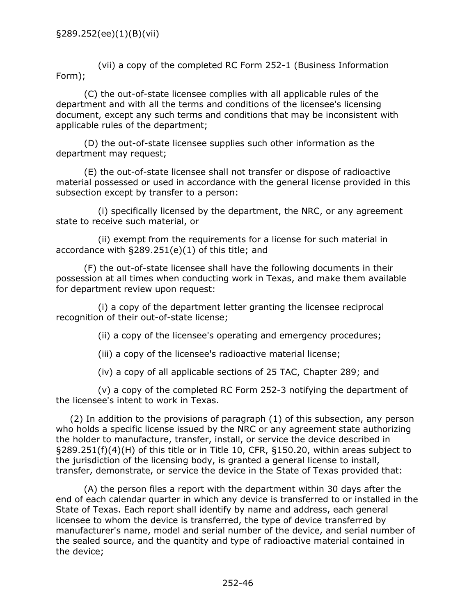(vii) a copy of the completed RC Form 252-1 (Business Information Form);

(C) the out-of-state licensee complies with all applicable rules of the department and with all the terms and conditions of the licensee's licensing document, except any such terms and conditions that may be inconsistent with applicable rules of the department;

(D) the out-of-state licensee supplies such other information as the department may request;

(E) the out-of-state licensee shall not transfer or dispose of radioactive material possessed or used in accordance with the general license provided in this subsection except by transfer to a person:

(i) specifically licensed by the department, the NRC, or any agreement state to receive such material, or

(ii) exempt from the requirements for a license for such material in accordance with §289.251(e)(1) of this title; and

(F) the out-of-state licensee shall have the following documents in their possession at all times when conducting work in Texas, and make them available for department review upon request:

(i) a copy of the department letter granting the licensee reciprocal recognition of their out-of-state license;

(ii) a copy of the licensee's operating and emergency procedures;

(iii) a copy of the licensee's radioactive material license;

(iv) a copy of all applicable sections of 25 TAC, Chapter 289; and

(v) a copy of the completed RC Form 252-3 notifying the department of the licensee's intent to work in Texas.

(2) In addition to the provisions of paragraph (1) of this subsection, any person who holds a specific license issued by the NRC or any agreement state authorizing the holder to manufacture, transfer, install, or service the device described in §289.251(f)(4)(H) of this title or in Title 10, CFR, §150.20, within areas subject to the jurisdiction of the licensing body, is granted a general license to install, transfer, demonstrate, or service the device in the State of Texas provided that:

(A) the person files a report with the department within 30 days after the end of each calendar quarter in which any device is transferred to or installed in the State of Texas. Each report shall identify by name and address, each general licensee to whom the device is transferred, the type of device transferred by manufacturer's name, model and serial number of the device, and serial number of the sealed source, and the quantity and type of radioactive material contained in the device;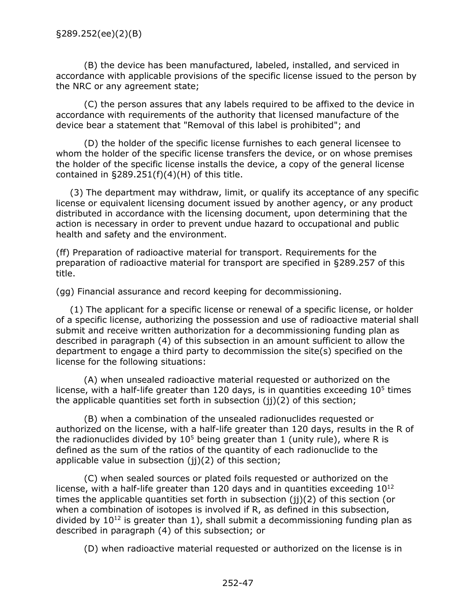(B) the device has been manufactured, labeled, installed, and serviced in accordance with applicable provisions of the specific license issued to the person by the NRC or any agreement state;

(C) the person assures that any labels required to be affixed to the device in accordance with requirements of the authority that licensed manufacture of the device bear a statement that "Removal of this label is prohibited"; and

(D) the holder of the specific license furnishes to each general licensee to whom the holder of the specific license transfers the device, or on whose premises the holder of the specific license installs the device, a copy of the general license contained in  $\S289.251(f)(4)(H)$  of this title.

(3) The department may withdraw, limit, or qualify its acceptance of any specific license or equivalent licensing document issued by another agency, or any product distributed in accordance with the licensing document, upon determining that the action is necessary in order to prevent undue hazard to occupational and public health and safety and the environment.

(ff) Preparation of radioactive material for transport. Requirements for the preparation of radioactive material for transport are specified in §289.257 of this title.

(gg) Financial assurance and record keeping for decommissioning.

(1) The applicant for a specific license or renewal of a specific license, or holder of a specific license, authorizing the possession and use of radioactive material shall submit and receive written authorization for a decommissioning funding plan as described in paragraph (4) of this subsection in an amount sufficient to allow the department to engage a third party to decommission the site(s) specified on the license for the following situations:

(A) when unsealed radioactive material requested or authorized on the license, with a half-life greater than 120 days, is in quantities exceeding  $10<sup>5</sup>$  times the applicable quantities set forth in subsection  $(i)(2)$  of this section;

(B) when a combination of the unsealed radionuclides requested or authorized on the license, with a half-life greater than 120 days, results in the R of the radionuclides divided by  $10<sup>5</sup>$  being greater than 1 (unity rule), where R is defined as the sum of the ratios of the quantity of each radionuclide to the applicable value in subsection (jj)(2) of this section;

(C) when sealed sources or plated foils requested or authorized on the license, with a half-life greater than 120 days and in quantities exceeding  $10^{12}$ times the applicable quantities set forth in subsection (jj)(2) of this section (or when a combination of isotopes is involved if R, as defined in this subsection, divided by  $10^{12}$  is greater than 1), shall submit a decommissioning funding plan as described in paragraph (4) of this subsection; or

(D) when radioactive material requested or authorized on the license is in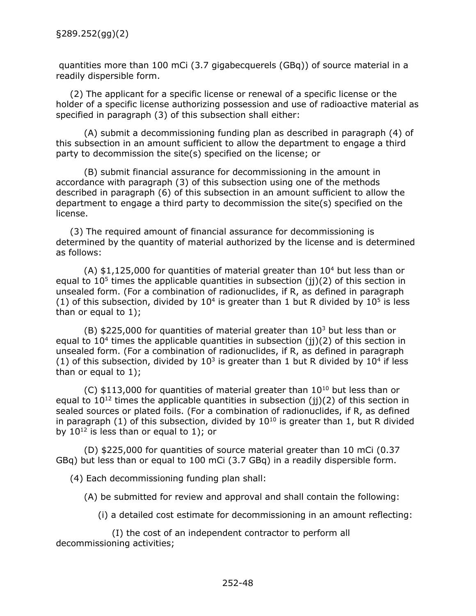quantities more than 100 mCi (3.7 gigabecquerels (GBq)) of source material in a readily dispersible form.

(2) The applicant for a specific license or renewal of a specific license or the holder of a specific license authorizing possession and use of radioactive material as specified in paragraph (3) of this subsection shall either:

(A) submit a decommissioning funding plan as described in paragraph (4) of this subsection in an amount sufficient to allow the department to engage a third party to decommission the site(s) specified on the license; or

(B) submit financial assurance for decommissioning in the amount in accordance with paragraph (3) of this subsection using one of the methods described in paragraph (6) of this subsection in an amount sufficient to allow the department to engage a third party to decommission the site(s) specified on the license.

(3) The required amount of financial assurance for decommissioning is determined by the quantity of material authorized by the license and is determined as follows:

 $(A)$  \$1,125,000 for quantities of material greater than  $10<sup>4</sup>$  but less than or equal to  $10<sup>5</sup>$  times the applicable quantities in subsection (j)(2) of this section in unsealed form. (For a combination of radionuclides, if R, as defined in paragraph (1) of this subsection, divided by  $10<sup>4</sup>$  is greater than 1 but R divided by  $10<sup>5</sup>$  is less than or equal to 1);

(B)  $$225,000$  for quantities of material greater than  $10<sup>3</sup>$  but less than or equal to  $10<sup>4</sup>$  times the applicable quantities in subsection (jj)(2) of this section in unsealed form. (For a combination of radionuclides, if R, as defined in paragraph (1) of this subsection, divided by  $10^3$  is greater than 1 but R divided by  $10^4$  if less than or equal to 1);

 $(C)$  \$113,000 for quantities of material greater than  $10^{10}$  but less than or equal to  $10^{12}$  times the applicable quantities in subsection (j)(2) of this section in sealed sources or plated foils. (For a combination of radionuclides, if R, as defined in paragraph (1) of this subsection, divided by  $10^{10}$  is greater than 1, but R divided by  $10^{12}$  is less than or equal to 1); or

(D) \$225,000 for quantities of source material greater than 10 mCi (0.37 GBq) but less than or equal to 100 mCi (3.7 GBq) in a readily dispersible form.

(4) Each decommissioning funding plan shall:

(A) be submitted for review and approval and shall contain the following:

(i) a detailed cost estimate for decommissioning in an amount reflecting:

(I) the cost of an independent contractor to perform all decommissioning activities;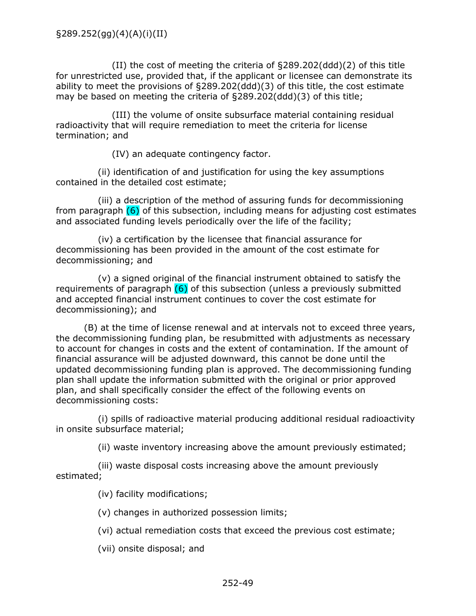(II) the cost of meeting the criteria of §289.202(ddd)(2) of this title for unrestricted use, provided that, if the applicant or licensee can demonstrate its ability to meet the provisions of §289.202(ddd)(3) of this title, the cost estimate may be based on meeting the criteria of §289.202(ddd)(3) of this title;

(III) the volume of onsite subsurface material containing residual radioactivity that will require remediation to meet the criteria for license termination; and

(IV) an adequate contingency factor.

(ii) identification of and justification for using the key assumptions contained in the detailed cost estimate;

(iii) a description of the method of assuring funds for decommissioning from paragraph  $(6)$  of this subsection, including means for adjusting cost estimates and associated funding levels periodically over the life of the facility;

(iv) a certification by the licensee that financial assurance for decommissioning has been provided in the amount of the cost estimate for decommissioning; and

(v) a signed original of the financial instrument obtained to satisfy the requirements of paragraph  $(6)$  of this subsection (unless a previously submitted and accepted financial instrument continues to cover the cost estimate for decommissioning); and

(B) at the time of license renewal and at intervals not to exceed three years, the decommissioning funding plan, be resubmitted with adjustments as necessary to account for changes in costs and the extent of contamination. If the amount of financial assurance will be adjusted downward, this cannot be done until the updated decommissioning funding plan is approved. The decommissioning funding plan shall update the information submitted with the original or prior approved plan, and shall specifically consider the effect of the following events on decommissioning costs:

(i) spills of radioactive material producing additional residual radioactivity in onsite subsurface material;

(ii) waste inventory increasing above the amount previously estimated;

(iii) waste disposal costs increasing above the amount previously estimated;

(iv) facility modifications;

(v) changes in authorized possession limits;

(vi) actual remediation costs that exceed the previous cost estimate;

(vii) onsite disposal; and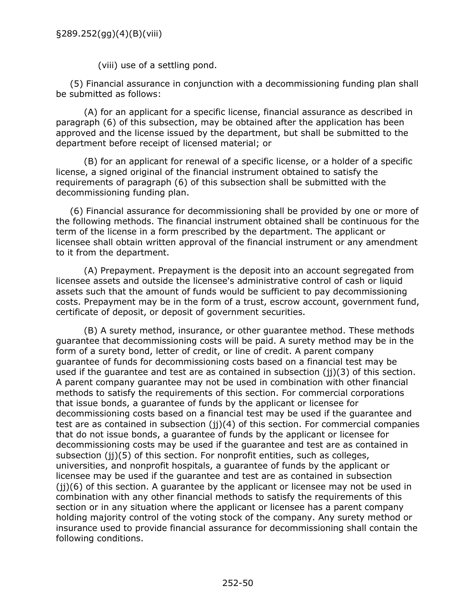(viii) use of a settling pond.

(5) Financial assurance in conjunction with a decommissioning funding plan shall be submitted as follows:

(A) for an applicant for a specific license, financial assurance as described in paragraph (6) of this subsection, may be obtained after the application has been approved and the license issued by the department, but shall be submitted to the department before receipt of licensed material; or

(B) for an applicant for renewal of a specific license, or a holder of a specific license, a signed original of the financial instrument obtained to satisfy the requirements of paragraph (6) of this subsection shall be submitted with the decommissioning funding plan.

(6) Financial assurance for decommissioning shall be provided by one or more of the following methods. The financial instrument obtained shall be continuous for the term of the license in a form prescribed by the department. The applicant or licensee shall obtain written approval of the financial instrument or any amendment to it from the department.

(A) Prepayment. Prepayment is the deposit into an account segregated from licensee assets and outside the licensee's administrative control of cash or liquid assets such that the amount of funds would be sufficient to pay decommissioning costs. Prepayment may be in the form of a trust, escrow account, government fund, certificate of deposit, or deposit of government securities.

(B) A surety method, insurance, or other guarantee method. These methods guarantee that decommissioning costs will be paid. A surety method may be in the form of a surety bond, letter of credit, or line of credit. A parent company guarantee of funds for decommissioning costs based on a financial test may be used if the guarantee and test are as contained in subsection (jj)(3) of this section. A parent company guarantee may not be used in combination with other financial methods to satisfy the requirements of this section. For commercial corporations that issue bonds, a guarantee of funds by the applicant or licensee for decommissioning costs based on a financial test may be used if the guarantee and test are as contained in subsection (ii)(4) of this section. For commercial companies that do not issue bonds, a guarantee of funds by the applicant or licensee for decommissioning costs may be used if the guarantee and test are as contained in subsection (ii)(5) of this section. For nonprofit entities, such as colleges, universities, and nonprofit hospitals, a guarantee of funds by the applicant or licensee may be used if the guarantee and test are as contained in subsection  $(i)$ (6) of this section. A quarantee by the applicant or licensee may not be used in combination with any other financial methods to satisfy the requirements of this section or in any situation where the applicant or licensee has a parent company holding majority control of the voting stock of the company. Any surety method or insurance used to provide financial assurance for decommissioning shall contain the following conditions.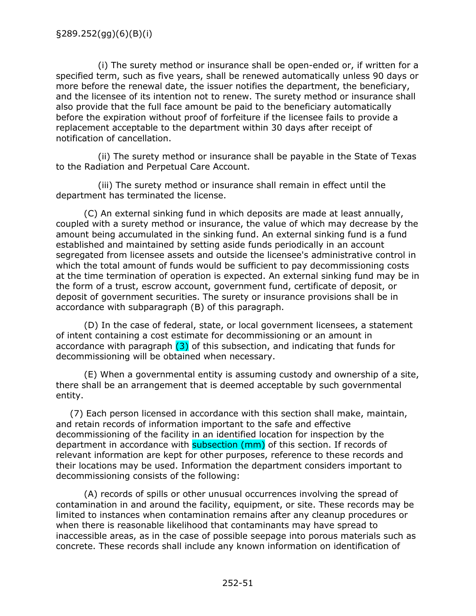(i) The surety method or insurance shall be open-ended or, if written for a specified term, such as five years, shall be renewed automatically unless 90 days or more before the renewal date, the issuer notifies the department, the beneficiary, and the licensee of its intention not to renew. The surety method or insurance shall also provide that the full face amount be paid to the beneficiary automatically before the expiration without proof of forfeiture if the licensee fails to provide a replacement acceptable to the department within 30 days after receipt of notification of cancellation.

(ii) The surety method or insurance shall be payable in the State of Texas to the Radiation and Perpetual Care Account.

(iii) The surety method or insurance shall remain in effect until the department has terminated the license.

(C) An external sinking fund in which deposits are made at least annually, coupled with a surety method or insurance, the value of which may decrease by the amount being accumulated in the sinking fund. An external sinking fund is a fund established and maintained by setting aside funds periodically in an account segregated from licensee assets and outside the licensee's administrative control in which the total amount of funds would be sufficient to pay decommissioning costs at the time termination of operation is expected. An external sinking fund may be in the form of a trust, escrow account, government fund, certificate of deposit, or deposit of government securities. The surety or insurance provisions shall be in accordance with subparagraph (B) of this paragraph.

(D) In the case of federal, state, or local government licensees, a statement of intent containing a cost estimate for decommissioning or an amount in accordance with paragraph  $(3)$  of this subsection, and indicating that funds for decommissioning will be obtained when necessary.

(E) When a governmental entity is assuming custody and ownership of a site, there shall be an arrangement that is deemed acceptable by such governmental entity.

(7) Each person licensed in accordance with this section shall make, maintain, and retain records of information important to the safe and effective decommissioning of the facility in an identified location for inspection by the department in accordance with subsection (mm) of this section. If records of relevant information are kept for other purposes, reference to these records and their locations may be used. Information the department considers important to decommissioning consists of the following:

(A) records of spills or other unusual occurrences involving the spread of contamination in and around the facility, equipment, or site. These records may be limited to instances when contamination remains after any cleanup procedures or when there is reasonable likelihood that contaminants may have spread to inaccessible areas, as in the case of possible seepage into porous materials such as concrete. These records shall include any known information on identification of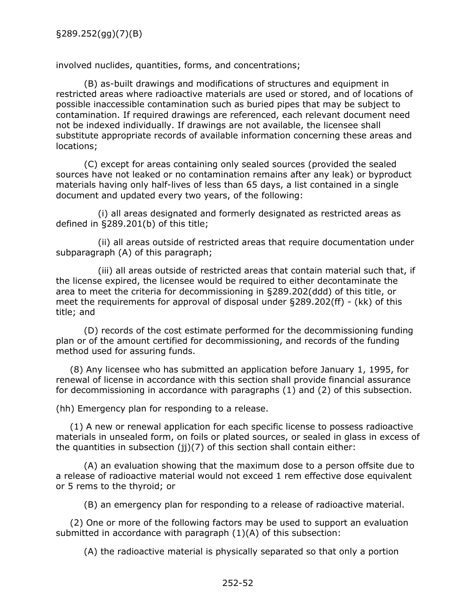involved nuclides, quantities, forms, and concentrations;

(B) as-built drawings and modifications of structures and equipment in restricted areas where radioactive materials are used or stored, and of locations of possible inaccessible contamination such as buried pipes that may be subject to contamination. If required drawings are referenced, each relevant document need not be indexed individually. If drawings are not available, the licensee shall substitute appropriate records of available information concerning these areas and locations;

(C) except for areas containing only sealed sources (provided the sealed sources have not leaked or no contamination remains after any leak) or byproduct materials having only half-lives of less than 65 days, a list contained in a single document and updated every two years, of the following:

(i) all areas designated and formerly designated as restricted areas as defined in §289.201(b) of this title;

(ii) all areas outside of restricted areas that require documentation under subparagraph (A) of this paragraph;

(iii) all areas outside of restricted areas that contain material such that, if the license expired, the licensee would be required to either decontaminate the area to meet the criteria for decommissioning in §289.202(ddd) of this title, or meet the requirements for approval of disposal under §289.202(ff) - (kk) of this title; and

(D) records of the cost estimate performed for the decommissioning funding plan or of the amount certified for decommissioning, and records of the funding method used for assuring funds.

(8) Any licensee who has submitted an application before January 1, 1995, for renewal of license in accordance with this section shall provide financial assurance for decommissioning in accordance with paragraphs (1) and (2) of this subsection.

(hh) Emergency plan for responding to a release.

(1) A new or renewal application for each specific license to possess radioactive materials in unsealed form, on foils or plated sources, or sealed in glass in excess of the quantities in subsection ( $ji)(7)$  of this section shall contain either:

(A) an evaluation showing that the maximum dose to a person offsite due to a release of radioactive material would not exceed 1 rem effective dose equivalent or 5 rems to the thyroid; or

(B) an emergency plan for responding to a release of radioactive material.

(2) One or more of the following factors may be used to support an evaluation submitted in accordance with paragraph (1)(A) of this subsection:

(A) the radioactive material is physically separated so that only a portion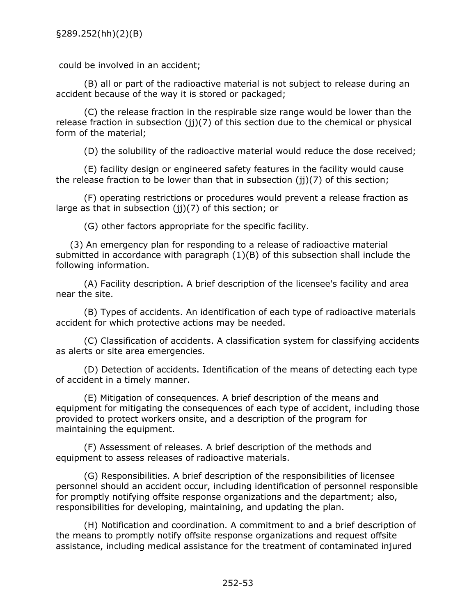could be involved in an accident;

(B) all or part of the radioactive material is not subject to release during an accident because of the way it is stored or packaged;

(C) the release fraction in the respirable size range would be lower than the release fraction in subsection (ii)(7) of this section due to the chemical or physical form of the material;

(D) the solubility of the radioactive material would reduce the dose received;

(E) facility design or engineered safety features in the facility would cause the release fraction to be lower than that in subsection (jj)(7) of this section;

(F) operating restrictions or procedures would prevent a release fraction as large as that in subsection  $(i)(7)$  of this section; or

(G) other factors appropriate for the specific facility.

(3) An emergency plan for responding to a release of radioactive material submitted in accordance with paragraph (1)(B) of this subsection shall include the following information.

(A) Facility description. A brief description of the licensee's facility and area near the site.

(B) Types of accidents. An identification of each type of radioactive materials accident for which protective actions may be needed.

(C) Classification of accidents. A classification system for classifying accidents as alerts or site area emergencies.

(D) Detection of accidents. Identification of the means of detecting each type of accident in a timely manner.

(E) Mitigation of consequences. A brief description of the means and equipment for mitigating the consequences of each type of accident, including those provided to protect workers onsite, and a description of the program for maintaining the equipment.

(F) Assessment of releases. A brief description of the methods and equipment to assess releases of radioactive materials.

(G) Responsibilities. A brief description of the responsibilities of licensee personnel should an accident occur, including identification of personnel responsible for promptly notifying offsite response organizations and the department; also, responsibilities for developing, maintaining, and updating the plan.

(H) Notification and coordination. A commitment to and a brief description of the means to promptly notify offsite response organizations and request offsite assistance, including medical assistance for the treatment of contaminated injured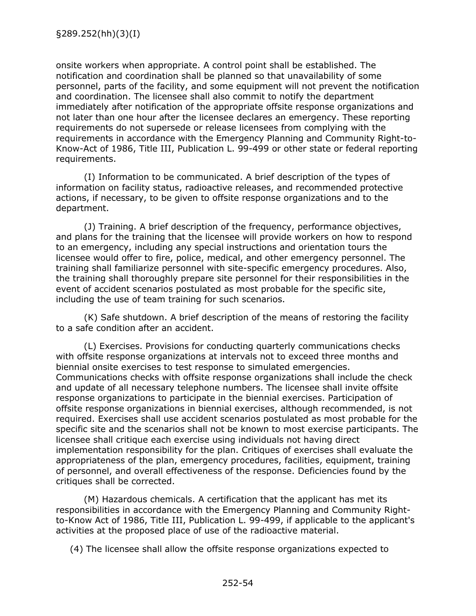onsite workers when appropriate. A control point shall be established. The notification and coordination shall be planned so that unavailability of some personnel, parts of the facility, and some equipment will not prevent the notification and coordination. The licensee shall also commit to notify the department immediately after notification of the appropriate offsite response organizations and not later than one hour after the licensee declares an emergency. These reporting requirements do not supersede or release licensees from complying with the requirements in accordance with the Emergency Planning and Community Right-to-Know-Act of 1986, Title III, Publication L. 99-499 or other state or federal reporting requirements.

(I) Information to be communicated. A brief description of the types of information on facility status, radioactive releases, and recommended protective actions, if necessary, to be given to offsite response organizations and to the department.

(J) Training. A brief description of the frequency, performance objectives, and plans for the training that the licensee will provide workers on how to respond to an emergency, including any special instructions and orientation tours the licensee would offer to fire, police, medical, and other emergency personnel. The training shall familiarize personnel with site-specific emergency procedures. Also, the training shall thoroughly prepare site personnel for their responsibilities in the event of accident scenarios postulated as most probable for the specific site, including the use of team training for such scenarios.

(K) Safe shutdown. A brief description of the means of restoring the facility to a safe condition after an accident.

(L) Exercises. Provisions for conducting quarterly communications checks with offsite response organizations at intervals not to exceed three months and biennial onsite exercises to test response to simulated emergencies. Communications checks with offsite response organizations shall include the check and update of all necessary telephone numbers. The licensee shall invite offsite response organizations to participate in the biennial exercises. Participation of offsite response organizations in biennial exercises, although recommended, is not required. Exercises shall use accident scenarios postulated as most probable for the specific site and the scenarios shall not be known to most exercise participants. The licensee shall critique each exercise using individuals not having direct implementation responsibility for the plan. Critiques of exercises shall evaluate the appropriateness of the plan, emergency procedures, facilities, equipment, training of personnel, and overall effectiveness of the response. Deficiencies found by the critiques shall be corrected.

(M) Hazardous chemicals. A certification that the applicant has met its responsibilities in accordance with the Emergency Planning and Community Rightto-Know Act of 1986, Title III, Publication L. 99-499, if applicable to the applicant's activities at the proposed place of use of the radioactive material.

(4) The licensee shall allow the offsite response organizations expected to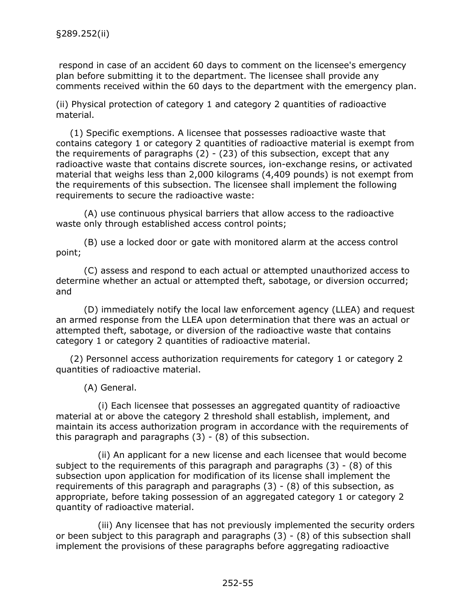respond in case of an accident 60 days to comment on the licensee's emergency plan before submitting it to the department. The licensee shall provide any comments received within the 60 days to the department with the emergency plan.

(ii) Physical protection of category 1 and category 2 quantities of radioactive material.

(1) Specific exemptions. A licensee that possesses radioactive waste that contains category 1 or category 2 quantities of radioactive material is exempt from the requirements of paragraphs  $(2) - (23)$  of this subsection, except that any radioactive waste that contains discrete sources, ion-exchange resins, or activated material that weighs less than 2,000 kilograms (4,409 pounds) is not exempt from the requirements of this subsection. The licensee shall implement the following requirements to secure the radioactive waste:

(A) use continuous physical barriers that allow access to the radioactive waste only through established access control points;

(B) use a locked door or gate with monitored alarm at the access control point;

(C) assess and respond to each actual or attempted unauthorized access to determine whether an actual or attempted theft, sabotage, or diversion occurred; and

(D) immediately notify the local law enforcement agency (LLEA) and request an armed response from the LLEA upon determination that there was an actual or attempted theft, sabotage, or diversion of the radioactive waste that contains category 1 or category 2 quantities of radioactive material.

(2) Personnel access authorization requirements for category 1 or category 2 quantities of radioactive material.

(A) General.

(i) Each licensee that possesses an aggregated quantity of radioactive material at or above the category 2 threshold shall establish, implement, and maintain its access authorization program in accordance with the requirements of this paragraph and paragraphs  $(3) - (8)$  of this subsection.

(ii) An applicant for a new license and each licensee that would become subject to the requirements of this paragraph and paragraphs (3) - (8) of this subsection upon application for modification of its license shall implement the requirements of this paragraph and paragraphs  $(3)$  -  $(8)$  of this subsection, as appropriate, before taking possession of an aggregated category 1 or category 2 quantity of radioactive material.

(iii) Any licensee that has not previously implemented the security orders or been subject to this paragraph and paragraphs  $(3)$  -  $(8)$  of this subsection shall implement the provisions of these paragraphs before aggregating radioactive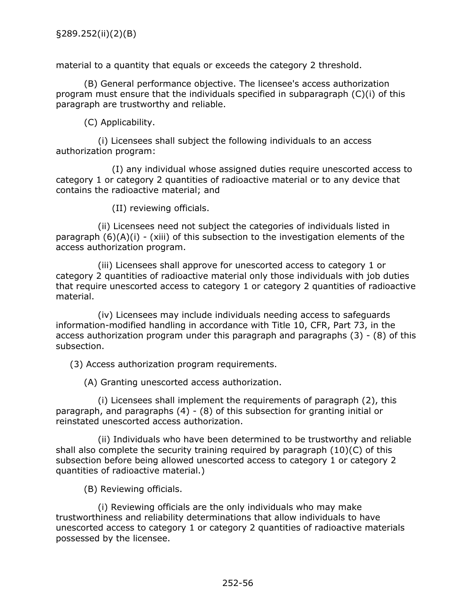material to a quantity that equals or exceeds the category 2 threshold.

(B) General performance objective. The licensee's access authorization program must ensure that the individuals specified in subparagraph (C)(i) of this paragraph are trustworthy and reliable.

(C) Applicability.

(i) Licensees shall subject the following individuals to an access authorization program:

(I) any individual whose assigned duties require unescorted access to category 1 or category 2 quantities of radioactive material or to any device that contains the radioactive material; and

(II) reviewing officials.

(ii) Licensees need not subject the categories of individuals listed in paragraph  $(6)(A)(i)$  - (xiii) of this subsection to the investigation elements of the access authorization program.

(iii) Licensees shall approve for unescorted access to category 1 or category 2 quantities of radioactive material only those individuals with job duties that require unescorted access to category 1 or category 2 quantities of radioactive material.

(iv) Licensees may include individuals needing access to safeguards information-modified handling in accordance with Title 10, CFR, Part 73, in the access authorization program under this paragraph and paragraphs (3) - (8) of this subsection.

(3) Access authorization program requirements.

(A) Granting unescorted access authorization.

(i) Licensees shall implement the requirements of paragraph (2), this paragraph, and paragraphs (4) - (8) of this subsection for granting initial or reinstated unescorted access authorization.

(ii) Individuals who have been determined to be trustworthy and reliable shall also complete the security training required by paragraph (10)(C) of this subsection before being allowed unescorted access to category 1 or category 2 quantities of radioactive material.)

(B) Reviewing officials.

(i) Reviewing officials are the only individuals who may make trustworthiness and reliability determinations that allow individuals to have unescorted access to category 1 or category 2 quantities of radioactive materials possessed by the licensee.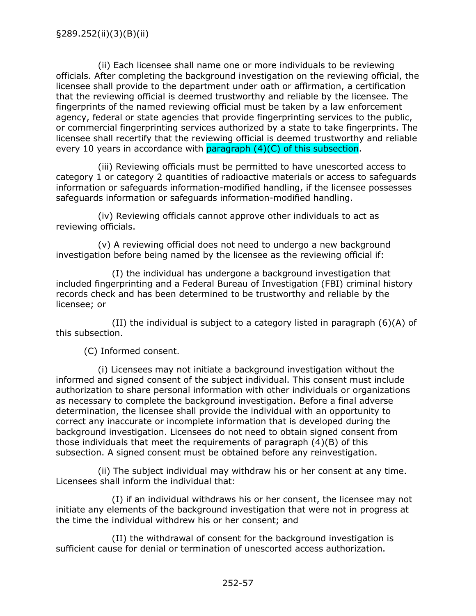(ii) Each licensee shall name one or more individuals to be reviewing officials. After completing the background investigation on the reviewing official, the licensee shall provide to the department under oath or affirmation, a certification that the reviewing official is deemed trustworthy and reliable by the licensee. The fingerprints of the named reviewing official must be taken by a law enforcement agency, federal or state agencies that provide fingerprinting services to the public, or commercial fingerprinting services authorized by a state to take fingerprints. The licensee shall recertify that the reviewing official is deemed trustworthy and reliable every 10 years in accordance with  $paragnch (4)(C)$  of this subsection.

(iii) Reviewing officials must be permitted to have unescorted access to category 1 or category 2 quantities of radioactive materials or access to safeguards information or safeguards information-modified handling, if the licensee possesses safeguards information or safeguards information-modified handling.

(iv) Reviewing officials cannot approve other individuals to act as reviewing officials.

(v) A reviewing official does not need to undergo a new background investigation before being named by the licensee as the reviewing official if:

(I) the individual has undergone a background investigation that included fingerprinting and a Federal Bureau of Investigation (FBI) criminal history records check and has been determined to be trustworthy and reliable by the licensee; or

(II) the individual is subject to a category listed in paragraph  $(6)(A)$  of this subsection.

(C) Informed consent.

(i) Licensees may not initiate a background investigation without the informed and signed consent of the subject individual. This consent must include authorization to share personal information with other individuals or organizations as necessary to complete the background investigation. Before a final adverse determination, the licensee shall provide the individual with an opportunity to correct any inaccurate or incomplete information that is developed during the background investigation. Licensees do not need to obtain signed consent from those individuals that meet the requirements of paragraph (4)(B) of this subsection. A signed consent must be obtained before any reinvestigation.

(ii) The subject individual may withdraw his or her consent at any time. Licensees shall inform the individual that:

(I) if an individual withdraws his or her consent, the licensee may not initiate any elements of the background investigation that were not in progress at the time the individual withdrew his or her consent; and

(II) the withdrawal of consent for the background investigation is sufficient cause for denial or termination of unescorted access authorization.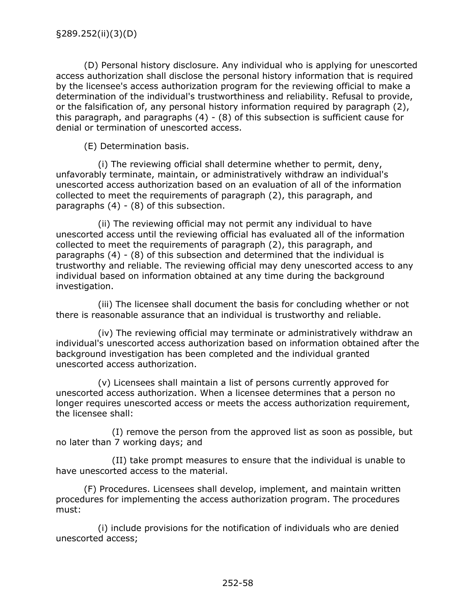(D) Personal history disclosure. Any individual who is applying for unescorted access authorization shall disclose the personal history information that is required by the licensee's access authorization program for the reviewing official to make a determination of the individual's trustworthiness and reliability. Refusal to provide, or the falsification of, any personal history information required by paragraph (2), this paragraph, and paragraphs  $(4) - (8)$  of this subsection is sufficient cause for denial or termination of unescorted access.

(E) Determination basis.

(i) The reviewing official shall determine whether to permit, deny, unfavorably terminate, maintain, or administratively withdraw an individual's unescorted access authorization based on an evaluation of all of the information collected to meet the requirements of paragraph (2), this paragraph, and paragraphs (4) - (8) of this subsection.

(ii) The reviewing official may not permit any individual to have unescorted access until the reviewing official has evaluated all of the information collected to meet the requirements of paragraph (2), this paragraph, and paragraphs (4) - (8) of this subsection and determined that the individual is trustworthy and reliable. The reviewing official may deny unescorted access to any individual based on information obtained at any time during the background investigation.

(iii) The licensee shall document the basis for concluding whether or not there is reasonable assurance that an individual is trustworthy and reliable.

(iv) The reviewing official may terminate or administratively withdraw an individual's unescorted access authorization based on information obtained after the background investigation has been completed and the individual granted unescorted access authorization.

(v) Licensees shall maintain a list of persons currently approved for unescorted access authorization. When a licensee determines that a person no longer requires unescorted access or meets the access authorization requirement, the licensee shall:

(I) remove the person from the approved list as soon as possible, but no later than 7 working days; and

(II) take prompt measures to ensure that the individual is unable to have unescorted access to the material.

(F) Procedures. Licensees shall develop, implement, and maintain written procedures for implementing the access authorization program. The procedures must:

(i) include provisions for the notification of individuals who are denied unescorted access;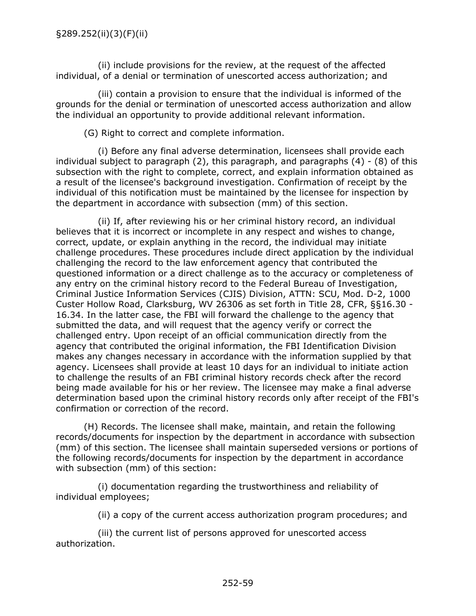(ii) include provisions for the review, at the request of the affected individual, of a denial or termination of unescorted access authorization; and

(iii) contain a provision to ensure that the individual is informed of the grounds for the denial or termination of unescorted access authorization and allow the individual an opportunity to provide additional relevant information.

(G) Right to correct and complete information.

(i) Before any final adverse determination, licensees shall provide each individual subject to paragraph  $(2)$ , this paragraph, and paragraphs  $(4)$  -  $(8)$  of this subsection with the right to complete, correct, and explain information obtained as a result of the licensee's background investigation. Confirmation of receipt by the individual of this notification must be maintained by the licensee for inspection by the department in accordance with subsection (mm) of this section.

(ii) If, after reviewing his or her criminal history record, an individual believes that it is incorrect or incomplete in any respect and wishes to change, correct, update, or explain anything in the record, the individual may initiate challenge procedures. These procedures include direct application by the individual challenging the record to the law enforcement agency that contributed the questioned information or a direct challenge as to the accuracy or completeness of any entry on the criminal history record to the Federal Bureau of Investigation, Criminal Justice Information Services (CJIS) Division, ATTN: SCU, Mod. D-2, 1000 Custer Hollow Road, Clarksburg, WV 26306 as set forth in Title 28, CFR, §§16.30 - 16.34. In the latter case, the FBI will forward the challenge to the agency that submitted the data, and will request that the agency verify or correct the challenged entry. Upon receipt of an official communication directly from the agency that contributed the original information, the FBI Identification Division makes any changes necessary in accordance with the information supplied by that agency. Licensees shall provide at least 10 days for an individual to initiate action to challenge the results of an FBI criminal history records check after the record being made available for his or her review. The licensee may make a final adverse determination based upon the criminal history records only after receipt of the FBI's confirmation or correction of the record.

(H) Records. The licensee shall make, maintain, and retain the following records/documents for inspection by the department in accordance with subsection (mm) of this section. The licensee shall maintain superseded versions or portions of the following records/documents for inspection by the department in accordance with subsection (mm) of this section:

(i) documentation regarding the trustworthiness and reliability of individual employees;

(ii) a copy of the current access authorization program procedures; and

(iii) the current list of persons approved for unescorted access authorization.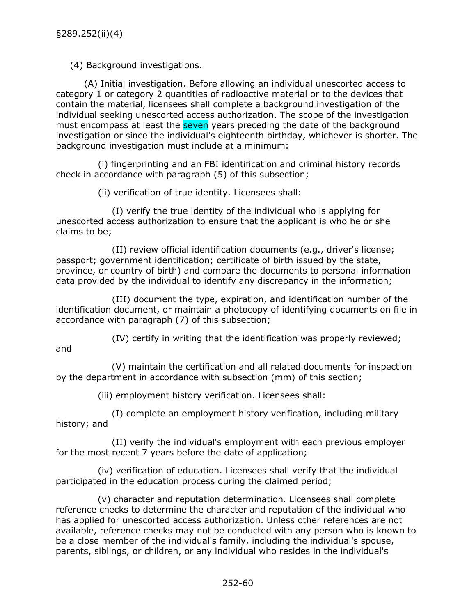(4) Background investigations.

(A) Initial investigation. Before allowing an individual unescorted access to category 1 or category 2 quantities of radioactive material or to the devices that contain the material, licensees shall complete a background investigation of the individual seeking unescorted access authorization. The scope of the investigation must encompass at least the seven years preceding the date of the background investigation or since the individual's eighteenth birthday, whichever is shorter. The background investigation must include at a minimum:

(i) fingerprinting and an FBI identification and criminal history records check in accordance with paragraph (5) of this subsection;

(ii) verification of true identity. Licensees shall:

(I) verify the true identity of the individual who is applying for unescorted access authorization to ensure that the applicant is who he or she claims to be;

(II) review official identification documents (e.g., driver's license; passport; government identification; certificate of birth issued by the state, province, or country of birth) and compare the documents to personal information data provided by the individual to identify any discrepancy in the information;

(III) document the type, expiration, and identification number of the identification document, or maintain a photocopy of identifying documents on file in accordance with paragraph (7) of this subsection;

(IV) certify in writing that the identification was properly reviewed;

and

(V) maintain the certification and all related documents for inspection by the department in accordance with subsection (mm) of this section;

(iii) employment history verification. Licensees shall:

(I) complete an employment history verification, including military history; and

(II) verify the individual's employment with each previous employer for the most recent 7 years before the date of application;

(iv) verification of education. Licensees shall verify that the individual participated in the education process during the claimed period;

(v) character and reputation determination. Licensees shall complete reference checks to determine the character and reputation of the individual who has applied for unescorted access authorization. Unless other references are not available, reference checks may not be conducted with any person who is known to be a close member of the individual's family, including the individual's spouse, parents, siblings, or children, or any individual who resides in the individual's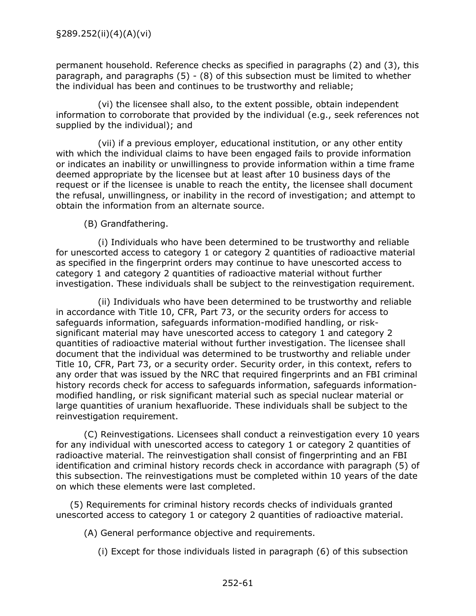permanent household. Reference checks as specified in paragraphs (2) and (3), this paragraph, and paragraphs (5) - (8) of this subsection must be limited to whether the individual has been and continues to be trustworthy and reliable;

(vi) the licensee shall also, to the extent possible, obtain independent information to corroborate that provided by the individual (e.g., seek references not supplied by the individual); and

(vii) if a previous employer, educational institution, or any other entity with which the individual claims to have been engaged fails to provide information or indicates an inability or unwillingness to provide information within a time frame deemed appropriate by the licensee but at least after 10 business days of the request or if the licensee is unable to reach the entity, the licensee shall document the refusal, unwillingness, or inability in the record of investigation; and attempt to obtain the information from an alternate source.

(B) Grandfathering.

(i) Individuals who have been determined to be trustworthy and reliable for unescorted access to category 1 or category 2 quantities of radioactive material as specified in the fingerprint orders may continue to have unescorted access to category 1 and category 2 quantities of radioactive material without further investigation. These individuals shall be subject to the reinvestigation requirement.

(ii) Individuals who have been determined to be trustworthy and reliable in accordance with Title 10, CFR, Part 73, or the security orders for access to safeguards information, safeguards information-modified handling, or risksignificant material may have unescorted access to category 1 and category 2 quantities of radioactive material without further investigation. The licensee shall document that the individual was determined to be trustworthy and reliable under Title 10, CFR, Part 73, or a security order. Security order, in this context, refers to any order that was issued by the NRC that required fingerprints and an FBI criminal history records check for access to safeguards information, safeguards informationmodified handling, or risk significant material such as special nuclear material or large quantities of uranium hexafluoride. These individuals shall be subject to the reinvestigation requirement.

(C) Reinvestigations. Licensees shall conduct a reinvestigation every 10 years for any individual with unescorted access to category 1 or category 2 quantities of radioactive material. The reinvestigation shall consist of fingerprinting and an FBI identification and criminal history records check in accordance with paragraph (5) of this subsection. The reinvestigations must be completed within 10 years of the date on which these elements were last completed.

(5) Requirements for criminal history records checks of individuals granted unescorted access to category 1 or category 2 quantities of radioactive material.

(A) General performance objective and requirements.

(i) Except for those individuals listed in paragraph (6) of this subsection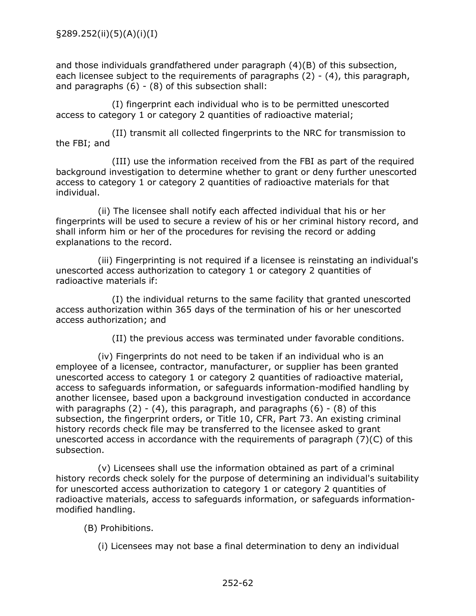and those individuals grandfathered under paragraph (4)(B) of this subsection, each licensee subject to the requirements of paragraphs (2) - (4), this paragraph, and paragraphs  $(6) - (8)$  of this subsection shall:

(I) fingerprint each individual who is to be permitted unescorted access to category 1 or category 2 quantities of radioactive material;

(II) transmit all collected fingerprints to the NRC for transmission to the FBI; and

(III) use the information received from the FBI as part of the required background investigation to determine whether to grant or deny further unescorted access to category 1 or category 2 quantities of radioactive materials for that individual.

(ii) The licensee shall notify each affected individual that his or her fingerprints will be used to secure a review of his or her criminal history record, and shall inform him or her of the procedures for revising the record or adding explanations to the record.

(iii) Fingerprinting is not required if a licensee is reinstating an individual's unescorted access authorization to category 1 or category 2 quantities of radioactive materials if:

(I) the individual returns to the same facility that granted unescorted access authorization within 365 days of the termination of his or her unescorted access authorization; and

(II) the previous access was terminated under favorable conditions.

(iv) Fingerprints do not need to be taken if an individual who is an employee of a licensee, contractor, manufacturer, or supplier has been granted unescorted access to category 1 or category 2 quantities of radioactive material, access to safeguards information, or safeguards information-modified handling by another licensee, based upon a background investigation conducted in accordance with paragraphs  $(2) - (4)$ , this paragraph, and paragraphs  $(6) - (8)$  of this subsection, the fingerprint orders, or Title 10, CFR, Part 73. An existing criminal history records check file may be transferred to the licensee asked to grant unescorted access in accordance with the requirements of paragraph (7)(C) of this subsection.

(v) Licensees shall use the information obtained as part of a criminal history records check solely for the purpose of determining an individual's suitability for unescorted access authorization to category 1 or category 2 quantities of radioactive materials, access to safeguards information, or safeguards informationmodified handling.

## (B) Prohibitions.

(i) Licensees may not base a final determination to deny an individual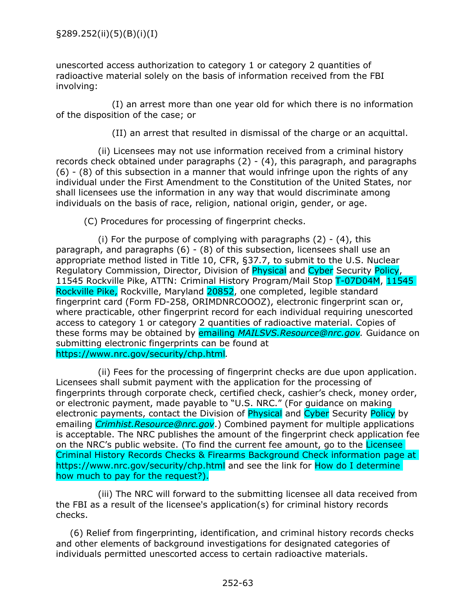unescorted access authorization to category 1 or category 2 quantities of radioactive material solely on the basis of information received from the FBI involving:

(I) an arrest more than one year old for which there is no information of the disposition of the case; or

(II) an arrest that resulted in dismissal of the charge or an acquittal.

(ii) Licensees may not use information received from a criminal history records check obtained under paragraphs (2) - (4), this paragraph, and paragraphs (6) - (8) of this subsection in a manner that would infringe upon the rights of any individual under the First Amendment to the Constitution of the United States, nor shall licensees use the information in any way that would discriminate among individuals on the basis of race, religion, national origin, gender, or age.

(C) Procedures for processing of fingerprint checks.

(i) For the purpose of complying with paragraphs  $(2) - (4)$ , this paragraph, and paragraphs (6) - (8) of this subsection, licensees shall use an appropriate method listed in Title 10, CFR, §37.7, to submit to the U.S. Nuclear Regulatory Commission, Director, Division of Physical and Cyber Security Policy, 11545 Rockville Pike, ATTN: Criminal History Program/Mail Stop T-07D04M, 11545 Rockville Pike, Rockville, Maryland 20852, one completed, legible standard fingerprint card (Form FD-258, ORIMDNRCOOOZ), electronic fingerprint scan or, where practicable, other fingerprint record for each individual requiring unescorted access to category 1 or category 2 quantities of radioactive material. Copies of these forms may be obtained by emailing *MAILSVS.Resource@nrc.gov.* Guidance on submitting electronic fingerprints can be found at https://www.nrc.gov/security/chp.html*.*

(ii) Fees for the processing of fingerprint checks are due upon application. Licensees shall submit payment with the application for the processing of fingerprints through corporate check, certified check, cashier's check, money order, or electronic payment, made payable to "U.S. NRC." (For guidance on making electronic payments, contact the Division of Physical and Cyber Security Policy by emailing *Crimhist.Resource@nrc.gov*.) Combined payment for multiple applications is acceptable. The NRC publishes the amount of the fingerprint check application fee on the NRC's public website. (To find the current fee amount, go to the Licensee Criminal History Records Checks & Firearms Background Check information page at https://www.nrc.gov/security/chp.html and see the link for How do I determine how much to pay for the request?).

(iii) The NRC will forward to the submitting licensee all data received from the FBI as a result of the licensee's application(s) for criminal history records checks.

(6) Relief from fingerprinting, identification, and criminal history records checks and other elements of background investigations for designated categories of individuals permitted unescorted access to certain radioactive materials.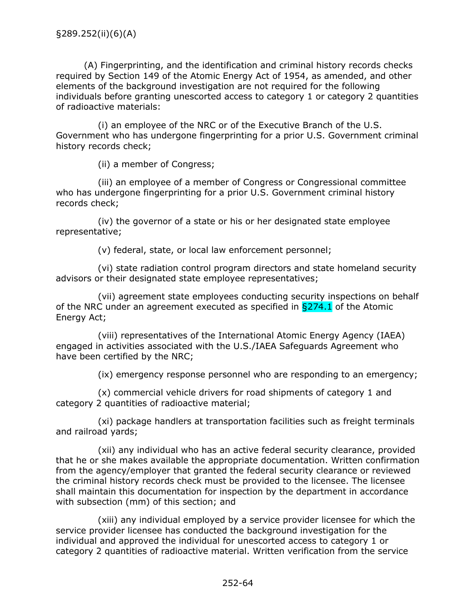(A) Fingerprinting, and the identification and criminal history records checks required by Section 149 of the Atomic Energy Act of 1954, as amended, and other elements of the background investigation are not required for the following individuals before granting unescorted access to category 1 or category 2 quantities of radioactive materials:

(i) an employee of the NRC or of the Executive Branch of the U.S. Government who has undergone fingerprinting for a prior U.S. Government criminal history records check;

(ii) a member of Congress;

(iii) an employee of a member of Congress or Congressional committee who has undergone fingerprinting for a prior U.S. Government criminal history records check;

(iv) the governor of a state or his or her designated state employee representative;

(v) federal, state, or local law enforcement personnel;

(vi) state radiation control program directors and state homeland security advisors or their designated state employee representatives;

(vii) agreement state employees conducting security inspections on behalf of the NRC under an agreement executed as specified in  $\S 274.1$  of the Atomic Energy Act;

(viii) representatives of the International Atomic Energy Agency (IAEA) engaged in activities associated with the U.S./IAEA Safeguards Agreement who have been certified by the NRC;

(ix) emergency response personnel who are responding to an emergency;

(x) commercial vehicle drivers for road shipments of category 1 and category 2 quantities of radioactive material;

(xi) package handlers at transportation facilities such as freight terminals and railroad yards;

(xii) any individual who has an active federal security clearance, provided that he or she makes available the appropriate documentation. Written confirmation from the agency/employer that granted the federal security clearance or reviewed the criminal history records check must be provided to the licensee. The licensee shall maintain this documentation for inspection by the department in accordance with subsection (mm) of this section; and

(xiii) any individual employed by a service provider licensee for which the service provider licensee has conducted the background investigation for the individual and approved the individual for unescorted access to category 1 or category 2 quantities of radioactive material. Written verification from the service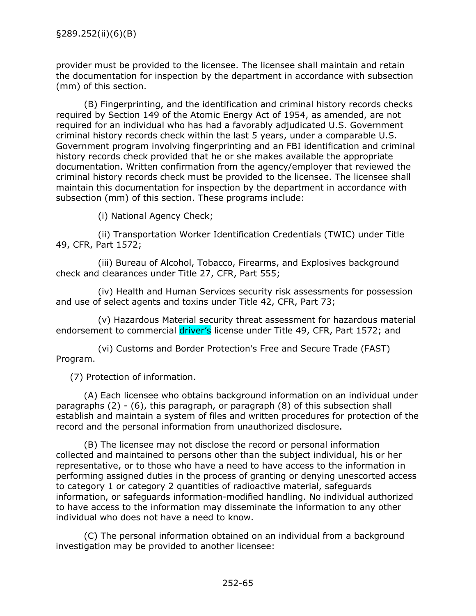provider must be provided to the licensee. The licensee shall maintain and retain the documentation for inspection by the department in accordance with subsection (mm) of this section.

(B) Fingerprinting, and the identification and criminal history records checks required by Section 149 of the Atomic Energy Act of 1954, as amended, are not required for an individual who has had a favorably adjudicated U.S. Government criminal history records check within the last 5 years, under a comparable U.S. Government program involving fingerprinting and an FBI identification and criminal history records check provided that he or she makes available the appropriate documentation. Written confirmation from the agency/employer that reviewed the criminal history records check must be provided to the licensee. The licensee shall maintain this documentation for inspection by the department in accordance with subsection (mm) of this section. These programs include:

(i) National Agency Check;

(ii) Transportation Worker Identification Credentials (TWIC) under Title 49, CFR, Part 1572;

(iii) Bureau of Alcohol, Tobacco, Firearms, and Explosives background check and clearances under Title 27, CFR, Part 555;

(iv) Health and Human Services security risk assessments for possession and use of select agents and toxins under Title 42, CFR, Part 73;

(v) Hazardous Material security threat assessment for hazardous material endorsement to commercial driver's license under Title 49, CFR, Part 1572; and

(vi) Customs and Border Protection's Free and Secure Trade (FAST) Program.

(7) Protection of information.

(A) Each licensee who obtains background information on an individual under paragraphs (2) - (6), this paragraph, or paragraph (8) of this subsection shall establish and maintain a system of files and written procedures for protection of the record and the personal information from unauthorized disclosure.

(B) The licensee may not disclose the record or personal information collected and maintained to persons other than the subject individual, his or her representative, or to those who have a need to have access to the information in performing assigned duties in the process of granting or denying unescorted access to category 1 or category 2 quantities of radioactive material, safeguards information, or safeguards information-modified handling. No individual authorized to have access to the information may disseminate the information to any other individual who does not have a need to know.

(C) The personal information obtained on an individual from a background investigation may be provided to another licensee: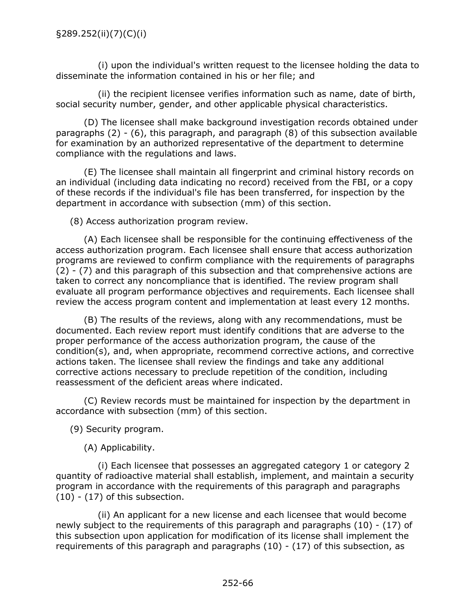(i) upon the individual's written request to the licensee holding the data to disseminate the information contained in his or her file; and

(ii) the recipient licensee verifies information such as name, date of birth, social security number, gender, and other applicable physical characteristics.

(D) The licensee shall make background investigation records obtained under paragraphs (2) - (6), this paragraph, and paragraph (8) of this subsection available for examination by an authorized representative of the department to determine compliance with the regulations and laws.

(E) The licensee shall maintain all fingerprint and criminal history records on an individual (including data indicating no record) received from the FBI, or a copy of these records if the individual's file has been transferred, for inspection by the department in accordance with subsection (mm) of this section.

(8) Access authorization program review.

(A) Each licensee shall be responsible for the continuing effectiveness of the access authorization program. Each licensee shall ensure that access authorization programs are reviewed to confirm compliance with the requirements of paragraphs (2) - (7) and this paragraph of this subsection and that comprehensive actions are taken to correct any noncompliance that is identified. The review program shall evaluate all program performance objectives and requirements. Each licensee shall review the access program content and implementation at least every 12 months.

(B) The results of the reviews, along with any recommendations, must be documented. Each review report must identify conditions that are adverse to the proper performance of the access authorization program, the cause of the condition(s), and, when appropriate, recommend corrective actions, and corrective actions taken. The licensee shall review the findings and take any additional corrective actions necessary to preclude repetition of the condition, including reassessment of the deficient areas where indicated.

(C) Review records must be maintained for inspection by the department in accordance with subsection (mm) of this section.

(9) Security program.

(A) Applicability.

(i) Each licensee that possesses an aggregated category 1 or category 2 quantity of radioactive material shall establish, implement, and maintain a security program in accordance with the requirements of this paragraph and paragraphs (10) - (17) of this subsection.

(ii) An applicant for a new license and each licensee that would become newly subject to the requirements of this paragraph and paragraphs (10) - (17) of this subsection upon application for modification of its license shall implement the requirements of this paragraph and paragraphs (10) - (17) of this subsection, as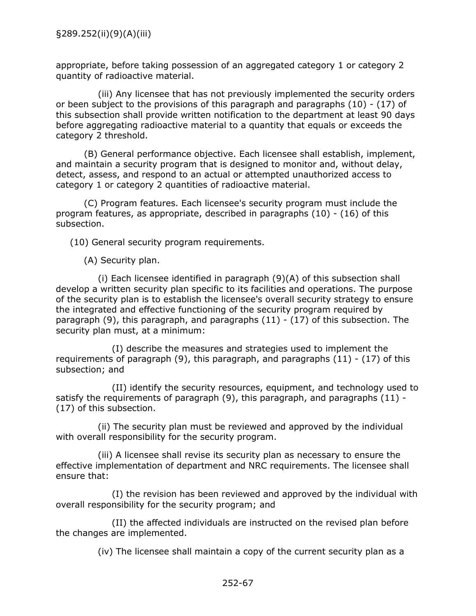appropriate, before taking possession of an aggregated category 1 or category 2 quantity of radioactive material.

(iii) Any licensee that has not previously implemented the security orders or been subject to the provisions of this paragraph and paragraphs (10) - (17) of this subsection shall provide written notification to the department at least 90 days before aggregating radioactive material to a quantity that equals or exceeds the category 2 threshold.

(B) General performance objective. Each licensee shall establish, implement, and maintain a security program that is designed to monitor and, without delay, detect, assess, and respond to an actual or attempted unauthorized access to category 1 or category 2 quantities of radioactive material.

(C) Program features. Each licensee's security program must include the program features, as appropriate, described in paragraphs (10) - (16) of this subsection.

(10) General security program requirements.

(A) Security plan.

(i) Each licensee identified in paragraph (9)(A) of this subsection shall develop a written security plan specific to its facilities and operations. The purpose of the security plan is to establish the licensee's overall security strategy to ensure the integrated and effective functioning of the security program required by paragraph (9), this paragraph, and paragraphs (11) - (17) of this subsection. The security plan must, at a minimum:

(I) describe the measures and strategies used to implement the requirements of paragraph (9), this paragraph, and paragraphs (11) - (17) of this subsection; and

(II) identify the security resources, equipment, and technology used to satisfy the requirements of paragraph (9), this paragraph, and paragraphs (11) - (17) of this subsection.

(ii) The security plan must be reviewed and approved by the individual with overall responsibility for the security program.

(iii) A licensee shall revise its security plan as necessary to ensure the effective implementation of department and NRC requirements. The licensee shall ensure that:

(I) the revision has been reviewed and approved by the individual with overall responsibility for the security program; and

(II) the affected individuals are instructed on the revised plan before the changes are implemented.

(iv) The licensee shall maintain a copy of the current security plan as a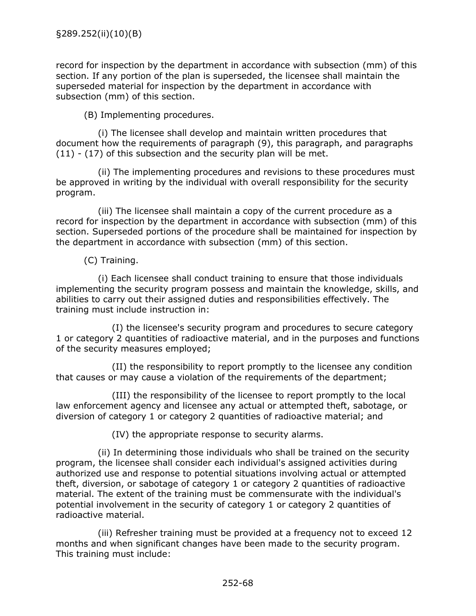record for inspection by the department in accordance with subsection (mm) of this section. If any portion of the plan is superseded, the licensee shall maintain the superseded material for inspection by the department in accordance with subsection (mm) of this section.

(B) Implementing procedures.

(i) The licensee shall develop and maintain written procedures that document how the requirements of paragraph (9), this paragraph, and paragraphs (11) - (17) of this subsection and the security plan will be met.

(ii) The implementing procedures and revisions to these procedures must be approved in writing by the individual with overall responsibility for the security program.

(iii) The licensee shall maintain a copy of the current procedure as a record for inspection by the department in accordance with subsection (mm) of this section. Superseded portions of the procedure shall be maintained for inspection by the department in accordance with subsection (mm) of this section.

(C) Training.

(i) Each licensee shall conduct training to ensure that those individuals implementing the security program possess and maintain the knowledge, skills, and abilities to carry out their assigned duties and responsibilities effectively. The training must include instruction in:

(I) the licensee's security program and procedures to secure category 1 or category 2 quantities of radioactive material, and in the purposes and functions of the security measures employed;

(II) the responsibility to report promptly to the licensee any condition that causes or may cause a violation of the requirements of the department;

(III) the responsibility of the licensee to report promptly to the local law enforcement agency and licensee any actual or attempted theft, sabotage, or diversion of category 1 or category 2 quantities of radioactive material; and

(IV) the appropriate response to security alarms.

(ii) In determining those individuals who shall be trained on the security program, the licensee shall consider each individual's assigned activities during authorized use and response to potential situations involving actual or attempted theft, diversion, or sabotage of category 1 or category 2 quantities of radioactive material. The extent of the training must be commensurate with the individual's potential involvement in the security of category 1 or category 2 quantities of radioactive material.

(iii) Refresher training must be provided at a frequency not to exceed 12 months and when significant changes have been made to the security program. This training must include: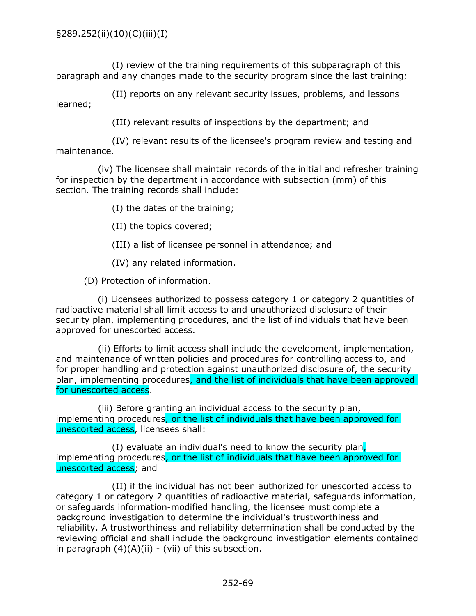(I) review of the training requirements of this subparagraph of this paragraph and any changes made to the security program since the last training;

(II) reports on any relevant security issues, problems, and lessons learned;

(III) relevant results of inspections by the department; and

(IV) relevant results of the licensee's program review and testing and maintenance.

(iv) The licensee shall maintain records of the initial and refresher training for inspection by the department in accordance with subsection (mm) of this section. The training records shall include:

(I) the dates of the training;

(II) the topics covered;

(III) a list of licensee personnel in attendance; and

(IV) any related information.

(D) Protection of information.

(i) Licensees authorized to possess category 1 or category 2 quantities of radioactive material shall limit access to and unauthorized disclosure of their security plan, implementing procedures, and the list of individuals that have been approved for unescorted access.

(ii) Efforts to limit access shall include the development, implementation, and maintenance of written policies and procedures for controlling access to, and for proper handling and protection against unauthorized disclosure of, the security plan, implementing procedures, and the list of individuals that have been approved for unescorted access.

(iii) Before granting an individual access to the security plan, implementing procedures, or the list of individuals that have been approved for unescorted access, licensees shall:

(I) evaluate an individual's need to know the security plan, implementing procedures, or the list of individuals that have been approved for unescorted access; and

(II) if the individual has not been authorized for unescorted access to category 1 or category 2 quantities of radioactive material, safeguards information, or safeguards information-modified handling, the licensee must complete a background investigation to determine the individual's trustworthiness and reliability. A trustworthiness and reliability determination shall be conducted by the reviewing official and shall include the background investigation elements contained in paragraph  $(4)(A)(ii)$  - (vii) of this subsection.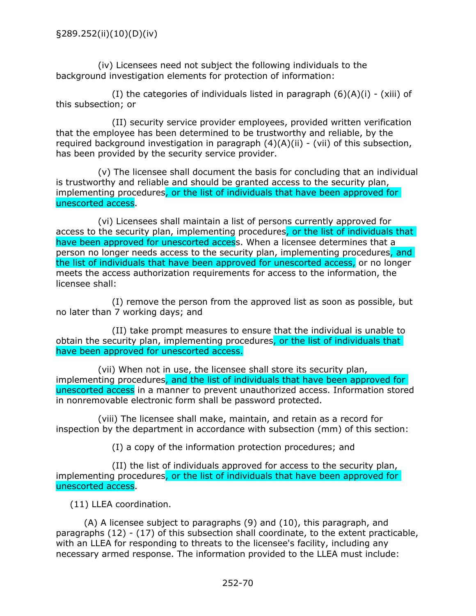(iv) Licensees need not subject the following individuals to the background investigation elements for protection of information:

(I) the categories of individuals listed in paragraph  $(6)(A)(i)$  - (xiii) of this subsection; or

(II) security service provider employees, provided written verification that the employee has been determined to be trustworthy and reliable, by the required background investigation in paragraph  $(4)(A)(ii)$  - (vii) of this subsection, has been provided by the security service provider.

(v) The licensee shall document the basis for concluding that an individual is trustworthy and reliable and should be granted access to the security plan, implementing procedures, or the list of individuals that have been approved for unescorted access.

(vi) Licensees shall maintain a list of persons currently approved for access to the security plan, implementing procedures, or the list of individuals that have been approved for unescorted access. When a licensee determines that a person no longer needs access to the security plan, implementing procedures, and the list of individuals that have been approved for unescorted access, or no longer meets the access authorization requirements for access to the information, the licensee shall:

(I) remove the person from the approved list as soon as possible, but no later than 7 working days; and

(II) take prompt measures to ensure that the individual is unable to obtain the security plan, implementing procedures, or the list of individuals that have been approved for unescorted access.

(vii) When not in use, the licensee shall store its security plan, implementing procedures, and the list of individuals that have been approved for unescorted access in a manner to prevent unauthorized access. Information stored in nonremovable electronic form shall be password protected.

(viii) The licensee shall make, maintain, and retain as a record for inspection by the department in accordance with subsection (mm) of this section:

(I) a copy of the information protection procedures; and

(II) the list of individuals approved for access to the security plan, implementing procedures, or the list of individuals that have been approved for unescorted access.

(11) LLEA coordination.

(A) A licensee subject to paragraphs (9) and (10), this paragraph, and paragraphs (12) - (17) of this subsection shall coordinate, to the extent practicable, with an LLEA for responding to threats to the licensee's facility, including any necessary armed response. The information provided to the LLEA must include: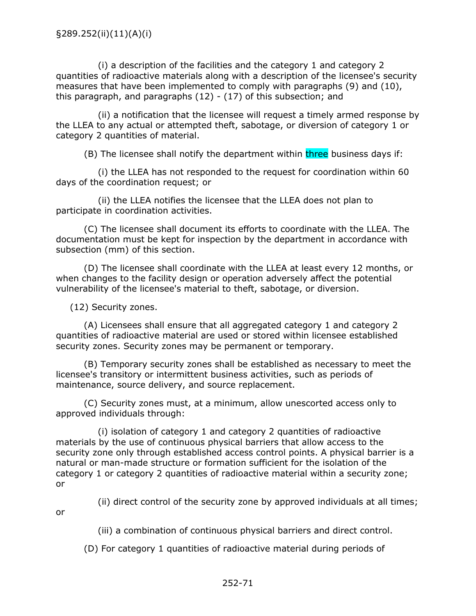(i) a description of the facilities and the category 1 and category 2 quantities of radioactive materials along with a description of the licensee's security measures that have been implemented to comply with paragraphs (9) and (10), this paragraph, and paragraphs  $(12) - (17)$  of this subsection; and

(ii) a notification that the licensee will request a timely armed response by the LLEA to any actual or attempted theft, sabotage, or diversion of category 1 or category 2 quantities of material.

(B) The licensee shall notify the department within three business days if:

(i) the LLEA has not responded to the request for coordination within 60 days of the coordination request; or

(ii) the LLEA notifies the licensee that the LLEA does not plan to participate in coordination activities.

(C) The licensee shall document its efforts to coordinate with the LLEA. The documentation must be kept for inspection by the department in accordance with subsection (mm) of this section.

(D) The licensee shall coordinate with the LLEA at least every 12 months, or when changes to the facility design or operation adversely affect the potential vulnerability of the licensee's material to theft, sabotage, or diversion.

(12) Security zones.

(A) Licensees shall ensure that all aggregated category 1 and category 2 quantities of radioactive material are used or stored within licensee established security zones. Security zones may be permanent or temporary.

(B) Temporary security zones shall be established as necessary to meet the licensee's transitory or intermittent business activities, such as periods of maintenance, source delivery, and source replacement.

(C) Security zones must, at a minimum, allow unescorted access only to approved individuals through:

(i) isolation of category 1 and category 2 quantities of radioactive materials by the use of continuous physical barriers that allow access to the security zone only through established access control points. A physical barrier is a natural or man-made structure or formation sufficient for the isolation of the category 1 or category 2 quantities of radioactive material within a security zone; or

(ii) direct control of the security zone by approved individuals at all times;

or

(iii) a combination of continuous physical barriers and direct control.

(D) For category 1 quantities of radioactive material during periods of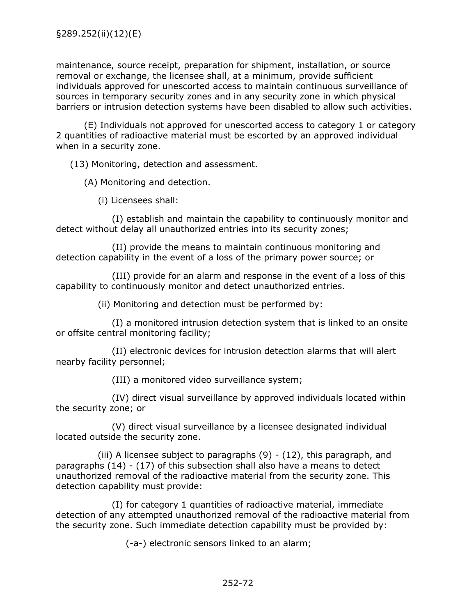maintenance, source receipt, preparation for shipment, installation, or source removal or exchange, the licensee shall, at a minimum, provide sufficient individuals approved for unescorted access to maintain continuous surveillance of sources in temporary security zones and in any security zone in which physical barriers or intrusion detection systems have been disabled to allow such activities.

(E) Individuals not approved for unescorted access to category 1 or category 2 quantities of radioactive material must be escorted by an approved individual when in a security zone.

(13) Monitoring, detection and assessment.

(A) Monitoring and detection.

(i) Licensees shall:

(I) establish and maintain the capability to continuously monitor and detect without delay all unauthorized entries into its security zones;

(II) provide the means to maintain continuous monitoring and detection capability in the event of a loss of the primary power source; or

(III) provide for an alarm and response in the event of a loss of this capability to continuously monitor and detect unauthorized entries.

(ii) Monitoring and detection must be performed by:

(I) a monitored intrusion detection system that is linked to an onsite or offsite central monitoring facility;

(II) electronic devices for intrusion detection alarms that will alert nearby facility personnel;

(III) a monitored video surveillance system;

(IV) direct visual surveillance by approved individuals located within the security zone; or

(V) direct visual surveillance by a licensee designated individual located outside the security zone.

(iii) A licensee subject to paragraphs  $(9)$  -  $(12)$ , this paragraph, and paragraphs (14) - (17) of this subsection shall also have a means to detect unauthorized removal of the radioactive material from the security zone. This detection capability must provide:

(I) for category 1 quantities of radioactive material, immediate detection of any attempted unauthorized removal of the radioactive material from the security zone. Such immediate detection capability must be provided by:

(-a-) electronic sensors linked to an alarm;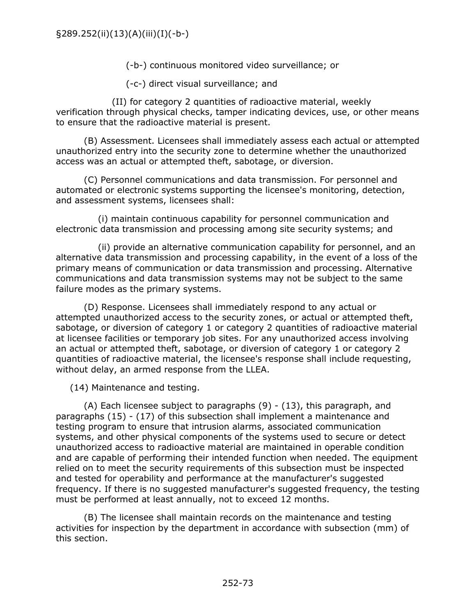(-b-) continuous monitored video surveillance; or

(-c-) direct visual surveillance; and

(II) for category 2 quantities of radioactive material, weekly verification through physical checks, tamper indicating devices, use, or other means to ensure that the radioactive material is present.

(B) Assessment. Licensees shall immediately assess each actual or attempted unauthorized entry into the security zone to determine whether the unauthorized access was an actual or attempted theft, sabotage, or diversion.

(C) Personnel communications and data transmission. For personnel and automated or electronic systems supporting the licensee's monitoring, detection, and assessment systems, licensees shall:

(i) maintain continuous capability for personnel communication and electronic data transmission and processing among site security systems; and

(ii) provide an alternative communication capability for personnel, and an alternative data transmission and processing capability, in the event of a loss of the primary means of communication or data transmission and processing. Alternative communications and data transmission systems may not be subject to the same failure modes as the primary systems.

(D) Response. Licensees shall immediately respond to any actual or attempted unauthorized access to the security zones, or actual or attempted theft, sabotage, or diversion of category 1 or category 2 quantities of radioactive material at licensee facilities or temporary job sites. For any unauthorized access involving an actual or attempted theft, sabotage, or diversion of category 1 or category 2 quantities of radioactive material, the licensee's response shall include requesting, without delay, an armed response from the LLEA.

(14) Maintenance and testing.

(A) Each licensee subject to paragraphs (9) - (13), this paragraph, and paragraphs (15) - (17) of this subsection shall implement a maintenance and testing program to ensure that intrusion alarms, associated communication systems, and other physical components of the systems used to secure or detect unauthorized access to radioactive material are maintained in operable condition and are capable of performing their intended function when needed. The equipment relied on to meet the security requirements of this subsection must be inspected and tested for operability and performance at the manufacturer's suggested frequency. If there is no suggested manufacturer's suggested frequency, the testing must be performed at least annually, not to exceed 12 months.

(B) The licensee shall maintain records on the maintenance and testing activities for inspection by the department in accordance with subsection (mm) of this section.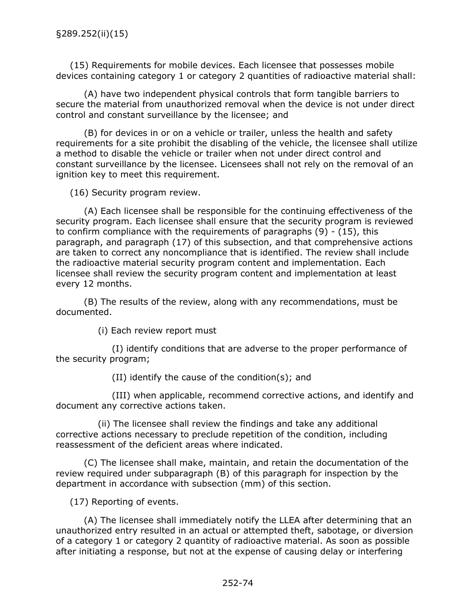(15) Requirements for mobile devices. Each licensee that possesses mobile devices containing category 1 or category 2 quantities of radioactive material shall:

(A) have two independent physical controls that form tangible barriers to secure the material from unauthorized removal when the device is not under direct control and constant surveillance by the licensee; and

(B) for devices in or on a vehicle or trailer, unless the health and safety requirements for a site prohibit the disabling of the vehicle, the licensee shall utilize a method to disable the vehicle or trailer when not under direct control and constant surveillance by the licensee. Licensees shall not rely on the removal of an ignition key to meet this requirement.

(16) Security program review.

(A) Each licensee shall be responsible for the continuing effectiveness of the security program. Each licensee shall ensure that the security program is reviewed to confirm compliance with the requirements of paragraphs  $(9) - (15)$ , this paragraph, and paragraph (17) of this subsection, and that comprehensive actions are taken to correct any noncompliance that is identified. The review shall include the radioactive material security program content and implementation. Each licensee shall review the security program content and implementation at least every 12 months.

(B) The results of the review, along with any recommendations, must be documented.

(i) Each review report must

(I) identify conditions that are adverse to the proper performance of the security program;

(II) identify the cause of the condition(s); and

(III) when applicable, recommend corrective actions, and identify and document any corrective actions taken.

(ii) The licensee shall review the findings and take any additional corrective actions necessary to preclude repetition of the condition, including reassessment of the deficient areas where indicated.

(C) The licensee shall make, maintain, and retain the documentation of the review required under subparagraph (B) of this paragraph for inspection by the department in accordance with subsection (mm) of this section.

(17) Reporting of events.

(A) The licensee shall immediately notify the LLEA after determining that an unauthorized entry resulted in an actual or attempted theft, sabotage, or diversion of a category 1 or category 2 quantity of radioactive material. As soon as possible after initiating a response, but not at the expense of causing delay or interfering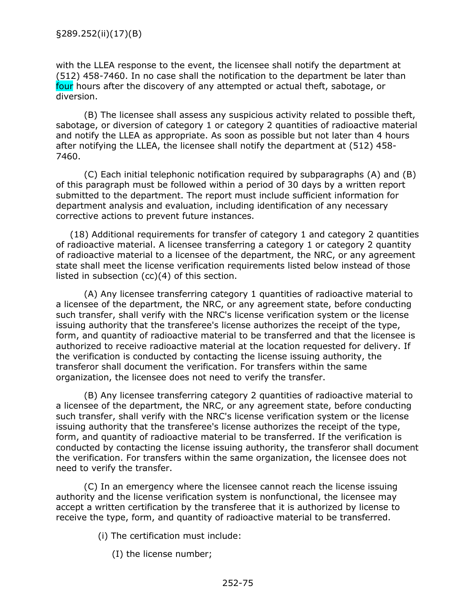with the LLEA response to the event, the licensee shall notify the department at (512) 458-7460. In no case shall the notification to the department be later than four hours after the discovery of any attempted or actual theft, sabotage, or diversion.

(B) The licensee shall assess any suspicious activity related to possible theft, sabotage, or diversion of category 1 or category 2 quantities of radioactive material and notify the LLEA as appropriate. As soon as possible but not later than 4 hours after notifying the LLEA, the licensee shall notify the department at (512) 458- 7460.

(C) Each initial telephonic notification required by subparagraphs (A) and (B) of this paragraph must be followed within a period of 30 days by a written report submitted to the department. The report must include sufficient information for department analysis and evaluation, including identification of any necessary corrective actions to prevent future instances.

(18) Additional requirements for transfer of category 1 and category 2 quantities of radioactive material. A licensee transferring a category 1 or category 2 quantity of radioactive material to a licensee of the department, the NRC, or any agreement state shall meet the license verification requirements listed below instead of those listed in subsection (cc)(4) of this section.

(A) Any licensee transferring category 1 quantities of radioactive material to a licensee of the department, the NRC, or any agreement state, before conducting such transfer, shall verify with the NRC's license verification system or the license issuing authority that the transferee's license authorizes the receipt of the type, form, and quantity of radioactive material to be transferred and that the licensee is authorized to receive radioactive material at the location requested for delivery. If the verification is conducted by contacting the license issuing authority, the transferor shall document the verification. For transfers within the same organization, the licensee does not need to verify the transfer.

(B) Any licensee transferring category 2 quantities of radioactive material to a licensee of the department, the NRC, or any agreement state, before conducting such transfer, shall verify with the NRC's license verification system or the license issuing authority that the transferee's license authorizes the receipt of the type, form, and quantity of radioactive material to be transferred. If the verification is conducted by contacting the license issuing authority, the transferor shall document the verification. For transfers within the same organization, the licensee does not need to verify the transfer.

(C) In an emergency where the licensee cannot reach the license issuing authority and the license verification system is nonfunctional, the licensee may accept a written certification by the transferee that it is authorized by license to receive the type, form, and quantity of radioactive material to be transferred.

(i) The certification must include:

(I) the license number;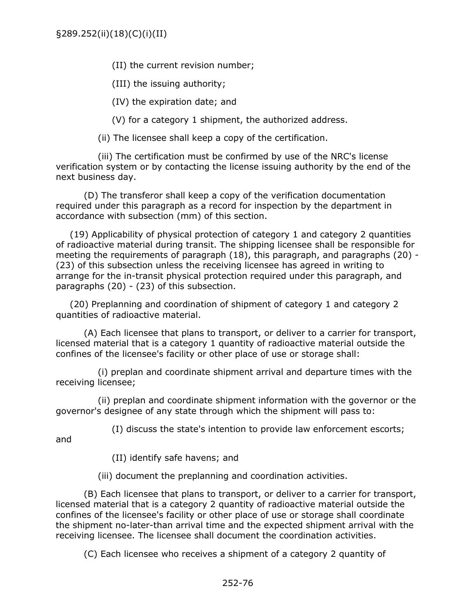(II) the current revision number;

(III) the issuing authority;

(IV) the expiration date; and

(V) for a category 1 shipment, the authorized address.

(ii) The licensee shall keep a copy of the certification.

(iii) The certification must be confirmed by use of the NRC's license verification system or by contacting the license issuing authority by the end of the next business day.

(D) The transferor shall keep a copy of the verification documentation required under this paragraph as a record for inspection by the department in accordance with subsection (mm) of this section.

(19) Applicability of physical protection of category 1 and category 2 quantities of radioactive material during transit. The shipping licensee shall be responsible for meeting the requirements of paragraph (18), this paragraph, and paragraphs (20) - (23) of this subsection unless the receiving licensee has agreed in writing to arrange for the in-transit physical protection required under this paragraph, and paragraphs (20) - (23) of this subsection.

(20) Preplanning and coordination of shipment of category 1 and category 2 quantities of radioactive material.

(A) Each licensee that plans to transport, or deliver to a carrier for transport, licensed material that is a category 1 quantity of radioactive material outside the confines of the licensee's facility or other place of use or storage shall:

(i) preplan and coordinate shipment arrival and departure times with the receiving licensee;

(ii) preplan and coordinate shipment information with the governor or the governor's designee of any state through which the shipment will pass to:

(I) discuss the state's intention to provide law enforcement escorts;

and

(II) identify safe havens; and

(iii) document the preplanning and coordination activities.

(B) Each licensee that plans to transport, or deliver to a carrier for transport, licensed material that is a category 2 quantity of radioactive material outside the confines of the licensee's facility or other place of use or storage shall coordinate the shipment no-later-than arrival time and the expected shipment arrival with the receiving licensee. The licensee shall document the coordination activities.

(C) Each licensee who receives a shipment of a category 2 quantity of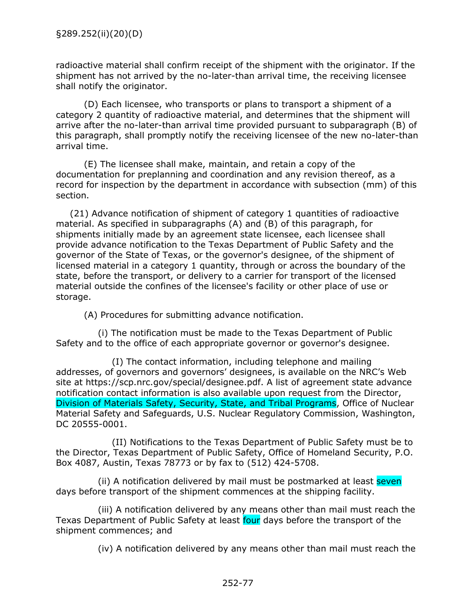radioactive material shall confirm receipt of the shipment with the originator. If the shipment has not arrived by the no-later-than arrival time, the receiving licensee shall notify the originator.

(D) Each licensee, who transports or plans to transport a shipment of a category 2 quantity of radioactive material, and determines that the shipment will arrive after the no-later-than arrival time provided pursuant to subparagraph (B) of this paragraph, shall promptly notify the receiving licensee of the new no-later-than arrival time.

(E) The licensee shall make, maintain, and retain a copy of the documentation for preplanning and coordination and any revision thereof, as a record for inspection by the department in accordance with subsection (mm) of this section.

(21) Advance notification of shipment of category 1 quantities of radioactive material. As specified in subparagraphs (A) and (B) of this paragraph, for shipments initially made by an agreement state licensee, each licensee shall provide advance notification to the Texas Department of Public Safety and the governor of the State of Texas, or the governor's designee, of the shipment of licensed material in a category 1 quantity, through or across the boundary of the state, before the transport, or delivery to a carrier for transport of the licensed material outside the confines of the licensee's facility or other place of use or storage.

(A) Procedures for submitting advance notification.

(i) The notification must be made to the Texas Department of Public Safety and to the office of each appropriate governor or governor's designee.

(I) The contact information, including telephone and mailing addresses, of governors and governors' designees, is available on the NRC's Web site at https://scp.nrc.gov/special/designee.pdf. A list of agreement state advance notification contact information is also available upon request from the Director, Division of Materials Safety, Security, State, and Tribal Programs, Office of Nuclear Material Safety and Safeguards, U.S. Nuclear Regulatory Commission, Washington, DC 20555-0001.

(II) Notifications to the Texas Department of Public Safety must be to the Director, Texas Department of Public Safety, Office of Homeland Security, P.O. Box 4087, Austin, Texas 78773 or by fax to (512) 424-5708.

(ii) A notification delivered by mail must be postmarked at least seven days before transport of the shipment commences at the shipping facility.

(iii) A notification delivered by any means other than mail must reach the Texas Department of Public Safety at least four days before the transport of the shipment commences; and

(iv) A notification delivered by any means other than mail must reach the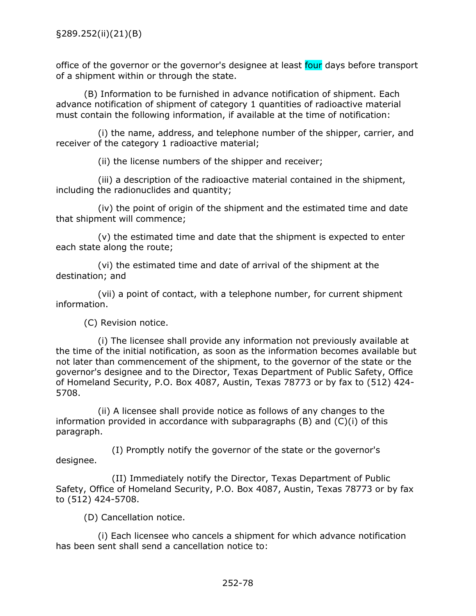office of the governor or the governor's designee at least four days before transport of a shipment within or through the state.

(B) Information to be furnished in advance notification of shipment. Each advance notification of shipment of category 1 quantities of radioactive material must contain the following information, if available at the time of notification:

(i) the name, address, and telephone number of the shipper, carrier, and receiver of the category 1 radioactive material;

(ii) the license numbers of the shipper and receiver;

(iii) a description of the radioactive material contained in the shipment, including the radionuclides and quantity;

(iv) the point of origin of the shipment and the estimated time and date that shipment will commence;

(v) the estimated time and date that the shipment is expected to enter each state along the route;

(vi) the estimated time and date of arrival of the shipment at the destination; and

(vii) a point of contact, with a telephone number, for current shipment information.

(C) Revision notice.

(i) The licensee shall provide any information not previously available at the time of the initial notification, as soon as the information becomes available but not later than commencement of the shipment, to the governor of the state or the governor's designee and to the Director, Texas Department of Public Safety, Office of Homeland Security, P.O. Box 4087, Austin, Texas 78773 or by fax to (512) 424- 5708.

(ii) A licensee shall provide notice as follows of any changes to the information provided in accordance with subparagraphs  $(B)$  and  $(C)(i)$  of this paragraph.

(I) Promptly notify the governor of the state or the governor's designee.

(II) Immediately notify the Director, Texas Department of Public Safety, Office of Homeland Security, P.O. Box 4087, Austin, Texas 78773 or by fax to (512) 424-5708.

(D) Cancellation notice.

(i) Each licensee who cancels a shipment for which advance notification has been sent shall send a cancellation notice to: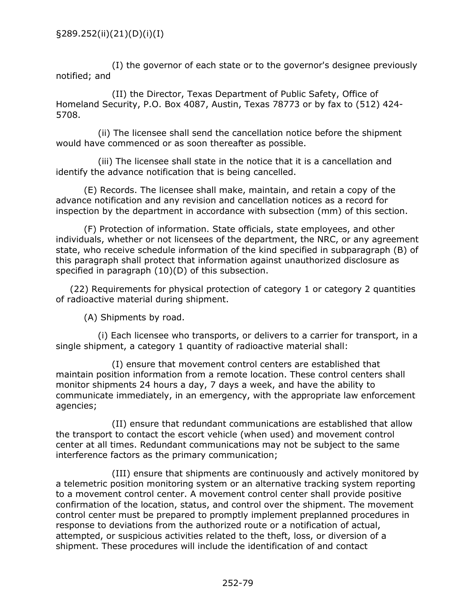(I) the governor of each state or to the governor's designee previously notified; and

(II) the Director, Texas Department of Public Safety, Office of Homeland Security, P.O. Box 4087, Austin, Texas 78773 or by fax to (512) 424- 5708.

(ii) The licensee shall send the cancellation notice before the shipment would have commenced or as soon thereafter as possible.

(iii) The licensee shall state in the notice that it is a cancellation and identify the advance notification that is being cancelled.

(E) Records. The licensee shall make, maintain, and retain a copy of the advance notification and any revision and cancellation notices as a record for inspection by the department in accordance with subsection (mm) of this section.

(F) Protection of information. State officials, state employees, and other individuals, whether or not licensees of the department, the NRC, or any agreement state, who receive schedule information of the kind specified in subparagraph (B) of this paragraph shall protect that information against unauthorized disclosure as specified in paragraph (10)(D) of this subsection.

(22) Requirements for physical protection of category 1 or category 2 quantities of radioactive material during shipment.

(A) Shipments by road.

(i) Each licensee who transports, or delivers to a carrier for transport, in a single shipment, a category 1 quantity of radioactive material shall:

(I) ensure that movement control centers are established that maintain position information from a remote location. These control centers shall monitor shipments 24 hours a day, 7 days a week, and have the ability to communicate immediately, in an emergency, with the appropriate law enforcement agencies;

(II) ensure that redundant communications are established that allow the transport to contact the escort vehicle (when used) and movement control center at all times. Redundant communications may not be subject to the same interference factors as the primary communication;

(III) ensure that shipments are continuously and actively monitored by a telemetric position monitoring system or an alternative tracking system reporting to a movement control center. A movement control center shall provide positive confirmation of the location, status, and control over the shipment. The movement control center must be prepared to promptly implement preplanned procedures in response to deviations from the authorized route or a notification of actual, attempted, or suspicious activities related to the theft, loss, or diversion of a shipment. These procedures will include the identification of and contact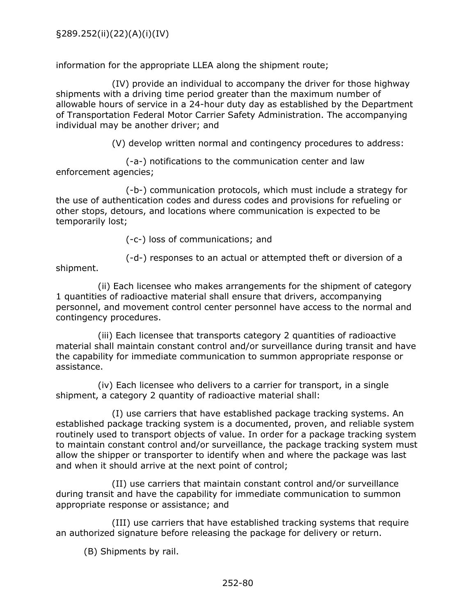information for the appropriate LLEA along the shipment route;

(IV) provide an individual to accompany the driver for those highway shipments with a driving time period greater than the maximum number of allowable hours of service in a 24-hour duty day as established by the Department of Transportation Federal Motor Carrier Safety Administration. The accompanying individual may be another driver; and

(V) develop written normal and contingency procedures to address:

(-a-) notifications to the communication center and law enforcement agencies;

(-b-) communication protocols, which must include a strategy for the use of authentication codes and duress codes and provisions for refueling or other stops, detours, and locations where communication is expected to be temporarily lost;

(-c-) loss of communications; and

(-d-) responses to an actual or attempted theft or diversion of a

shipment.

(ii) Each licensee who makes arrangements for the shipment of category 1 quantities of radioactive material shall ensure that drivers, accompanying personnel, and movement control center personnel have access to the normal and contingency procedures.

(iii) Each licensee that transports category 2 quantities of radioactive material shall maintain constant control and/or surveillance during transit and have the capability for immediate communication to summon appropriate response or assistance.

(iv) Each licensee who delivers to a carrier for transport, in a single shipment, a category 2 quantity of radioactive material shall:

(I) use carriers that have established package tracking systems. An established package tracking system is a documented, proven, and reliable system routinely used to transport objects of value. In order for a package tracking system to maintain constant control and/or surveillance, the package tracking system must allow the shipper or transporter to identify when and where the package was last and when it should arrive at the next point of control;

(II) use carriers that maintain constant control and/or surveillance during transit and have the capability for immediate communication to summon appropriate response or assistance; and

(III) use carriers that have established tracking systems that require an authorized signature before releasing the package for delivery or return.

(B) Shipments by rail.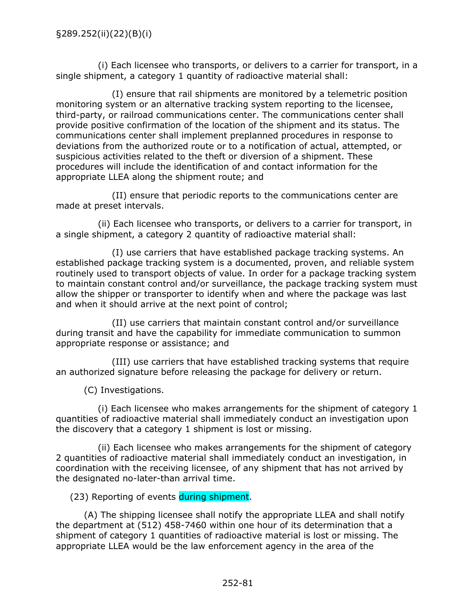(i) Each licensee who transports, or delivers to a carrier for transport, in a single shipment, a category 1 quantity of radioactive material shall:

(I) ensure that rail shipments are monitored by a telemetric position monitoring system or an alternative tracking system reporting to the licensee, third-party, or railroad communications center. The communications center shall provide positive confirmation of the location of the shipment and its status. The communications center shall implement preplanned procedures in response to deviations from the authorized route or to a notification of actual, attempted, or suspicious activities related to the theft or diversion of a shipment. These procedures will include the identification of and contact information for the appropriate LLEA along the shipment route; and

(II) ensure that periodic reports to the communications center are made at preset intervals.

(ii) Each licensee who transports, or delivers to a carrier for transport, in a single shipment, a category 2 quantity of radioactive material shall:

(I) use carriers that have established package tracking systems. An established package tracking system is a documented, proven, and reliable system routinely used to transport objects of value. In order for a package tracking system to maintain constant control and/or surveillance, the package tracking system must allow the shipper or transporter to identify when and where the package was last and when it should arrive at the next point of control;

(II) use carriers that maintain constant control and/or surveillance during transit and have the capability for immediate communication to summon appropriate response or assistance; and

(III) use carriers that have established tracking systems that require an authorized signature before releasing the package for delivery or return.

(C) Investigations.

(i) Each licensee who makes arrangements for the shipment of category 1 quantities of radioactive material shall immediately conduct an investigation upon the discovery that a category 1 shipment is lost or missing.

(ii) Each licensee who makes arrangements for the shipment of category 2 quantities of radioactive material shall immediately conduct an investigation, in coordination with the receiving licensee, of any shipment that has not arrived by the designated no-later-than arrival time.

(23) Reporting of events during shipment.

(A) The shipping licensee shall notify the appropriate LLEA and shall notify the department at (512) 458-7460 within one hour of its determination that a shipment of category 1 quantities of radioactive material is lost or missing. The appropriate LLEA would be the law enforcement agency in the area of the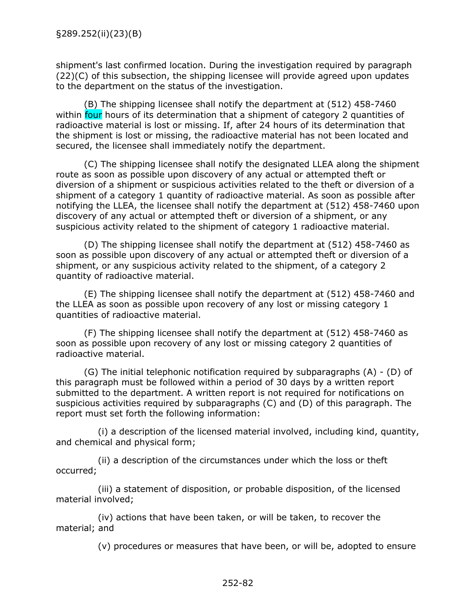shipment's last confirmed location. During the investigation required by paragraph  $(22)(C)$  of this subsection, the shipping licensee will provide agreed upon updates to the department on the status of the investigation.

(B) The shipping licensee shall notify the department at (512) 458-7460 within four hours of its determination that a shipment of category 2 quantities of radioactive material is lost or missing. If, after 24 hours of its determination that the shipment is lost or missing, the radioactive material has not been located and secured, the licensee shall immediately notify the department.

(C) The shipping licensee shall notify the designated LLEA along the shipment route as soon as possible upon discovery of any actual or attempted theft or diversion of a shipment or suspicious activities related to the theft or diversion of a shipment of a category 1 quantity of radioactive material. As soon as possible after notifying the LLEA, the licensee shall notify the department at (512) 458-7460 upon discovery of any actual or attempted theft or diversion of a shipment, or any suspicious activity related to the shipment of category 1 radioactive material.

(D) The shipping licensee shall notify the department at (512) 458-7460 as soon as possible upon discovery of any actual or attempted theft or diversion of a shipment, or any suspicious activity related to the shipment, of a category 2 quantity of radioactive material.

(E) The shipping licensee shall notify the department at (512) 458-7460 and the LLEA as soon as possible upon recovery of any lost or missing category 1 quantities of radioactive material.

(F) The shipping licensee shall notify the department at (512) 458-7460 as soon as possible upon recovery of any lost or missing category 2 quantities of radioactive material.

(G) The initial telephonic notification required by subparagraphs (A) - (D) of this paragraph must be followed within a period of 30 days by a written report submitted to the department. A written report is not required for notifications on suspicious activities required by subparagraphs (C) and (D) of this paragraph. The report must set forth the following information:

(i) a description of the licensed material involved, including kind, quantity, and chemical and physical form;

(ii) a description of the circumstances under which the loss or theft occurred;

(iii) a statement of disposition, or probable disposition, of the licensed material involved;

(iv) actions that have been taken, or will be taken, to recover the material; and

(v) procedures or measures that have been, or will be, adopted to ensure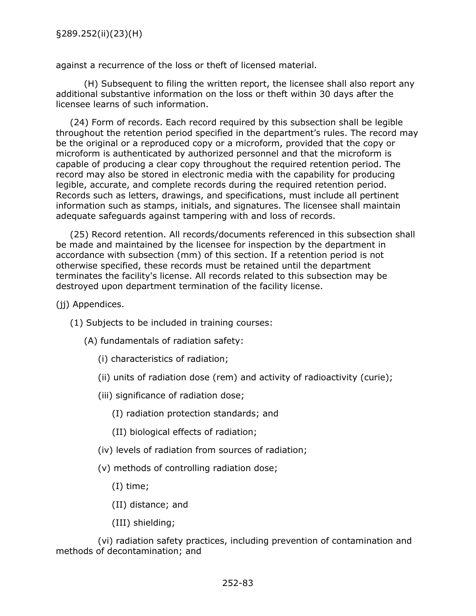against a recurrence of the loss or theft of licensed material.

(H) Subsequent to filing the written report, the licensee shall also report any additional substantive information on the loss or theft within 30 days after the licensee learns of such information.

(24) Form of records. Each record required by this subsection shall be legible throughout the retention period specified in the department's rules. The record may be the original or a reproduced copy or a microform, provided that the copy or microform is authenticated by authorized personnel and that the microform is capable of producing a clear copy throughout the required retention period. The record may also be stored in electronic media with the capability for producing legible, accurate, and complete records during the required retention period. Records such as letters, drawings, and specifications, must include all pertinent information such as stamps, initials, and signatures. The licensee shall maintain adequate safeguards against tampering with and loss of records.

(25) Record retention. All records/documents referenced in this subsection shall be made and maintained by the licensee for inspection by the department in accordance with subsection (mm) of this section. If a retention period is not otherwise specified, these records must be retained until the department terminates the facility's license. All records related to this subsection may be destroyed upon department termination of the facility license.

- (ii) Appendices.
	- (1) Subjects to be included in training courses:
		- (A) fundamentals of radiation safety:
			- (i) characteristics of radiation;
			- (ii) units of radiation dose (rem) and activity of radioactivity (curie);
			- (iii) significance of radiation dose;
				- (I) radiation protection standards; and
				- (II) biological effects of radiation;
			- (iv) levels of radiation from sources of radiation;
			- (v) methods of controlling radiation dose;
				- (I) time;
				- (II) distance; and
				- (III) shielding;

(vi) radiation safety practices, including prevention of contamination and methods of decontamination; and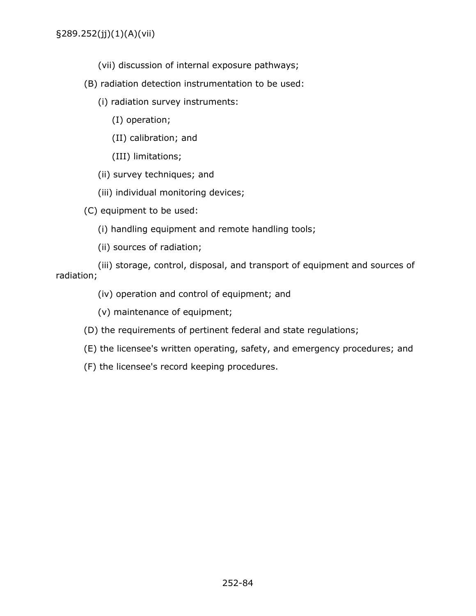- (vii) discussion of internal exposure pathways;
- (B) radiation detection instrumentation to be used:
	- (i) radiation survey instruments:
		- (I) operation;
		- (II) calibration; and
		- (III) limitations;
	- (ii) survey techniques; and
	- (iii) individual monitoring devices;

(C) equipment to be used:

- (i) handling equipment and remote handling tools;
- (ii) sources of radiation;

(iii) storage, control, disposal, and transport of equipment and sources of radiation;

(iv) operation and control of equipment; and

- (v) maintenance of equipment;
- (D) the requirements of pertinent federal and state regulations;
- (E) the licensee's written operating, safety, and emergency procedures; and
- (F) the licensee's record keeping procedures.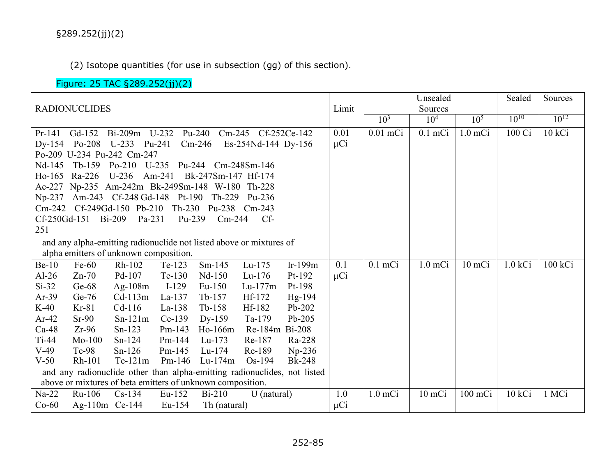(2) Isotope quantities (for use in subsection (gg) of this section).

## Figure: 25 TAC §289.252(jj)(2)

|                      |                     |                                                            |          |                            |                                                                          | Unsealed      |          | Sealed          | Sources         |                 |           |           |
|----------------------|---------------------|------------------------------------------------------------|----------|----------------------------|--------------------------------------------------------------------------|---------------|----------|-----------------|-----------------|-----------------|-----------|-----------|
| <b>RADIONUCLIDES</b> |                     |                                                            |          | Limit                      |                                                                          | Sources       |          |                 |                 |                 |           |           |
|                      |                     |                                                            |          |                            |                                                                          |               |          | 10 <sup>3</sup> | 10 <sup>4</sup> | 10 <sup>5</sup> | $10^{10}$ | $10^{12}$ |
| $Pr-141$             |                     |                                                            |          |                            | Gd-152 Bi-209m U-232 Pu-240 Cm-245 Cf-252Ce-142                          |               | 0.01     | $0.01$ mCi      | $0.1$ mCi       | $1.0$ mCi       | 100 Ci    | 10 kCi    |
|                      |                     | Dy-154 Po-208 U-233 Pu-241                                 |          | $Cm-246$                   | Es-254Nd-144 Dy-156                                                      |               | $\mu$ Ci |                 |                 |                 |           |           |
|                      |                     | Po-209 U-234 Pu-242 Cm-247                                 |          |                            |                                                                          |               |          |                 |                 |                 |           |           |
|                      |                     | Nd-145 Tb-159 Po-210 U-235 Pu-244 Cm-248Sm-146             |          |                            |                                                                          |               |          |                 |                 |                 |           |           |
|                      | Ho-165 Ra-226       | $U-236$                                                    |          | Am-241 Bk-247Sm-147 Hf-174 |                                                                          |               |          |                 |                 |                 |           |           |
|                      |                     | Ac-227 Np-235 Am-242m Bk-249Sm-148 W-180 Th-228            |          |                            |                                                                          |               |          |                 |                 |                 |           |           |
|                      |                     | Np-237 Am-243 Cf-248 Gd-148 Pt-190 Th-229                  |          |                            | Pu-236                                                                   |               |          |                 |                 |                 |           |           |
|                      |                     | Cm-242 Cf-249Gd-150 Pb-210 Th-230 Pu-238 Cm-243            |          |                            |                                                                          |               |          |                 |                 |                 |           |           |
|                      | Cf-250Gd-151 Bi-209 | Pa-231                                                     | Pu-239   | $Cm-244$                   | $Cf$ -                                                                   |               |          |                 |                 |                 |           |           |
| 251                  |                     |                                                            |          |                            |                                                                          |               |          |                 |                 |                 |           |           |
|                      |                     |                                                            |          |                            | and any alpha-emitting radionuclide not listed above or mixtures of      |               |          |                 |                 |                 |           |           |
|                      |                     | alpha emitters of unknown composition.                     |          |                            |                                                                          |               |          |                 |                 |                 |           |           |
| $Be-10$              | $Fe-60$             | Rh-102                                                     | Te-123   | $Sm-145$                   | Lu-175                                                                   | Ir-199m       | 0.1      | $0.1$ mCi       | $1.0$ m $Ci$    | $10$ mCi        | 1.0 kCi   | 100 kCi   |
| $Al-26$              | $Zn-70$             | Pd-107                                                     | Te-130   | Nd-150                     | $Lu-176$                                                                 | Pt-192        | $\mu$ Ci |                 |                 |                 |           |           |
| $Si-32$              | $Ge-68$             | Ag- $108m$                                                 | $I-129$  | $Eu-150$                   | $Lu-177m$                                                                | $Pt-198$      |          |                 |                 |                 |           |           |
| $Ar-39$              | $Ge-76$             | $Cd-113m$                                                  | $La-137$ | $Tb-157$                   | $Hf-172$                                                                 | Hg-194        |          |                 |                 |                 |           |           |
| $K-40$               | $Kr-81$             | $Cd-116$                                                   | $La-138$ | $Tb-158$                   | Hf-182                                                                   | Pb-202        |          |                 |                 |                 |           |           |
| $Ar-42$              | $Sr-90$             | $Sn-121m$                                                  | $Ce-139$ | Dy-159                     | Ta-179                                                                   | $Pb-205$      |          |                 |                 |                 |           |           |
| $Ca-48$              | $Zr-96$             | $Sn-123$                                                   | $Pm-143$ | $Ho-166m$                  | Re-184m Bi-208                                                           |               |          |                 |                 |                 |           |           |
| $Ti-44$              | $Mo-100$            | $Sn-124$                                                   | $Pm-144$ | $Lu-173$                   | Re-187                                                                   | Ra-228        |          |                 |                 |                 |           |           |
| $V-49$               | $Tc-98$             | $Sn-126$                                                   | $Pm-145$ | $Lu-174$                   | Re-189                                                                   | $Np-236$      |          |                 |                 |                 |           |           |
| $V-50$               | Rh-101              |                                                            |          | Te-121m Pm-146 Lu-174m     | $Os-194$                                                                 | <b>Bk-248</b> |          |                 |                 |                 |           |           |
|                      |                     |                                                            |          |                            | and any radionuclide other than alpha-emitting radionuclides, not listed |               |          |                 |                 |                 |           |           |
|                      |                     | above or mixtures of beta emitters of unknown composition. |          |                            |                                                                          |               |          |                 |                 |                 |           |           |
| $Na-22$              | Ru-106              | $Cs-134$                                                   | $Eu-152$ | $Bi-210$                   | U (natural)                                                              |               | 1.0      | $1.0$ mCi       | 10 mCi          | $100$ mCi       | 10 kCi    | 1 MCi     |
| $Co-60$              | Ag-110m Ce-144      |                                                            | $Eu-154$ | Th (natural)               |                                                                          |               | $\mu$ Ci |                 |                 |                 |           |           |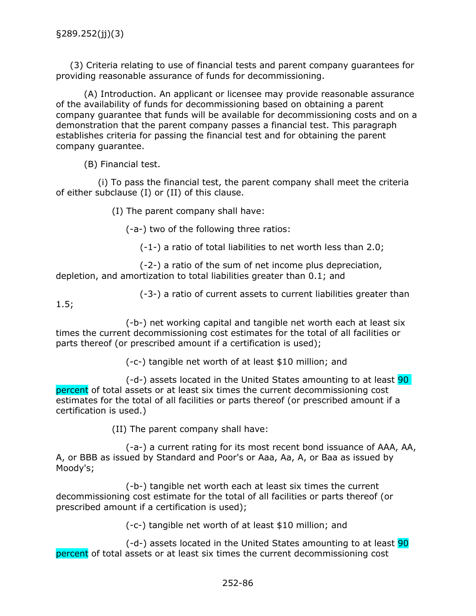(3) Criteria relating to use of financial tests and parent company guarantees for providing reasonable assurance of funds for decommissioning.

(A) Introduction. An applicant or licensee may provide reasonable assurance of the availability of funds for decommissioning based on obtaining a parent company guarantee that funds will be available for decommissioning costs and on a demonstration that the parent company passes a financial test. This paragraph establishes criteria for passing the financial test and for obtaining the parent company guarantee.

(B) Financial test.

(i) To pass the financial test, the parent company shall meet the criteria of either subclause (I) or (II) of this clause.

(I) The parent company shall have:

(-a-) two of the following three ratios:

(-1-) a ratio of total liabilities to net worth less than 2.0;

(-2-) a ratio of the sum of net income plus depreciation, depletion, and amortization to total liabilities greater than 0.1; and

(-3-) a ratio of current assets to current liabilities greater than

1.5;

(-b-) net working capital and tangible net worth each at least six times the current decommissioning cost estimates for the total of all facilities or parts thereof (or prescribed amount if a certification is used);

(-c-) tangible net worth of at least \$10 million; and

(-d-) assets located in the United States amounting to at least 90 percent of total assets or at least six times the current decommissioning cost estimates for the total of all facilities or parts thereof (or prescribed amount if a certification is used.)

(II) The parent company shall have:

(-a-) a current rating for its most recent bond issuance of AAA, AA, A, or BBB as issued by Standard and Poor's or Aaa, Aa, A, or Baa as issued by Moody's;

(-b-) tangible net worth each at least six times the current decommissioning cost estimate for the total of all facilities or parts thereof (or prescribed amount if a certification is used);

(-c-) tangible net worth of at least \$10 million; and

 $(-d)$  assets located in the United States amounting to at least  $90$ percent of total assets or at least six times the current decommissioning cost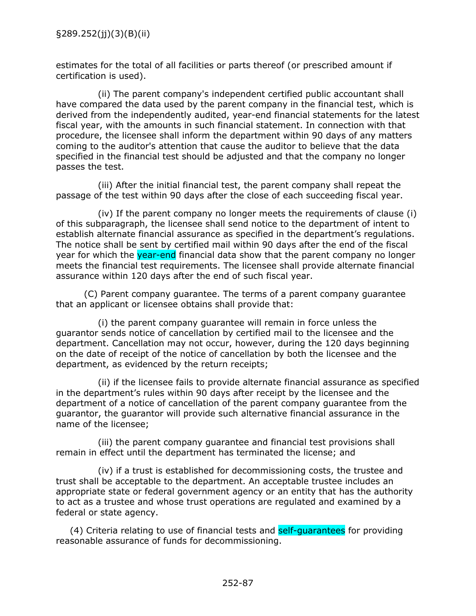estimates for the total of all facilities or parts thereof (or prescribed amount if certification is used).

(ii) The parent company's independent certified public accountant shall have compared the data used by the parent company in the financial test, which is derived from the independently audited, year-end financial statements for the latest fiscal year, with the amounts in such financial statement. In connection with that procedure, the licensee shall inform the department within 90 days of any matters coming to the auditor's attention that cause the auditor to believe that the data specified in the financial test should be adjusted and that the company no longer passes the test.

(iii) After the initial financial test, the parent company shall repeat the passage of the test within 90 days after the close of each succeeding fiscal year.

(iv) If the parent company no longer meets the requirements of clause (i) of this subparagraph, the licensee shall send notice to the department of intent to establish alternate financial assurance as specified in the department's regulations. The notice shall be sent by certified mail within 90 days after the end of the fiscal year for which the year-end financial data show that the parent company no longer meets the financial test requirements. The licensee shall provide alternate financial assurance within 120 days after the end of such fiscal year.

(C) Parent company guarantee. The terms of a parent company guarantee that an applicant or licensee obtains shall provide that:

(i) the parent company guarantee will remain in force unless the guarantor sends notice of cancellation by certified mail to the licensee and the department. Cancellation may not occur, however, during the 120 days beginning on the date of receipt of the notice of cancellation by both the licensee and the department, as evidenced by the return receipts;

(ii) if the licensee fails to provide alternate financial assurance as specified in the department's rules within 90 days after receipt by the licensee and the department of a notice of cancellation of the parent company guarantee from the guarantor, the guarantor will provide such alternative financial assurance in the name of the licensee;

(iii) the parent company guarantee and financial test provisions shall remain in effect until the department has terminated the license; and

(iv) if a trust is established for decommissioning costs, the trustee and trust shall be acceptable to the department. An acceptable trustee includes an appropriate state or federal government agency or an entity that has the authority to act as a trustee and whose trust operations are regulated and examined by a federal or state agency.

(4) Criteria relating to use of financial tests and self-quarantees for providing reasonable assurance of funds for decommissioning.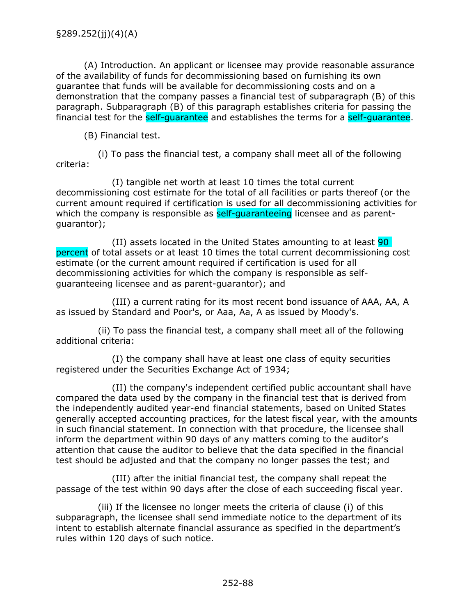(A) Introduction. An applicant or licensee may provide reasonable assurance of the availability of funds for decommissioning based on furnishing its own guarantee that funds will be available for decommissioning costs and on a demonstration that the company passes a financial test of subparagraph (B) of this paragraph. Subparagraph (B) of this paragraph establishes criteria for passing the financial test for the self-guarantee and establishes the terms for a self-guarantee.

(B) Financial test.

(i) To pass the financial test, a company shall meet all of the following criteria:

(I) tangible net worth at least 10 times the total current decommissioning cost estimate for the total of all facilities or parts thereof (or the current amount required if certification is used for all decommissioning activities for which the company is responsible as self-quaranteeing licensee and as parentguarantor);

(II) assets located in the United States amounting to at least 90 percent of total assets or at least 10 times the total current decommissioning cost estimate (or the current amount required if certification is used for all decommissioning activities for which the company is responsible as selfguaranteeing licensee and as parent-guarantor); and

(III) a current rating for its most recent bond issuance of AAA, AA, A as issued by Standard and Poor's, or Aaa, Aa, A as issued by Moody's.

(ii) To pass the financial test, a company shall meet all of the following additional criteria:

(I) the company shall have at least one class of equity securities registered under the Securities Exchange Act of 1934;

(II) the company's independent certified public accountant shall have compared the data used by the company in the financial test that is derived from the independently audited year-end financial statements, based on United States generally accepted accounting practices, for the latest fiscal year, with the amounts in such financial statement. In connection with that procedure, the licensee shall inform the department within 90 days of any matters coming to the auditor's attention that cause the auditor to believe that the data specified in the financial test should be adjusted and that the company no longer passes the test; and

(III) after the initial financial test, the company shall repeat the passage of the test within 90 days after the close of each succeeding fiscal year.

(iii) If the licensee no longer meets the criteria of clause (i) of this subparagraph, the licensee shall send immediate notice to the department of its intent to establish alternate financial assurance as specified in the department's rules within 120 days of such notice.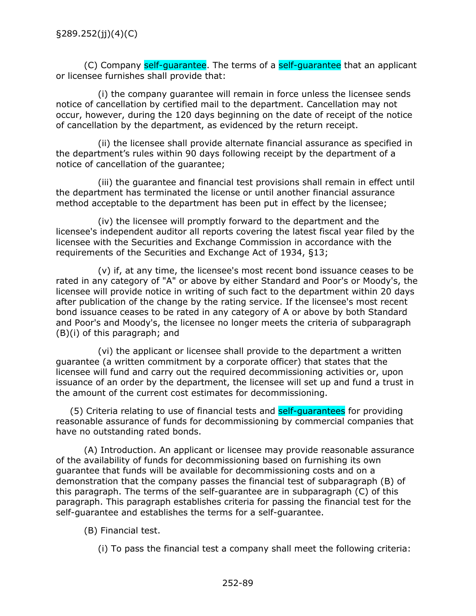(C) Company self-guarantee. The terms of a self-guarantee that an applicant or licensee furnishes shall provide that:

(i) the company guarantee will remain in force unless the licensee sends notice of cancellation by certified mail to the department. Cancellation may not occur, however, during the 120 days beginning on the date of receipt of the notice of cancellation by the department, as evidenced by the return receipt.

(ii) the licensee shall provide alternate financial assurance as specified in the department's rules within 90 days following receipt by the department of a notice of cancellation of the guarantee;

(iii) the guarantee and financial test provisions shall remain in effect until the department has terminated the license or until another financial assurance method acceptable to the department has been put in effect by the licensee;

(iv) the licensee will promptly forward to the department and the licensee's independent auditor all reports covering the latest fiscal year filed by the licensee with the Securities and Exchange Commission in accordance with the requirements of the Securities and Exchange Act of 1934, §13;

(v) if, at any time, the licensee's most recent bond issuance ceases to be rated in any category of "A" or above by either Standard and Poor's or Moody's, the licensee will provide notice in writing of such fact to the department within 20 days after publication of the change by the rating service. If the licensee's most recent bond issuance ceases to be rated in any category of A or above by both Standard and Poor's and Moody's, the licensee no longer meets the criteria of subparagraph (B)(i) of this paragraph; and

(vi) the applicant or licensee shall provide to the department a written guarantee (a written commitment by a corporate officer) that states that the licensee will fund and carry out the required decommissioning activities or, upon issuance of an order by the department, the licensee will set up and fund a trust in the amount of the current cost estimates for decommissioning.

(5) Criteria relating to use of financial tests and self-quarantees for providing reasonable assurance of funds for decommissioning by commercial companies that have no outstanding rated bonds.

(A) Introduction. An applicant or licensee may provide reasonable assurance of the availability of funds for decommissioning based on furnishing its own guarantee that funds will be available for decommissioning costs and on a demonstration that the company passes the financial test of subparagraph (B) of this paragraph. The terms of the self-guarantee are in subparagraph (C) of this paragraph. This paragraph establishes criteria for passing the financial test for the self-guarantee and establishes the terms for a self-guarantee.

(B) Financial test.

(i) To pass the financial test a company shall meet the following criteria: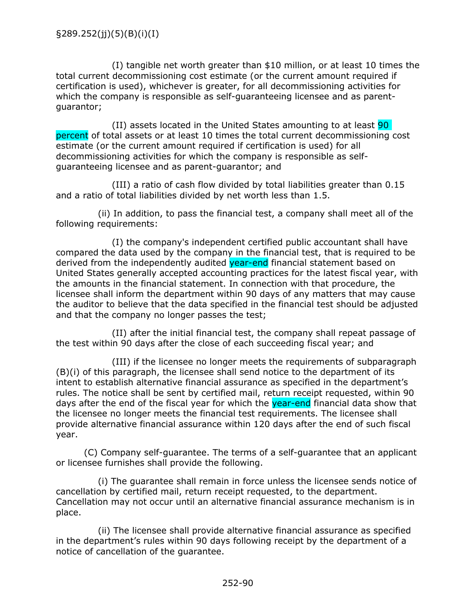(I) tangible net worth greater than \$10 million, or at least 10 times the total current decommissioning cost estimate (or the current amount required if certification is used), whichever is greater, for all decommissioning activities for which the company is responsible as self-guaranteeing licensee and as parentguarantor;

(II) assets located in the United States amounting to at least 90 percent of total assets or at least 10 times the total current decommissioning cost estimate (or the current amount required if certification is used) for all decommissioning activities for which the company is responsible as selfguaranteeing licensee and as parent-guarantor; and

(III) a ratio of cash flow divided by total liabilities greater than 0.15 and a ratio of total liabilities divided by net worth less than 1.5.

(ii) In addition, to pass the financial test, a company shall meet all of the following requirements:

(I) the company's independent certified public accountant shall have compared the data used by the company in the financial test, that is required to be derived from the independently audited year-end financial statement based on United States generally accepted accounting practices for the latest fiscal year, with the amounts in the financial statement. In connection with that procedure, the licensee shall inform the department within 90 days of any matters that may cause the auditor to believe that the data specified in the financial test should be adjusted and that the company no longer passes the test;

(II) after the initial financial test, the company shall repeat passage of the test within 90 days after the close of each succeeding fiscal year; and

(III) if the licensee no longer meets the requirements of subparagraph (B)(i) of this paragraph, the licensee shall send notice to the department of its intent to establish alternative financial assurance as specified in the department's rules. The notice shall be sent by certified mail, return receipt requested, within 90 days after the end of the fiscal year for which the **year-end** financial data show that the licensee no longer meets the financial test requirements. The licensee shall provide alternative financial assurance within 120 days after the end of such fiscal year.

(C) Company self-guarantee. The terms of a self-guarantee that an applicant or licensee furnishes shall provide the following.

(i) The guarantee shall remain in force unless the licensee sends notice of cancellation by certified mail, return receipt requested, to the department. Cancellation may not occur until an alternative financial assurance mechanism is in place.

(ii) The licensee shall provide alternative financial assurance as specified in the department's rules within 90 days following receipt by the department of a notice of cancellation of the guarantee.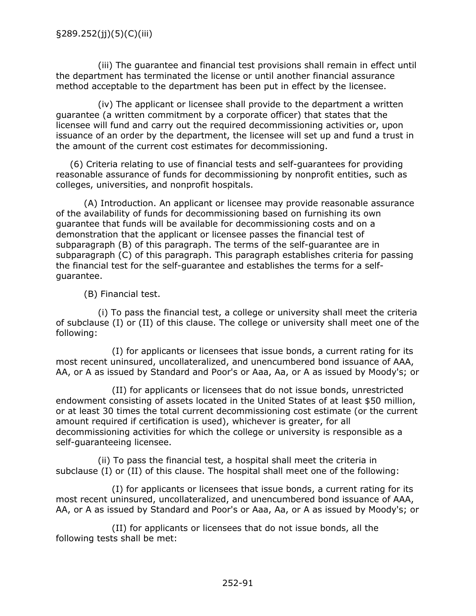(iii) The guarantee and financial test provisions shall remain in effect until the department has terminated the license or until another financial assurance method acceptable to the department has been put in effect by the licensee.

(iv) The applicant or licensee shall provide to the department a written guarantee (a written commitment by a corporate officer) that states that the licensee will fund and carry out the required decommissioning activities or, upon issuance of an order by the department, the licensee will set up and fund a trust in the amount of the current cost estimates for decommissioning.

(6) Criteria relating to use of financial tests and self-guarantees for providing reasonable assurance of funds for decommissioning by nonprofit entities, such as colleges, universities, and nonprofit hospitals.

(A) Introduction. An applicant or licensee may provide reasonable assurance of the availability of funds for decommissioning based on furnishing its own guarantee that funds will be available for decommissioning costs and on a demonstration that the applicant or licensee passes the financial test of subparagraph (B) of this paragraph. The terms of the self-guarantee are in subparagraph (C) of this paragraph. This paragraph establishes criteria for passing the financial test for the self-guarantee and establishes the terms for a selfguarantee.

(B) Financial test.

(i) To pass the financial test, a college or university shall meet the criteria of subclause (I) or (II) of this clause. The college or university shall meet one of the following:

(I) for applicants or licensees that issue bonds, a current rating for its most recent uninsured, uncollateralized, and unencumbered bond issuance of AAA, AA, or A as issued by Standard and Poor's or Aaa, Aa, or A as issued by Moody's; or

(II) for applicants or licensees that do not issue bonds, unrestricted endowment consisting of assets located in the United States of at least \$50 million, or at least 30 times the total current decommissioning cost estimate (or the current amount required if certification is used), whichever is greater, for all decommissioning activities for which the college or university is responsible as a self-guaranteeing licensee.

(ii) To pass the financial test, a hospital shall meet the criteria in subclause (I) or (II) of this clause. The hospital shall meet one of the following:

(I) for applicants or licensees that issue bonds, a current rating for its most recent uninsured, uncollateralized, and unencumbered bond issuance of AAA, AA, or A as issued by Standard and Poor's or Aaa, Aa, or A as issued by Moody's; or

(II) for applicants or licensees that do not issue bonds, all the following tests shall be met: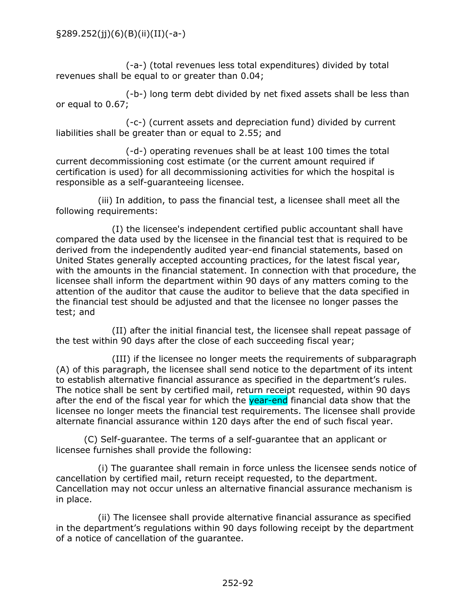(-a-) (total revenues less total expenditures) divided by total revenues shall be equal to or greater than 0.04;

(-b-) long term debt divided by net fixed assets shall be less than or equal to 0.67;

(-c-) (current assets and depreciation fund) divided by current liabilities shall be greater than or equal to 2.55; and

(-d-) operating revenues shall be at least 100 times the total current decommissioning cost estimate (or the current amount required if certification is used) for all decommissioning activities for which the hospital is responsible as a self-guaranteeing licensee.

(iii) In addition, to pass the financial test, a licensee shall meet all the following requirements:

(I) the licensee's independent certified public accountant shall have compared the data used by the licensee in the financial test that is required to be derived from the independently audited year-end financial statements, based on United States generally accepted accounting practices, for the latest fiscal year, with the amounts in the financial statement. In connection with that procedure, the licensee shall inform the department within 90 days of any matters coming to the attention of the auditor that cause the auditor to believe that the data specified in the financial test should be adjusted and that the licensee no longer passes the test; and

(II) after the initial financial test, the licensee shall repeat passage of the test within 90 days after the close of each succeeding fiscal year;

(III) if the licensee no longer meets the requirements of subparagraph (A) of this paragraph, the licensee shall send notice to the department of its intent to establish alternative financial assurance as specified in the department's rules. The notice shall be sent by certified mail, return receipt requested, within 90 days after the end of the fiscal year for which the year-end financial data show that the licensee no longer meets the financial test requirements. The licensee shall provide alternate financial assurance within 120 days after the end of such fiscal year.

(C) Self-guarantee. The terms of a self-guarantee that an applicant or licensee furnishes shall provide the following:

(i) The guarantee shall remain in force unless the licensee sends notice of cancellation by certified mail, return receipt requested, to the department. Cancellation may not occur unless an alternative financial assurance mechanism is in place.

(ii) The licensee shall provide alternative financial assurance as specified in the department's regulations within 90 days following receipt by the department of a notice of cancellation of the guarantee.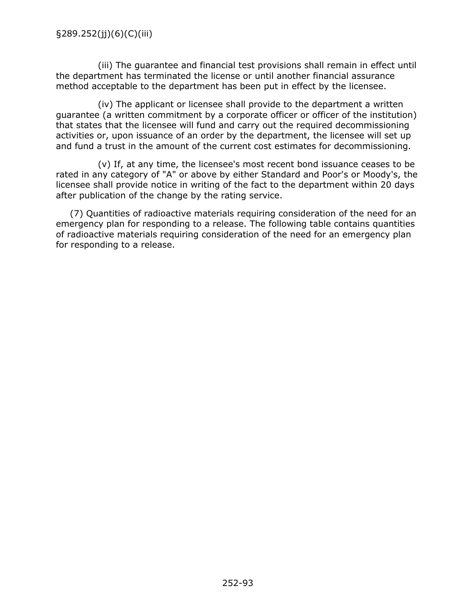(iii) The guarantee and financial test provisions shall remain in effect until the department has terminated the license or until another financial assurance method acceptable to the department has been put in effect by the licensee.

(iv) The applicant or licensee shall provide to the department a written guarantee (a written commitment by a corporate officer or officer of the institution) that states that the licensee will fund and carry out the required decommissioning activities or, upon issuance of an order by the department, the licensee will set up and fund a trust in the amount of the current cost estimates for decommissioning.

(v) If, at any time, the licensee's most recent bond issuance ceases to be rated in any category of "A" or above by either Standard and Poor's or Moody's, the licensee shall provide notice in writing of the fact to the department within 20 days after publication of the change by the rating service.

(7) Quantities of radioactive materials requiring consideration of the need for an emergency plan for responding to a release. The following table contains quantities of radioactive materials requiring consideration of the need for an emergency plan for responding to a release.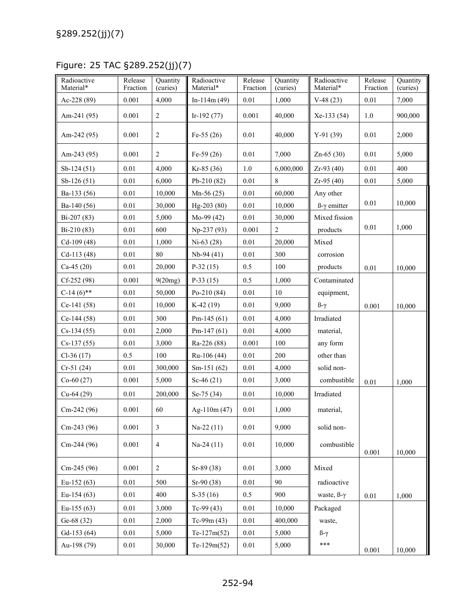Figure: 25 TAC §289.252(jj)(7)

| Radioactive<br>Material* | Release<br>Fraction | Quantity<br>(curies) | Radioactive<br>Material* | Release<br>Fraction | Ouantity<br>(curies) | Radioactive<br>Material*   | Release<br>Fraction | Quantity<br>(curies) |
|--------------------------|---------------------|----------------------|--------------------------|---------------------|----------------------|----------------------------|---------------------|----------------------|
| Ac-228 (89)              | 0.001               | 4,000                | $In-114m(49)$            | $0.01\,$            | 1,000                | $V-48(23)$                 | 0.01                | 7,000                |
| Am-241 $(95)$            | 0.001               | $\overline{2}$       | Ir-192 $(77)$            | 0.001               | 40,000               | $Xe-133(54)$               | 1.0                 | 900,000              |
| Am-242 $(95)$            | 0.001               | $\overline{c}$       | Fe-55 $(26)$             | 0.01                | 40,000               | $Y-91(39)$                 | 0.01                | 2,000                |
| Am-243 (95)              | 0.001               | 2                    | Fe-59 $(26)$             | 0.01                | 7,000                | $Zn-65(30)$                | 0.01                | 5,000                |
| $Sb-124(51)$             | 0.01                | 4,000                | $Kr-85(36)$              | 1.0                 | 6,000,000            | Zr-93 (40)                 | 0.01                | 400                  |
| $Sb-126(51)$             | 0.01                | 6,000                | Pb-210 $(82)$            | $0.01\,$            | 8                    | $Zr-95(40)$                | 0.01                | 5,000                |
| Ba-133 (56)              | 0.01                | 10,000               | $Mn-56(25)$              | $0.01\,$            | 60,000               | Any other                  |                     |                      |
| Ba-140 (56)              | 0.01                | 30,000               | $Hg-203(80)$             | 0.01                | 10,000               | $\beta$ - $\gamma$ emitter | $0.01\,$            | 10,000               |
| Bi-207 (83)              | 0.01                | 5,000                | Mo-99 $(42)$             | 0.01                | 30,000               | Mixed fission              |                     |                      |
| Bi-210 (83)              | 0.01                | 600                  | Np-237 (93)              | 0.001               | 2                    | products                   | $0.01\,$            | 1,000                |
| $Cd-109(48)$             | 0.01                | 1.000                | $Ni-63(28)$              | 0.01                | 20,000               | Mixed                      |                     |                      |
| $Cd-113(48)$             | 0.01                | 80                   | Nb-94 (41)               | 0.01                | 300                  | corrosion                  |                     |                      |
| $Ca-45(20)$              | 0.01                | 20,000               | $P-32(15)$               | 0.5                 | 100                  | products                   | 0.01                | 10,000               |
| $Cf-252(98)$             | 0.001               | 9(20mg)              | $P-33(15)$               | 0.5                 | 1,000                | Contaminated               |                     |                      |
| $C-14(6)$ **             | 0.01                | 50,000               | Po-210 $(84)$            | $0.01\,$            | 10                   | equipment,                 |                     |                      |
| $Ce-141(58)$             | 0.01                | 10,000               | $K-42(19)$               | $0.01\,$            | 9,000                | $B-\gamma$                 | 0.001               | 10,000               |
| $Ce-144(58)$             | 0.01                | 300                  | Pm-145 $(61)$            | $0.01\,$            | 4,000                | Irradiated                 |                     |                      |
| $Cs-134(55)$             | 0.01                | 2,000                | Pm-147 $(61)$            | 0.01                | 4,000                | material,                  |                     |                      |
| $Cs-137(55)$             | 0.01                | 3,000                | Ra-226 (88)              | 0.001               | 100                  | any form                   |                     |                      |
| $Cl-36(17)$              | 0.5                 | 100                  | $Ru-106(44)$             | 0.01                | 200                  | other than                 |                     |                      |
| $Cr-51(24)$              | 0.01                | 300,000              | Sm-151 $(62)$            | $0.01\,$            | 4,000                | solid non-                 |                     |                      |
| $Co-60(27)$              | 0.001               | 5,000                | Sc-46 $(21)$             | $0.01\,$            | 3,000                | combustible                | 0.01                | 1,000                |
| $Cu-64(29)$              | 0.01                | 200,000              | Se-75 $(34)$             | $0.01\,$            | 10,000               | Irradiated                 |                     |                      |
| $Cm-242(96)$             | 0.001               | 60                   | Ag-110m $(47)$           | 0.01                | 1,000                | material,                  |                     |                      |
| $Cm-243(96)$             | 0.001               | $\mathfrak{Z}$       | Na-22 (11)               | $0.01\,$            | 9,000                | solid non-                 |                     |                      |
| $Cm-244(96)$             | 0.001               | $\overline{4}$       | Na-24 (11)               | $0.01\,$            | 10,000               | combustible                | 0.001               | 10,000               |
| Cm-245 (96)              | 0.001               | $\overline{c}$       | $Sr-89(38)$              | $0.01\,$            | 3,000                | Mixed                      |                     |                      |
| Eu-152 $(63)$            | $0.01\,$            | 500                  | Sr-90 (38)               | $0.01\,$            | 90                   | radioactive                |                     |                      |
| Eu-154 $(63)$            | 0.01                | 400                  | $S-35(16)$               | 0.5                 | 900                  | waste, B-y                 | $0.01\,$            | 1,000                |
| Eu-155 $(63)$            | $0.01\,$            | 3,000                | Tc-99 $(43)$             | $0.01\,$            | 10,000               | Packaged                   |                     |                      |
| Ge-68 (32)               | $0.01\,$            | 2,000                | Tc-99 $m(43)$            | $0.01\,$            | 400,000              | waste,                     |                     |                      |
| Gd-153 (64)              | 0.01                | 5,000                | $Te-127m(52)$            | 0.01                | 5,000                | $B-\gamma$                 |                     |                      |
| Au-198 (79)              | $0.01\,$            | 30,000               | Te-129m $(52)$           | $0.01\,$            | 5,000                | ***                        | 0.001               | 10,000               |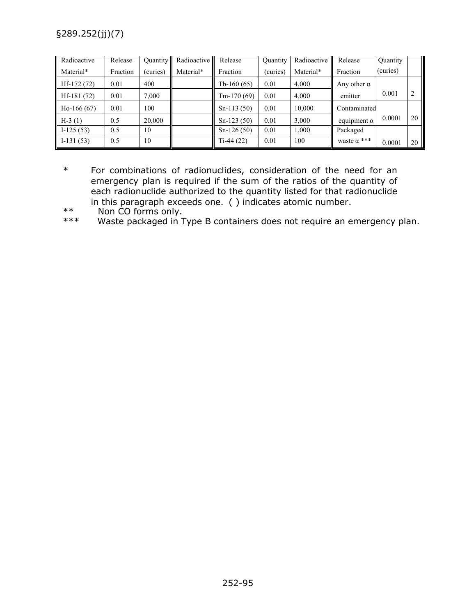| Radioactive   | Release  | Quantity | Radioactive | Release       | <b>Quantity</b> | Radioactive II | Release                       | Quantity |    |
|---------------|----------|----------|-------------|---------------|-----------------|----------------|-------------------------------|----------|----|
| Material*     | Fraction | (curies) | Material*   | Fraction      | (curies)        | Material*      | Fraction                      | (curies) |    |
| $Hf-172(72)$  | 0.01     | 400      |             | Tb-160 $(65)$ | 0.01            | 4,000          | Any other $\alpha$            |          |    |
| $Hf-181(72)$  | 0.01     | 7,000    |             | Tm-170 $(69)$ | 0.01            | 4,000          | emitter                       | 0.001    | 2  |
| Ho-166 $(67)$ | 0.01     | 100      |             | $Sn-113(50)$  | 0.01            | 10,000         | Contaminated                  |          |    |
| $H-3(1)$      | 0.5      | 20,000   |             | $Sn-123(50)$  | 0.01            | 3,000          | equipment $\alpha$            | 0.0001   | 20 |
| $I-125(53)$   | 0.5      | 10       |             | $Sn-126(50)$  | 0.01            | 000.1          | Packaged                      |          |    |
| $I-131(53)$   | 0.5      | 10       |             | $Ti-44(22)$   | 0.01            | 100            | waste $\alpha$ <sup>***</sup> | 0.0001   | 20 |

- \* For combinations of radionuclides, consideration of the need for an emergency plan is required if the sum of the ratios of the quantity of each radionuclide authorized to the quantity listed for that radionuclide in this paragraph exceeds one. ( ) indicates atomic number.
- \*\* Non CO forms only.<br>\*\*\* Waste packaged in 1

Waste packaged in Type B containers does not require an emergency plan.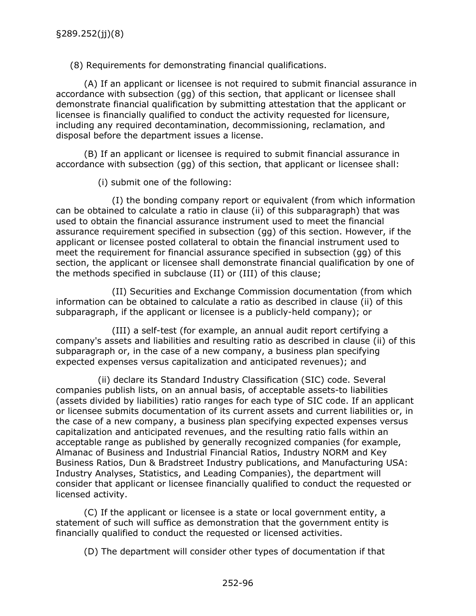(8) Requirements for demonstrating financial qualifications.

(A) If an applicant or licensee is not required to submit financial assurance in accordance with subsection (gg) of this section, that applicant or licensee shall demonstrate financial qualification by submitting attestation that the applicant or licensee is financially qualified to conduct the activity requested for licensure, including any required decontamination, decommissioning, reclamation, and disposal before the department issues a license.

(B) If an applicant or licensee is required to submit financial assurance in accordance with subsection (gg) of this section, that applicant or licensee shall:

(i) submit one of the following:

(I) the bonding company report or equivalent (from which information can be obtained to calculate a ratio in clause (ii) of this subparagraph) that was used to obtain the financial assurance instrument used to meet the financial assurance requirement specified in subsection (gg) of this section. However, if the applicant or licensee posted collateral to obtain the financial instrument used to meet the requirement for financial assurance specified in subsection (gg) of this section, the applicant or licensee shall demonstrate financial qualification by one of the methods specified in subclause (II) or (III) of this clause;

(II) Securities and Exchange Commission documentation (from which information can be obtained to calculate a ratio as described in clause (ii) of this subparagraph, if the applicant or licensee is a publicly-held company); or

(III) a self-test (for example, an annual audit report certifying a company's assets and liabilities and resulting ratio as described in clause (ii) of this subparagraph or, in the case of a new company, a business plan specifying expected expenses versus capitalization and anticipated revenues); and

(ii) declare its Standard Industry Classification (SIC) code. Several companies publish lists, on an annual basis, of acceptable assets-to liabilities (assets divided by liabilities) ratio ranges for each type of SIC code. If an applicant or licensee submits documentation of its current assets and current liabilities or, in the case of a new company, a business plan specifying expected expenses versus capitalization and anticipated revenues, and the resulting ratio falls within an acceptable range as published by generally recognized companies (for example, Almanac of Business and Industrial Financial Ratios, Industry NORM and Key Business Ratios, Dun & Bradstreet Industry publications, and Manufacturing USA: Industry Analyses, Statistics, and Leading Companies), the department will consider that applicant or licensee financially qualified to conduct the requested or licensed activity.

(C) If the applicant or licensee is a state or local government entity, a statement of such will suffice as demonstration that the government entity is financially qualified to conduct the requested or licensed activities.

(D) The department will consider other types of documentation if that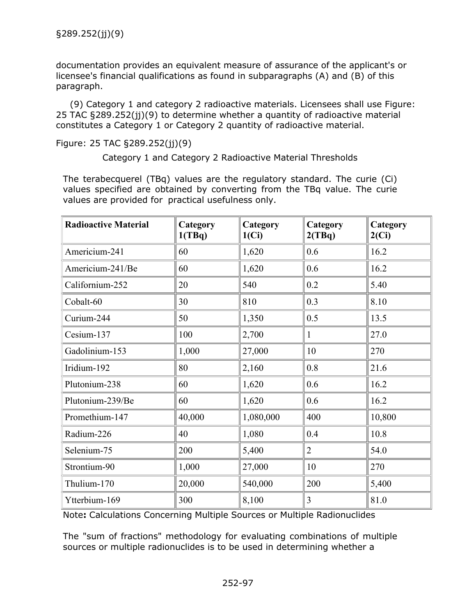documentation provides an equivalent measure of assurance of the applicant's or licensee's financial qualifications as found in subparagraphs (A) and (B) of this paragraph.

(9) Category 1 and category 2 radioactive materials. Licensees shall use Figure: 25 TAC §289.252(jj)(9) to determine whether a quantity of radioactive material constitutes a Category 1 or Category 2 quantity of radioactive material.

Figure: 25 TAC §289.252(jj)(9)

Category 1 and Category 2 Radioactive Material Thresholds

The terabecquerel (TBq) values are the regulatory standard. The curie (Ci) values specified are obtained by converting from the TBq value. The curie values are provided for practical usefulness only.

| <b>Radioactive Material</b> | Category<br>1(TBq) | Category<br>1(Ci) | Category<br>2(TBq) | Category<br>2(Ci) |
|-----------------------------|--------------------|-------------------|--------------------|-------------------|
| Americium-241               | 60                 | 1,620             | 0.6                | 16.2              |
| Americium-241/Be            | 60                 | 1,620             | 0.6                | 16.2              |
| Californium-252             | 20                 | 540               | 0.2                | 5.40              |
| Cobalt-60                   | 30                 | 810               | 0.3                | 8.10              |
| Curium-244                  | 50                 | 1,350             | 0.5                | 13.5              |
| Cesium-137                  | 100                | 2,700             | $\mathbf{1}$       | 27.0              |
| Gadolinium-153              | 1,000              | 27,000            | 10                 | 270               |
| Iridium-192                 | 80                 | 2,160             | 0.8                | 21.6              |
| Plutonium-238               | 60                 | 1,620             | 0.6                | 16.2              |
| Plutonium-239/Be            | 60                 | 1,620             | 0.6                | 16.2              |
| Promethium-147              | 40,000             | 1,080,000         | 400                | 10,800            |
| Radium-226                  | 40                 | 1,080             | 0.4                | 10.8              |
| Selenium-75                 | 200                | 5,400             | $\overline{2}$     | 54.0              |
| Strontium-90                | 1,000              | 27,000            | 10                 | 270               |
| Thulium-170                 | 20,000             | 540,000           | 200                | 5,400             |
| Ytterbium-169               | 300                | 8,100             | 3                  | 81.0              |

Note**:** Calculations Concerning Multiple Sources or Multiple Radionuclides

The "sum of fractions" methodology for evaluating combinations of multiple sources or multiple radionuclides is to be used in determining whether a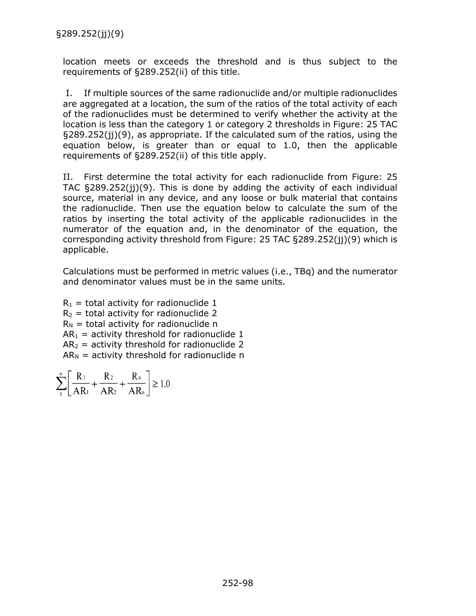location meets or exceeds the threshold and is thus subject to the requirements of §289.252(ii) of this title.

I. If multiple sources of the same radionuclide and/or multiple radionuclides are aggregated at a location, the sum of the ratios of the total activity of each of the radionuclides must be determined to verify whether the activity at the location is less than the category 1 or category 2 thresholds in Figure: 25 TAC §289.252(jj)(9), as appropriate. If the calculated sum of the ratios, using the equation below, is greater than or equal to 1.0, then the applicable requirements of §289.252(ii) of this title apply.

II. First determine the total activity for each radionuclide from Figure: 25 TAC §289.252(jj)(9). This is done by adding the activity of each individual source, material in any device, and any loose or bulk material that contains the radionuclide. Then use the equation below to calculate the sum of the ratios by inserting the total activity of the applicable radionuclides in the numerator of the equation and, in the denominator of the equation, the corresponding activity threshold from Figure: 25 TAC §289.252(jj)(9) which is applicable.

Calculations must be performed in metric values (i.e., TBq) and the numerator and denominator values must be in the same units.

 $R_1$  = total activity for radionuclide 1  $R<sub>2</sub>$  = total activity for radionuclide 2  $R_N$  = total activity for radionuclide n  $AR<sub>1</sub>$  = activity threshold for radionuclide 1  $AR<sub>2</sub>$  = activity threshold for radionuclide 2  $AR_N$  = activity threshold for radionuclide n

$$
\sum_{1}^{n} \left[ \frac{R_1}{AR_1} + \frac{R_2}{AR_2} + \frac{R_n}{AR_n} \right] \ge 1.0
$$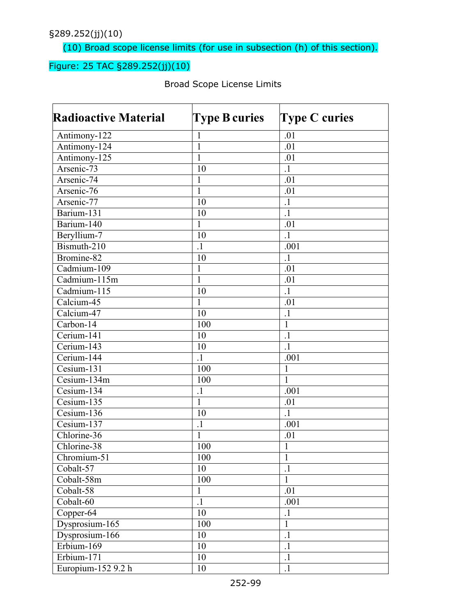(10) Broad scope license limits (for use in subsection (h) of this section).

## Figure: 25 TAC §289.252(jj)(10)

| <b>Radioactive Material</b> | <b>Type B curies</b> | <b>Type C curies</b> |
|-----------------------------|----------------------|----------------------|
| Antimony-122                | $\mathbf{I}$         | .01                  |
| Antimony-124                | $\mathbf{1}$         | .01                  |
| Antimony-125                | 1                    | .01                  |
| Arsenic-73                  | 10                   | $\cdot$              |
| Arsenic-74                  | $\mathbf{1}$         | .01                  |
| Arsenic-76                  | 1                    | .01                  |
| Arsenic-77                  | 10                   | $\cdot$              |
| Barium-131                  | 10                   | $\cdot$              |
| Barium-140                  | $\mathbf{1}$         | .01                  |
| Beryllium-7                 | 10                   | $\overline{1}$       |
| Bismuth-210                 | $\cdot$              | .001                 |
| Bromine-82                  | 10                   | $\cdot$ 1            |
| Cadmium-109                 | $\mathbf{1}$         | .01                  |
| Cadmium-115m                | $\mathbf{1}$         | .01                  |
| Cadmium-115                 | 10                   | $\overline{1}$       |
| Calcium-45                  | $\mathbf{1}$         | .01                  |
| Calcium-47                  | 10                   | $\cdot$              |
| $Carbon-14$                 | 100                  | $\mathbf{1}$         |
| Cerium-141                  | 10                   | $\cdot$              |
| Cerium-143                  | 10                   | $\cdot$              |
| Cerium-144                  | $\cdot$ 1            | .001                 |
| Cesium-131                  | 100                  | 1                    |
| Cesium-134m                 | 100                  | $\mathbf{1}$         |
| Cesium-134                  | $\cdot$              | .001                 |
| Cesium-135                  | 1                    | .01                  |
| Cesium-136                  | 10                   | $\cdot$ 1            |
| Cesium-137                  | $\cdot$              | .001                 |
| Chlorine-36                 | 1                    | .01                  |
| Chlorine-38                 | 100                  | $\mathbf{1}$         |
| Chromium-51                 | 100                  | $\mathbf{1}$         |
| Cobalt-57                   | 10                   | $\cdot$              |
| Cobalt-58m                  | 100                  | $\mathbf{1}$         |
| Cobalt-58                   | $\mathbf{1}$         | .01                  |
| Cobalt-60                   | $\cdot$ 1            | .001                 |
| Copper-64                   | 10                   | $\cdot$              |
| Dysprosium-165              | 100                  | $\mathbf{1}$         |
| Dysprosium-166              | 10                   | $\cdot$              |
| Erbium-169                  | 10                   | $\cdot$              |
| Erbium-171                  | 10                   | $\cdot$              |
| Europium-152 9.2 h          | 10                   | $\cdot$              |

Broad Scope License Limits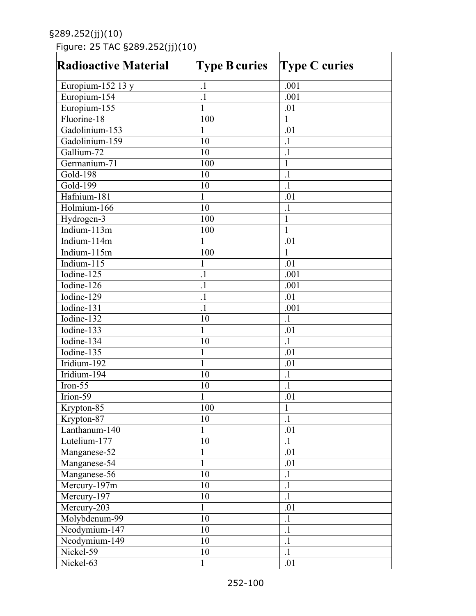# Figure: 25 TAC §289.252(jj)(10)

| <b>Radioactive Material</b> | <b>Type B curies</b> | <b>Type C curies</b> |
|-----------------------------|----------------------|----------------------|
| Europium-152 13 y           | $\cdot$ 1            | .001                 |
| Europium-154                | $\cdot$              | .001                 |
| Europium-155                | $\mathbf{1}$         | .01                  |
| Fluorine-18                 | 100                  | $\mathbf{1}$         |
| Gadolinium-153              | $\mathbf{1}$         | .01                  |
| Gadolinium-159              | 10                   | $\cdot$              |
| Gallium-72                  | 10                   | $\cdot$              |
| Germanium-71                | 100                  | $\mathbf{1}$         |
| Gold-198                    | 10                   | $\cdot$              |
| Gold-199                    | 10                   | $\cdot$              |
| Hafnium-181                 | $\mathbf{1}$         | .01                  |
| Holmium-166                 | 10                   | $\cdot$              |
| Hydrogen-3                  | 100                  | $\mathbf{1}$         |
| Indium- $113m$              | 100                  | $\mathbf{1}$         |
| Indium-114m                 | 1                    | .01                  |
| Indium-115m                 | 100                  | $\mathbf{1}$         |
| Indium-115                  | $\mathbf{1}$         | .01                  |
| Iodine- $125$               | $\cdot$ 1            | .001                 |
| Iodine-126                  | $\cdot$ 1            | .001                 |
| Iodine-129                  | $\cdot$ 1            | .01                  |
| Iodine-131                  | $\cdot$              | .001                 |
| Iodine-132                  | 10                   | $\cdot$ 1            |
| Iodine-133                  | $\mathbf{1}$         | .01                  |
| Iodine- $1\overline{34}$    | 10                   | $\cdot$              |
| Iodine-135                  | $\mathbf{1}$         | .01                  |
| Iridium-192                 | $\mathbf{1}$         | .01                  |
| Iridium-194                 | 10                   | $\cdot$              |
| $Iron-55$                   | 10                   | $\cdot$              |
| Irion-59                    | 1                    | .01                  |
| Krypton-85                  | 100                  | $\mathbf{I}$         |
| Krypton-87                  | 10                   | $\overline{1}$       |
| Lanthanum-140               | $\mathbf{1}$         | .01                  |
| Lutelium-177                | 10                   | $\cdot$              |
| Manganese-52                | 1                    | .01                  |
| Manganese-54                | $\mathbf{1}$         | .01                  |
| Manganese-56                | 10                   | $\cdot$              |
| $Mercury-197m$              | 10                   | $\cdot$              |
| Mercury-197                 | 10                   | $\cdot$ 1            |
| Mercury-203                 | $\mathbf{1}$         | .01                  |
| Molybdenum-99               | 10                   | $\cdot$              |
| Neodymium-147               | 10                   | $\cdot$              |
| Neodymium-149               | 10                   | $\cdot$              |
| Nickel-59                   | 10                   | $\cdot$ 1            |
|                             | $\mathbf{1}$         |                      |
| Nickel-63                   |                      | .01                  |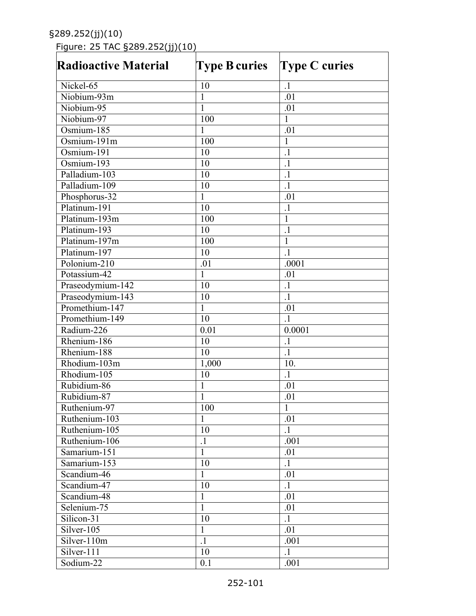# Figure: 25 TAC §289.252(jj)(10)

| <b>Radioactive Material</b> | <b>Type B curies</b> | <b>Type C curies</b> |  |  |
|-----------------------------|----------------------|----------------------|--|--|
| Nickel-65                   | 10                   | $\cdot$ 1            |  |  |
| Niobium-93m                 | $\mathbf{1}$         | .01                  |  |  |
| Niobium-95                  | 1                    | .01                  |  |  |
| Niobium-97                  | 100                  | 1                    |  |  |
| Osmium-185                  | 1                    | .01                  |  |  |
| Osmium-191m                 | 100                  | 1                    |  |  |
| Osmium-191                  | 10                   | $\cdot$              |  |  |
| Osmium-193                  | 10                   | $\cdot$              |  |  |
| Palladium-103               | 10                   | $\cdot$              |  |  |
| Palladium-109               | 10                   | $\cdot$              |  |  |
| Phosphorus-32               | $\mathbf{1}$         | .01                  |  |  |
| Platinum-191                | 10                   | $\cdot$              |  |  |
| Platinum-193m               | 100                  | $\mathbf{1}$         |  |  |
| Platinum-193                | 10                   | $\cdot$              |  |  |
| Platinum-197m               | 100                  | $\mathbf{1}$         |  |  |
| Platinum-197                | 10                   | $\cdot$ 1            |  |  |
| Polonium-210                | .01                  | .0001                |  |  |
| Potassium-42                | $\mathbf{1}$         | .01                  |  |  |
| Praseodymium-142            | 10                   | $\cdot$ 1            |  |  |
| Praseodymium-143            | 10                   | $\cdot$ 1            |  |  |
| Promethium-147              | $\mathbf 1$          | .01                  |  |  |
| Promethium-149              | 10                   | $\cdot$ 1            |  |  |
| Radium-226                  | 0.01                 | 0.0001               |  |  |
| Rhenium-186                 | 10                   | $\cdot$ 1            |  |  |
| Rhenium-188                 | 10                   | $\cdot$              |  |  |
| Rhodium-103m                | 1,000                | 10.                  |  |  |
| Rhodium-105                 | 10                   | $\cdot$ 1            |  |  |
| Rubidium-86                 | $\mathbf{1}$         | .01                  |  |  |
| Rubidium-87                 | $\mathbf{1}$         | .01                  |  |  |
| Ruthenium-97                | 100                  | $\mathbf{I}$         |  |  |
| Ruthenium-103               | 1                    | .01                  |  |  |
| Ruthenium-105               | 10                   | $\cdot$ 1            |  |  |
| Ruthenium-106               | $\cdot$ 1            | .001                 |  |  |
| Samarium-151                | $\mathbf{1}$         | .01                  |  |  |
| Samarium-153                | 10                   | $\cdot$ 1            |  |  |
| Scandium-46                 | $\mathbf{1}$         | .01                  |  |  |
| Scandium-47                 | 10                   | $\cdot$ 1            |  |  |
| Scandium-48                 | $\mathbf{1}$         |                      |  |  |
| Selenium-75                 | $\overline{1}$       | .01<br>.01           |  |  |
|                             |                      |                      |  |  |
| Silicon-31                  | 10                   | $\cdot$ 1            |  |  |
| Silver-105                  | $\mathbf{1}$         | .01                  |  |  |
| Silver-110m                 | $\cdot$              | .001                 |  |  |
| Silver-111                  | 10                   | $\cdot$ 1            |  |  |
| Sodium-22                   | 0.1                  | .001                 |  |  |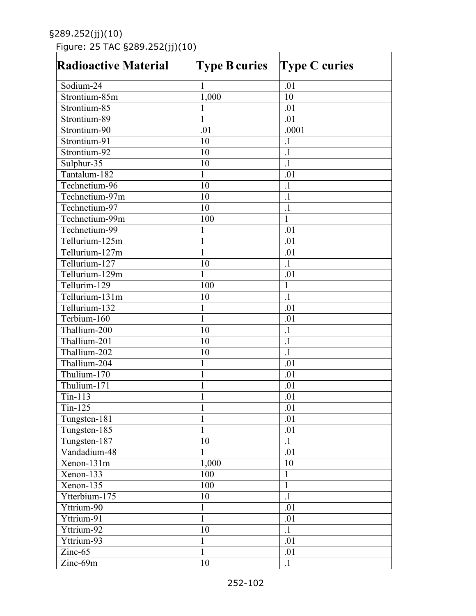Figure: 25 TAC §289.252(jj)(10)

| <b>Radioactive Material</b> | <b>Type B curies</b> | <b>Type C curies</b> |
|-----------------------------|----------------------|----------------------|
| Sodium-24                   | $\mathbf{1}$         | .01                  |
| Strontium-85m               | 1,000                | 10                   |
| Strontium-85                | 1                    | .01                  |
| Strontium-89                | 1                    | .01                  |
| Strontium-90                | .01                  | .0001                |
| Strontium-91                | 10                   | $\cdot$ 1            |
| Strontium-92                | 10                   | $\cdot$              |
| Sulphur-35                  | 10                   | $\cdot$              |
| Tantalum-182                | $\mathbf{1}$         | .01                  |
| Technetium-96               | 10                   | $\cdot$ 1            |
| Technetium-97m              | 10                   | $\cdot$              |
| Technetium-97               | 10                   | $\cdot$              |
| Technetium-99m              | 100                  | $\mathbf{1}$         |
| Technetium-99               | 1                    | .01                  |
| Tellurium-125m              | $\mathbf{1}$         | .01                  |
| Tellurium-127m              | $\mathbf{1}$         | .01                  |
| Tellurium-127               | 10                   | $\cdot$ 1            |
| Tellurium-129m              | $\mathbf{1}$         | .01                  |
| Tellurim-129                | 100                  | 1                    |
| Tellurium-131m              | 10                   | $\cdot$              |
| Tellurium-132               | $\mathbf{1}$         | .01                  |
| Terbium-160                 | $\mathbf{1}$         | .01                  |
| Thallium-200                | 10                   | $\cdot$              |
| Thallium-201                | 10                   | $\cdot$              |
| Thallium-202                | 10                   | $\cdot$ 1            |
| Thallium-204                | $\mathbf{1}$         | .01                  |
| Thulium-170                 | $\mathbf{1}$         | .01                  |
| Thulium-171                 | $\mathbf{1}$         | .01                  |
| $Tin-113$                   | 1                    | .01                  |
| Tin-125                     | 1                    | .01                  |
| Tungsten-181                | $\mathbf{1}$         | .01                  |
| Tungsten-185                | $\mathbf{1}$         | .01                  |
| Tungsten-187                | 10                   | $\cdot$ 1            |
| Vandadium-48                | 1                    | .01                  |
| Xenon-131m                  | 1,000                | 10                   |
| Xenon-133                   | 100                  | $\mathbf{1}$         |
| $Xenon-135$                 | 100                  | $\mathbf{1}$         |
| Ytterbium-175               | 10                   | $\cdot$ 1            |
| Yttrium-90                  | $\mathbf{1}$         | .01                  |
| Yttrium-91                  | $\mathbf{1}$         | .01                  |
| Yttrium-92                  | 10                   | $\cdot$              |
| Yttrium-93                  | $\mathbf{1}$         | .01                  |
| Zinc-65                     | $\mathbf{1}$         | $\overline{.}01$     |
|                             | 10                   | $\cdot$ 1            |
| Zinc-69m                    |                      |                      |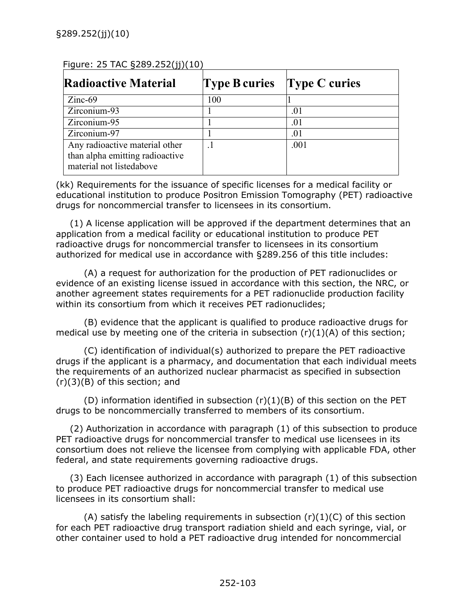| $1$ iguie. ZJ TAC SZ02. ZJZ (TITLED                                                           |                      |                 |  |  |  |
|-----------------------------------------------------------------------------------------------|----------------------|-----------------|--|--|--|
| <b>Radioactive Material</b>                                                                   | <b>Type B curies</b> | Type $C$ curies |  |  |  |
| $Zinc-69$                                                                                     | 100                  |                 |  |  |  |
| Zirconium-93                                                                                  |                      | .01             |  |  |  |
| Zirconium-95                                                                                  |                      | .01             |  |  |  |
| Zirconium-97                                                                                  |                      | .01             |  |  |  |
| Any radioactive material other<br>than alpha emitting radioactive<br>material not listedabove |                      | .001            |  |  |  |

#### $Fianira: 25 TAC 5289 252(ij)(10)$

(kk) Requirements for the issuance of specific licenses for a medical facility or educational institution to produce Positron Emission Tomography (PET) radioactive drugs for noncommercial transfer to licensees in its consortium.

(1) A license application will be approved if the department determines that an application from a medical facility or educational institution to produce PET radioactive drugs for noncommercial transfer to licensees in its consortium authorized for medical use in accordance with §289.256 of this title includes:

(A) a request for authorization for the production of PET radionuclides or evidence of an existing license issued in accordance with this section, the NRC, or another agreement states requirements for a PET radionuclide production facility within its consortium from which it receives PET radionuclides;

(B) evidence that the applicant is qualified to produce radioactive drugs for medical use by meeting one of the criteria in subsection  $(r)(1)(A)$  of this section;

(C) identification of individual(s) authorized to prepare the PET radioactive drugs if the applicant is a pharmacy, and documentation that each individual meets the requirements of an authorized nuclear pharmacist as specified in subsection  $(r)(3)(B)$  of this section; and

(D) information identified in subsection  $(r)(1)(B)$  of this section on the PET drugs to be noncommercially transferred to members of its consortium.

(2) Authorization in accordance with paragraph (1) of this subsection to produce PET radioactive drugs for noncommercial transfer to medical use licensees in its consortium does not relieve the licensee from complying with applicable FDA, other federal, and state requirements governing radioactive drugs.

(3) Each licensee authorized in accordance with paragraph (1) of this subsection to produce PET radioactive drugs for noncommercial transfer to medical use licensees in its consortium shall:

(A) satisfy the labeling requirements in subsection  $(r)(1)(C)$  of this section for each PET radioactive drug transport radiation shield and each syringe, vial, or other container used to hold a PET radioactive drug intended for noncommercial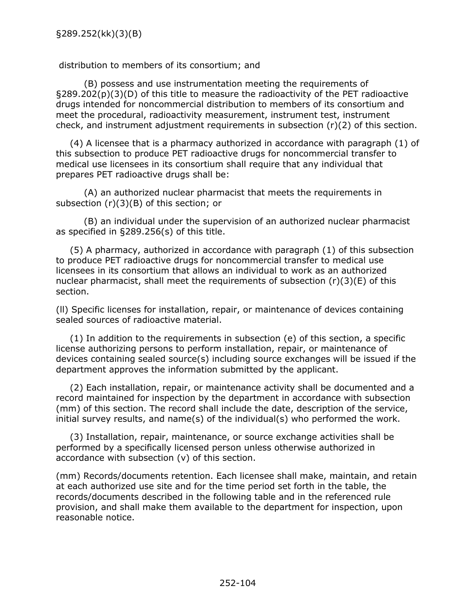#### distribution to members of its consortium; and

(B) possess and use instrumentation meeting the requirements of §289.202(p)(3)(D) of this title to measure the radioactivity of the PET radioactive drugs intended for noncommercial distribution to members of its consortium and meet the procedural, radioactivity measurement, instrument test, instrument check, and instrument adjustment requirements in subsection (r)(2) of this section.

(4) A licensee that is a pharmacy authorized in accordance with paragraph (1) of this subsection to produce PET radioactive drugs for noncommercial transfer to medical use licensees in its consortium shall require that any individual that prepares PET radioactive drugs shall be:

(A) an authorized nuclear pharmacist that meets the requirements in subsection (r)(3)(B) of this section; or

(B) an individual under the supervision of an authorized nuclear pharmacist as specified in §289.256(s) of this title.

(5) A pharmacy, authorized in accordance with paragraph (1) of this subsection to produce PET radioactive drugs for noncommercial transfer to medical use licensees in its consortium that allows an individual to work as an authorized nuclear pharmacist, shall meet the requirements of subsection  $(r)(3)(E)$  of this section.

(ll) Specific licenses for installation, repair, or maintenance of devices containing sealed sources of radioactive material.

(1) In addition to the requirements in subsection (e) of this section, a specific license authorizing persons to perform installation, repair, or maintenance of devices containing sealed source(s) including source exchanges will be issued if the department approves the information submitted by the applicant.

(2) Each installation, repair, or maintenance activity shall be documented and a record maintained for inspection by the department in accordance with subsection (mm) of this section. The record shall include the date, description of the service, initial survey results, and name(s) of the individual(s) who performed the work.

(3) Installation, repair, maintenance, or source exchange activities shall be performed by a specifically licensed person unless otherwise authorized in accordance with subsection (v) of this section.

(mm) Records/documents retention. Each licensee shall make, maintain, and retain at each authorized use site and for the time period set forth in the table, the records/documents described in the following table and in the referenced rule provision, and shall make them available to the department for inspection, upon reasonable notice.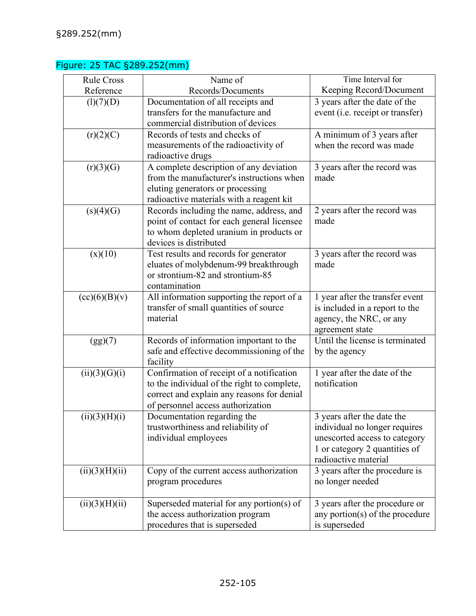## Figure: 25 TAC §289.252(mm)

| <b>Rule Cross</b> | Name of                                                                                                                                                                     | Time Interval for                                                                                                                                     |
|-------------------|-----------------------------------------------------------------------------------------------------------------------------------------------------------------------------|-------------------------------------------------------------------------------------------------------------------------------------------------------|
| Reference         | Records/Documents                                                                                                                                                           | Keeping Record/Document                                                                                                                               |
| (l)(7)(D)         | Documentation of all receipts and<br>transfers for the manufacture and<br>commercial distribution of devices                                                                | 3 years after the date of the<br>event (i.e. receipt or transfer)                                                                                     |
| (r)(2)(C)         | Records of tests and checks of<br>measurements of the radioactivity of<br>radioactive drugs                                                                                 | A minimum of 3 years after<br>when the record was made                                                                                                |
| (r)(3)(G)         | A complete description of any deviation<br>from the manufacturer's instructions when<br>eluting generators or processing<br>radioactive materials with a reagent kit        | 3 years after the record was<br>made                                                                                                                  |
| (s)(4)(G)         | Records including the name, address, and<br>point of contact for each general licensee<br>to whom depleted uranium in products or<br>devices is distributed                 | 2 years after the record was<br>made                                                                                                                  |
| (x)(10)           | Test results and records for generator<br>eluates of molybdenum-99 breakthrough<br>or strontium-82 and strontium-85<br>contamination                                        | 3 years after the record was<br>made                                                                                                                  |
| (cc)(6)(B)(v)     | All information supporting the report of a<br>transfer of small quantities of source<br>material                                                                            | 1 year after the transfer event<br>is included in a report to the<br>agency, the NRC, or any<br>agreement state                                       |
| (gg)(7)           | Records of information important to the<br>safe and effective decommissioning of the<br>facility                                                                            | Until the license is terminated<br>by the agency                                                                                                      |
| (ii)(3)(G)(i)     | Confirmation of receipt of a notification<br>to the individual of the right to complete,<br>correct and explain any reasons for denial<br>of personnel access authorization | 1 year after the date of the<br>notification                                                                                                          |
| (ii)(3)(H)(i)     | Documentation regarding the<br>trustworthiness and reliability of<br>individual employees                                                                                   | 3 years after the date the<br>individual no longer requires<br>unescorted access to category<br>1 or category 2 quantities of<br>radioactive material |
| (ii)(3)(H)(ii)    | Copy of the current access authorization<br>program procedures                                                                                                              | 3 years after the procedure is<br>no longer needed                                                                                                    |
| (ii)(3)(H)(ii)    | Superseded material for any portion(s) of<br>the access authorization program<br>procedures that is superseded                                                              | 3 years after the procedure or<br>any portion(s) of the procedure<br>is superseded                                                                    |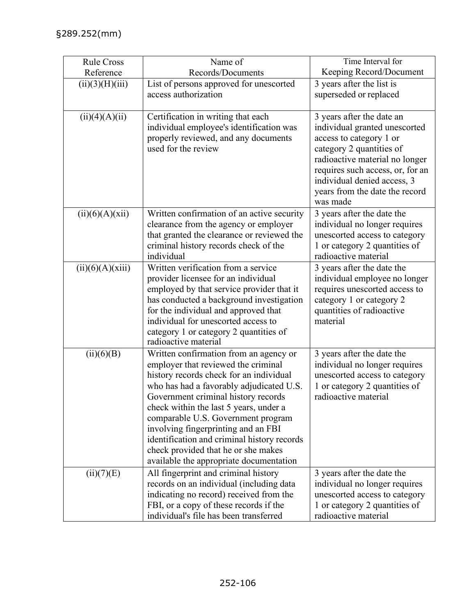| <b>Rule Cross</b><br>Reference | Name of<br>Records/Documents                                                                                                                                                                                                                                                                                                                                                                                                                                        | Time Interval for<br>Keeping Record/Document                                                                                                                                                                                                                         |
|--------------------------------|---------------------------------------------------------------------------------------------------------------------------------------------------------------------------------------------------------------------------------------------------------------------------------------------------------------------------------------------------------------------------------------------------------------------------------------------------------------------|----------------------------------------------------------------------------------------------------------------------------------------------------------------------------------------------------------------------------------------------------------------------|
| (ii)(3)(H)(iii)                | List of persons approved for unescorted<br>access authorization                                                                                                                                                                                                                                                                                                                                                                                                     | 3 years after the list is<br>superseded or replaced                                                                                                                                                                                                                  |
| (ii)(4)(A)(ii)                 | Certification in writing that each<br>individual employee's identification was<br>properly reviewed, and any documents<br>used for the review                                                                                                                                                                                                                                                                                                                       | 3 years after the date an<br>individual granted unescorted<br>access to category 1 or<br>category 2 quantities of<br>radioactive material no longer<br>requires such access, or, for an<br>individual denied access, 3<br>years from the date the record<br>was made |
| (ii)(6)(A)(xii)                | Written confirmation of an active security<br>clearance from the agency or employer<br>that granted the clearance or reviewed the<br>criminal history records check of the<br>individual                                                                                                                                                                                                                                                                            | 3 years after the date the<br>individual no longer requires<br>unescorted access to category<br>1 or category 2 quantities of<br>radioactive material                                                                                                                |
| (ii)(6)(A)(xiii)               | Written verification from a service<br>provider licensee for an individual<br>employed by that service provider that it<br>has conducted a background investigation<br>for the individual and approved that<br>individual for unescorted access to<br>category 1 or category 2 quantities of<br>radioactive material                                                                                                                                                | 3 years after the date the<br>individual employee no longer<br>requires unescorted access to<br>category 1 or category 2<br>quantities of radioactive<br>material                                                                                                    |
| (ii)(6)(B)                     | Written confirmation from an agency or<br>employer that reviewed the criminal<br>history records check for an individual<br>who has had a favorably adjudicated U.S.<br>Government criminal history records<br>check within the last 5 years, under a<br>comparable U.S. Government program<br>involving fingerprinting and an FBI<br>identification and criminal history records<br>check provided that he or she makes<br>available the appropriate documentation | 3 years after the date the<br>individual no longer requires<br>unescorted access to category<br>1 or category 2 quantities of<br>radioactive material                                                                                                                |
| (ii)(7)(E)                     | All fingerprint and criminal history<br>records on an individual (including data<br>indicating no record) received from the<br>FBI, or a copy of these records if the<br>individual's file has been transferred                                                                                                                                                                                                                                                     | 3 years after the date the<br>individual no longer requires<br>unescorted access to category<br>1 or category 2 quantities of<br>radioactive material                                                                                                                |